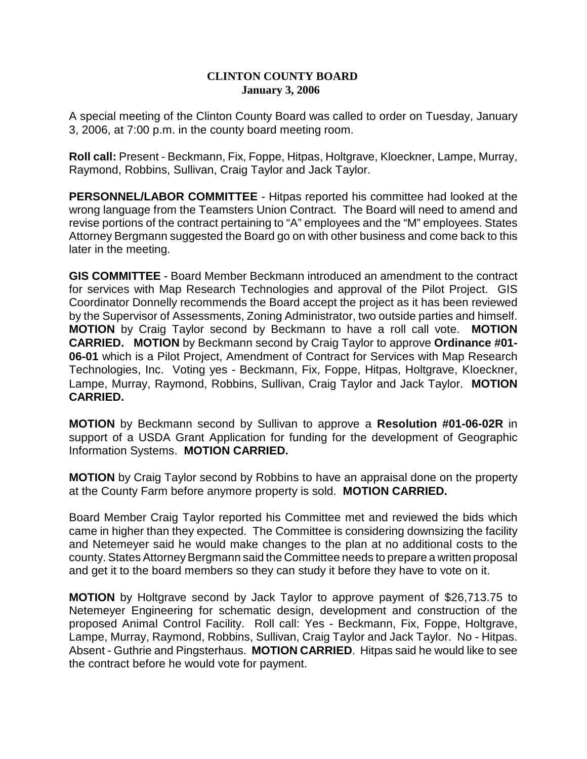## **CLINTON COUNTY BOARD January 3, 2006**

A special meeting of the Clinton County Board was called to order on Tuesday, January 3, 2006, at 7:00 p.m. in the county board meeting room.

**Roll call:** Present - Beckmann, Fix, Foppe, Hitpas, Holtgrave, Kloeckner, Lampe, Murray, Raymond, Robbins, Sullivan, Craig Taylor and Jack Taylor.

**PERSONNEL/LABOR COMMITTEE** - Hitpas reported his committee had looked at the wrong language from the Teamsters Union Contract. The Board will need to amend and revise portions of the contract pertaining to "A" employees and the "M" employees. States Attorney Bergmann suggested the Board go on with other business and come back to this later in the meeting.

**GIS COMMITTEE** - Board Member Beckmann introduced an amendment to the contract for services with Map Research Technologies and approval of the Pilot Project. GIS Coordinator Donnelly recommends the Board accept the project as it has been reviewed by the Supervisor of Assessments, Zoning Administrator, two outside parties and himself. **MOTION** by Craig Taylor second by Beckmann to have a roll call vote. **MOTION CARRIED. MOTION** by Beckmann second by Craig Taylor to approve **Ordinance #01- 06-01** which is a Pilot Project, Amendment of Contract for Services with Map Research Technologies, Inc. Voting yes - Beckmann, Fix, Foppe, Hitpas, Holtgrave, Kloeckner, Lampe, Murray, Raymond, Robbins, Sullivan, Craig Taylor and Jack Taylor. **MOTION CARRIED.**

**MOTION** by Beckmann second by Sullivan to approve a **Resolution #01-06-02R** in support of a USDA Grant Application for funding for the development of Geographic Information Systems. **MOTION CARRIED.**

**MOTION** by Craig Taylor second by Robbins to have an appraisal done on the property at the County Farm before anymore property is sold. **MOTION CARRIED.**

Board Member Craig Taylor reported his Committee met and reviewed the bids which came in higher than they expected. The Committee is considering downsizing the facility and Netemeyer said he would make changes to the plan at no additional costs to the county. States Attorney Bergmann said the Committee needs to prepare a written proposal and get it to the board members so they can study it before they have to vote on it.

**MOTION** by Holtgrave second by Jack Taylor to approve payment of \$26,713.75 to Netemeyer Engineering for schematic design, development and construction of the proposed Animal Control Facility. Roll call: Yes - Beckmann, Fix, Foppe, Holtgrave, Lampe, Murray, Raymond, Robbins, Sullivan, Craig Taylor and Jack Taylor. No - Hitpas. Absent - Guthrie and Pingsterhaus. **MOTION CARRIED**. Hitpas said he would like to see the contract before he would vote for payment.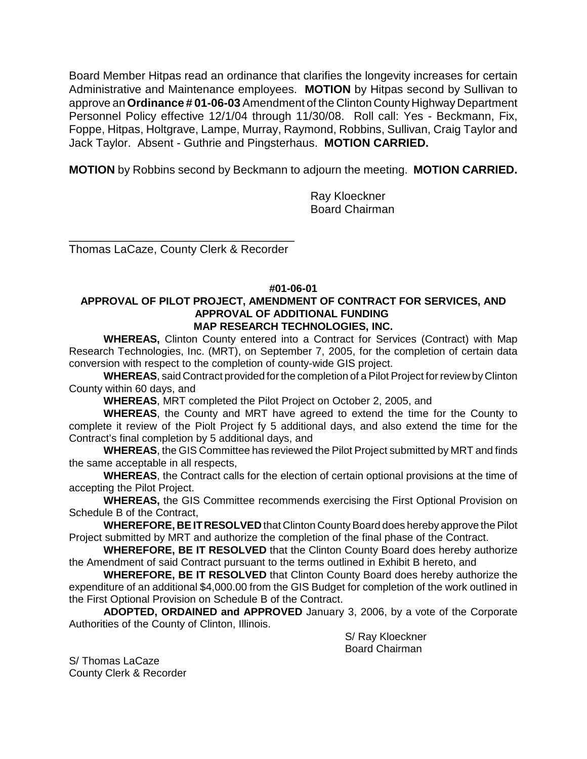Board Member Hitpas read an ordinance that clarifies the longevity increases for certain Administrative and Maintenance employees. **MOTION** by Hitpas second by Sullivan to approve an **Ordinance # 01-06-03** Amendment of the Clinton County Highway Department Personnel Policy effective 12/1/04 through 11/30/08. Roll call: Yes - Beckmann, Fix, Foppe, Hitpas, Holtgrave, Lampe, Murray, Raymond, Robbins, Sullivan, Craig Taylor and Jack Taylor. Absent - Guthrie and Pingsterhaus. **MOTION CARRIED.** 

**MOTION** by Robbins second by Beckmann to adjourn the meeting. **MOTION CARRIED.**

Ray Kloeckner Board Chairman

\_\_\_\_\_\_\_\_\_\_\_\_\_\_\_\_\_\_\_\_\_\_\_\_\_\_\_\_\_\_\_\_\_\_\_ Thomas LaCaze, County Clerk & Recorder

## **#01-06-01**

## **APPROVAL OF PILOT PROJECT, AMENDMENT OF CONTRACT FOR SERVICES, AND APPROVAL OF ADDITIONAL FUNDING MAP RESEARCH TECHNOLOGIES, INC.**

**WHEREAS,** Clinton County entered into a Contract for Services (Contract) with Map Research Technologies, Inc. (MRT), on September 7, 2005, for the completion of certain data conversion with respect to the completion of county-wide GIS project.

**WHEREAS**, said Contract provided for the completion of a Pilot Project for review by Clinton County within 60 days, and

**WHEREAS**, MRT completed the Pilot Project on October 2, 2005, and

**WHEREAS**, the County and MRT have agreed to extend the time for the County to complete it review of the Piolt Project fy 5 additional days, and also extend the time for the Contract's final completion by 5 additional days, and

**WHEREAS**, the GIS Committee has reviewed the Pilot Project submitted by MRT and finds the same acceptable in all respects,

**WHEREAS**, the Contract calls for the election of certain optional provisions at the time of accepting the Pilot Project.

**WHEREAS,** the GIS Committee recommends exercising the First Optional Provision on Schedule B of the Contract,

**WHEREFORE, BE IT RESOLVED** that Clinton County Board does hereby approve the Pilot Project submitted by MRT and authorize the completion of the final phase of the Contract.

**WHEREFORE, BE IT RESOLVED** that the Clinton County Board does hereby authorize the Amendment of said Contract pursuant to the terms outlined in Exhibit B hereto, and

**WHEREFORE, BE IT RESOLVED** that Clinton County Board does hereby authorize the expenditure of an additional \$4,000.00 from the GIS Budget for completion of the work outlined in the First Optional Provision on Schedule B of the Contract.

**ADOPTED, ORDAINED and APPROVED** January 3, 2006, by a vote of the Corporate Authorities of the County of Clinton, Illinois.

> S/ Ray Kloeckner Board Chairman

S/ Thomas LaCaze County Clerk & Recorder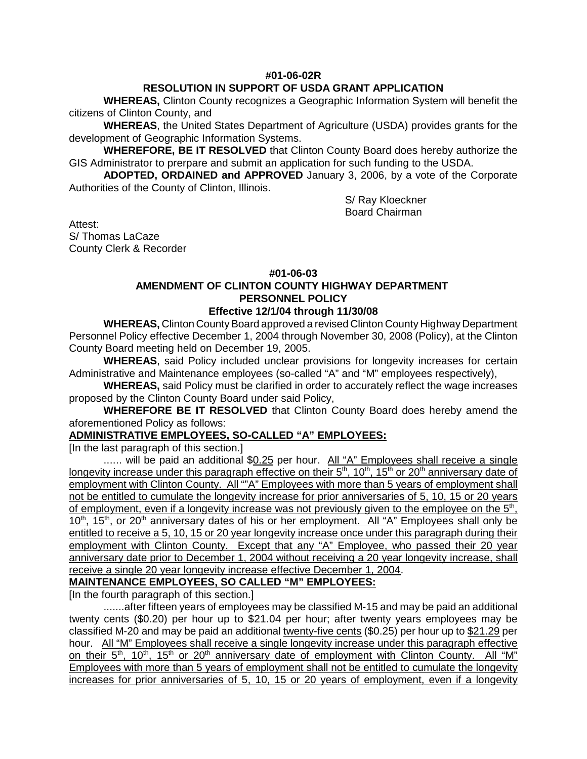## **#01-06-02R**

## **RESOLUTION IN SUPPORT OF USDA GRANT APPLICATION**

**WHEREAS,** Clinton County recognizes a Geographic Information System will benefit the citizens of Clinton County, and

**WHEREAS**, the United States Department of Agriculture (USDA) provides grants for the development of Geographic Information Systems.

**WHEREFORE, BE IT RESOLVED** that Clinton County Board does hereby authorize the GIS Administrator to prerpare and submit an application for such funding to the USDA.

**ADOPTED, ORDAINED and APPROVED** January 3, 2006, by a vote of the Corporate Authorities of the County of Clinton, Illinois.

> S/ Ray Kloeckner Board Chairman

Attest: S/ Thomas LaCaze County Clerk & Recorder

## **#01-06-03**

# **AMENDMENT OF CLINTON COUNTY HIGHWAY DEPARTMENT PERSONNEL POLICY**

## **Effective 12/1/04 through 11/30/08**

**WHEREAS,** Clinton County Board approved a revised Clinton County Highway Department Personnel Policy effective December 1, 2004 through November 30, 2008 (Policy), at the Clinton County Board meeting held on December 19, 2005.

**WHEREAS**, said Policy included unclear provisions for longevity increases for certain Administrative and Maintenance employees (so-called "A" and "M" employees respectively),

**WHEREAS,** said Policy must be clarified in order to accurately reflect the wage increases proposed by the Clinton County Board under said Policy,

**WHEREFORE BE IT RESOLVED** that Clinton County Board does hereby amend the aforementioned Policy as follows:

## **ADMINISTRATIVE EMPLOYEES, SO-CALLED "A" EMPLOYEES:**

[In the last paragraph of this section.]

...... will be paid an additional \$0.25 per hour. All "A" Employees shall receive a single longevity increase under this paragraph effective on their  $5<sup>th</sup>$ , 10<sup>th</sup>, 15<sup>th</sup> or 20<sup>th</sup> anniversary date of employment with Clinton County. All ""A" Employees with more than 5 years of employment shall not be entitled to cumulate the longevity increase for prior anniversaries of 5, 10, 15 or 20 years of employment, even if a longevity increase was not previously given to the employee on the 5<sup>th</sup>,  $10<sup>th</sup>$ ,  $15<sup>th</sup>$ , or  $20<sup>th</sup>$  anniversary dates of his or her employment. All "A" Employees shall only be entitled to receive a 5, 10, 15 or 20 year longevity increase once under this paragraph during their employment with Clinton County. Except that any "A" Employee, who passed their 20 year anniversary date prior to December 1, 2004 without receiving a 20 year longevity increase, shall receive a single 20 year longevity increase effective December 1, 2004.

**MAINTENANCE EMPLOYEES, SO CALLED "M" EMPLOYEES:**

[In the fourth paragraph of this section.]

.......after fifteen years of employees may be classified M-15 and may be paid an additional twenty cents (\$0.20) per hour up to \$21.04 per hour; after twenty years employees may be classified M-20 and may be paid an additional twenty-five cents (\$0.25) per hour up to \$21.29 per hour. All "M" Employees shall receive a single longevity increase under this paragraph effective on their  $5<sup>th</sup>$ ,  $10<sup>th</sup>$ ,  $15<sup>th</sup>$  or  $20<sup>th</sup>$  anniversary date of employment with Clinton County. All "M" Employees with more than 5 years of employment shall not be entitled to cumulate the longevity increases for prior anniversaries of 5, 10, 15 or 20 years of employment, even if a longevity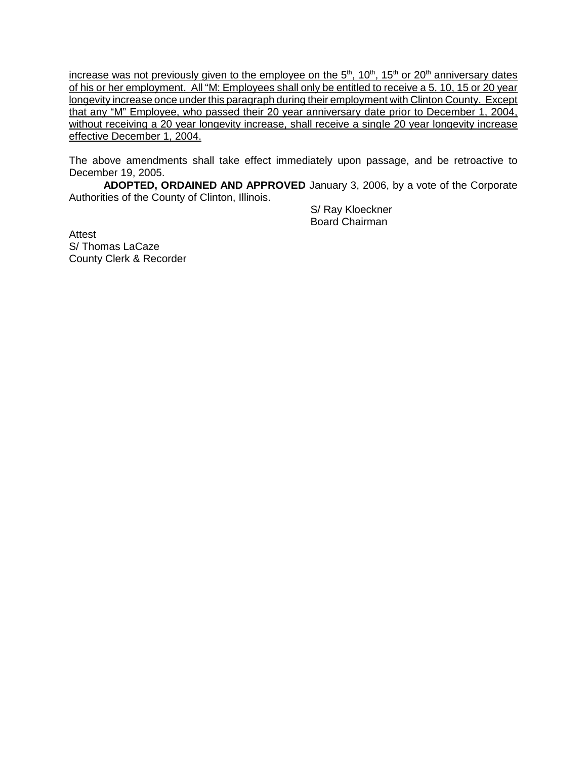increase was not previously given to the employee on the  $5<sup>th</sup>$ , 10<sup>th</sup>, 15<sup>th</sup> or 20<sup>th</sup> anniversary dates of his or her employment. All "M: Employees shall only be entitled to receive a 5, 10, 15 or 20 year longevity increase once under this paragraph during their employment with Clinton County. Except that any "M" Employee, who passed their 20 year anniversary date prior to December 1, 2004, without receiving a 20 year longevity increase, shall receive a single 20 year longevity increase effective December 1, 2004.

The above amendments shall take effect immediately upon passage, and be retroactive to December 19, 2005.

**ADOPTED, ORDAINED AND APPROVED** January 3, 2006, by a vote of the Corporate Authorities of the County of Clinton, Illinois.

> S/ Ray Kloeckner Board Chairman

Attest S/ Thomas LaCaze County Clerk & Recorder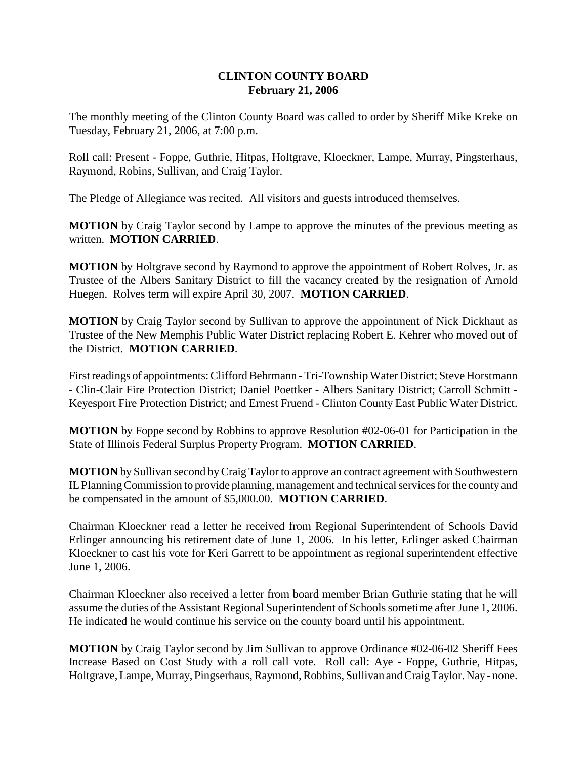## **CLINTON COUNTY BOARD February 21, 2006**

The monthly meeting of the Clinton County Board was called to order by Sheriff Mike Kreke on Tuesday, February 21, 2006, at 7:00 p.m.

Roll call: Present - Foppe, Guthrie, Hitpas, Holtgrave, Kloeckner, Lampe, Murray, Pingsterhaus, Raymond, Robins, Sullivan, and Craig Taylor.

The Pledge of Allegiance was recited. All visitors and guests introduced themselves.

**MOTION** by Craig Taylor second by Lampe to approve the minutes of the previous meeting as written. **MOTION CARRIED**.

**MOTION** by Holtgrave second by Raymond to approve the appointment of Robert Rolves, Jr. as Trustee of the Albers Sanitary District to fill the vacancy created by the resignation of Arnold Huegen. Rolves term will expire April 30, 2007. **MOTION CARRIED**.

**MOTION** by Craig Taylor second by Sullivan to approve the appointment of Nick Dickhaut as Trustee of the New Memphis Public Water District replacing Robert E. Kehrer who moved out of the District. **MOTION CARRIED**.

First readings of appointments: Clifford Behrmann - Tri-Township Water District; Steve Horstmann - Clin-Clair Fire Protection District; Daniel Poettker - Albers Sanitary District; Carroll Schmitt - Keyesport Fire Protection District; and Ernest Fruend - Clinton County East Public Water District.

**MOTION** by Foppe second by Robbins to approve Resolution #02-06-01 for Participation in the State of Illinois Federal Surplus Property Program. **MOTION CARRIED**.

**MOTION** by Sullivan second by Craig Taylor to approve an contract agreement with Southwestern IL Planning Commission to provide planning, management and technical services for the county and be compensated in the amount of \$5,000.00. **MOTION CARRIED**.

Chairman Kloeckner read a letter he received from Regional Superintendent of Schools David Erlinger announcing his retirement date of June 1, 2006. In his letter, Erlinger asked Chairman Kloeckner to cast his vote for Keri Garrett to be appointment as regional superintendent effective June 1, 2006.

Chairman Kloeckner also received a letter from board member Brian Guthrie stating that he will assume the duties of the Assistant Regional Superintendent of Schools sometime after June 1, 2006. He indicated he would continue his service on the county board until his appointment.

**MOTION** by Craig Taylor second by Jim Sullivan to approve Ordinance #02-06-02 Sheriff Fees Increase Based on Cost Study with a roll call vote. Roll call: Aye - Foppe, Guthrie, Hitpas, Holtgrave, Lampe, Murray, Pingserhaus, Raymond, Robbins, Sullivan and Craig Taylor. Nay - none.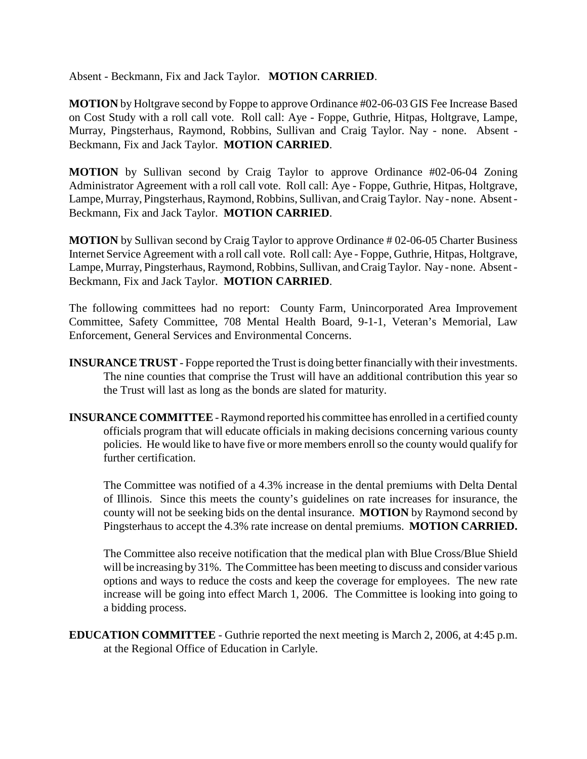Absent - Beckmann, Fix and Jack Taylor. **MOTION CARRIED**.

**MOTION** by Holtgrave second by Foppe to approve Ordinance #02-06-03 GIS Fee Increase Based on Cost Study with a roll call vote. Roll call: Aye - Foppe, Guthrie, Hitpas, Holtgrave, Lampe, Murray, Pingsterhaus, Raymond, Robbins, Sullivan and Craig Taylor. Nay - none. Absent - Beckmann, Fix and Jack Taylor. **MOTION CARRIED**.

**MOTION** by Sullivan second by Craig Taylor to approve Ordinance #02-06-04 Zoning Administrator Agreement with a roll call vote. Roll call: Aye - Foppe, Guthrie, Hitpas, Holtgrave, Lampe, Murray, Pingsterhaus, Raymond, Robbins, Sullivan, and Craig Taylor. Nay - none. Absent - Beckmann, Fix and Jack Taylor. **MOTION CARRIED**.

**MOTION** by Sullivan second by Craig Taylor to approve Ordinance # 02-06-05 Charter Business Internet Service Agreement with a roll call vote. Roll call: Aye - Foppe, Guthrie, Hitpas, Holtgrave, Lampe, Murray, Pingsterhaus, Raymond, Robbins, Sullivan, and Craig Taylor. Nay - none. Absent - Beckmann, Fix and Jack Taylor. **MOTION CARRIED**.

The following committees had no report: County Farm, Unincorporated Area Improvement Committee, Safety Committee, 708 Mental Health Board, 9-1-1, Veteran's Memorial, Law Enforcement, General Services and Environmental Concerns.

- **INSURANCE TRUST**  Foppe reported the Trust is doing better financially with their investments. The nine counties that comprise the Trust will have an additional contribution this year so the Trust will last as long as the bonds are slated for maturity.
- **INSURANCE COMMITTEE** Raymond reported his committee has enrolled in a certified county officials program that will educate officials in making decisions concerning various county policies. He would like to have five or more members enroll so the county would qualify for further certification.

The Committee was notified of a 4.3% increase in the dental premiums with Delta Dental of Illinois. Since this meets the county's guidelines on rate increases for insurance, the county will not be seeking bids on the dental insurance. **MOTION** by Raymond second by Pingsterhaus to accept the 4.3% rate increase on dental premiums. **MOTION CARRIED.**

The Committee also receive notification that the medical plan with Blue Cross/Blue Shield will be increasing by 31%. The Committee has been meeting to discuss and consider various options and ways to reduce the costs and keep the coverage for employees. The new rate increase will be going into effect March 1, 2006. The Committee is looking into going to a bidding process.

**EDUCATION COMMITTEE** - Guthrie reported the next meeting is March 2, 2006, at 4:45 p.m. at the Regional Office of Education in Carlyle.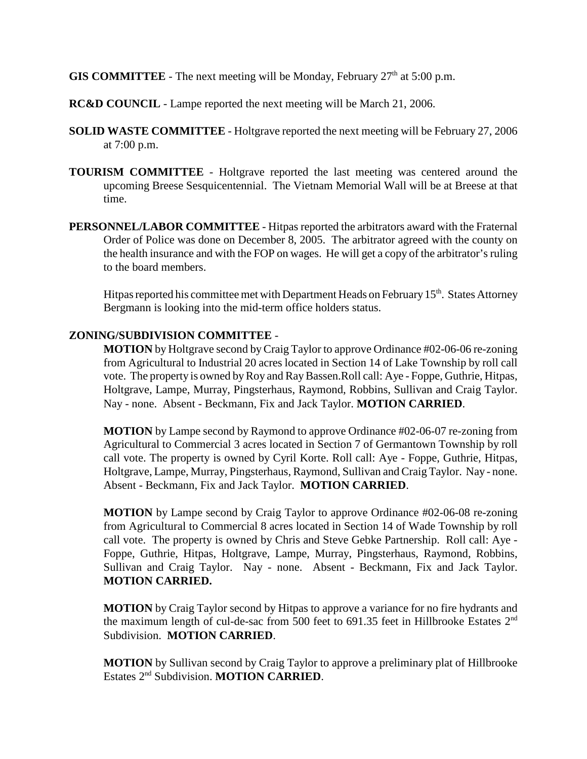**GIS COMMITTEE** - The next meeting will be Monday, February  $27<sup>th</sup>$  at  $5:00$  p.m.

- **RC&D COUNCIL** Lampe reported the next meeting will be March 21, 2006.
- **SOLID WASTE COMMITTEE** Holtgrave reported the next meeting will be February 27, 2006 at 7:00 p.m.
- **TOURISM COMMITTEE** Holtgrave reported the last meeting was centered around the upcoming Breese Sesquicentennial. The Vietnam Memorial Wall will be at Breese at that time.
- **PERSONNEL/LABOR COMMITTEE** Hitpas reported the arbitrators award with the Fraternal Order of Police was done on December 8, 2005. The arbitrator agreed with the county on the health insurance and with the FOP on wages. He will get a copy of the arbitrator's ruling to the board members.

Hitpas reported his committee met with Department Heads on February 15<sup>th</sup>. States Attorney Bergmann is looking into the mid-term office holders status.

## **ZONING/SUBDIVISION COMMITTEE** -

**MOTION** by Holtgrave second by Craig Taylor to approve Ordinance #02-06-06 re-zoning from Agricultural to Industrial 20 acres located in Section 14 of Lake Township by roll call vote. The property is owned by Roy and Ray Bassen.Roll call: Aye - Foppe, Guthrie, Hitpas, Holtgrave, Lampe, Murray, Pingsterhaus, Raymond, Robbins, Sullivan and Craig Taylor. Nay - none. Absent - Beckmann, Fix and Jack Taylor. **MOTION CARRIED**.

**MOTION** by Lampe second by Raymond to approve Ordinance #02-06-07 re-zoning from Agricultural to Commercial 3 acres located in Section 7 of Germantown Township by roll call vote. The property is owned by Cyril Korte. Roll call: Aye - Foppe, Guthrie, Hitpas, Holtgrave, Lampe, Murray, Pingsterhaus, Raymond, Sullivan and Craig Taylor. Nay - none. Absent - Beckmann, Fix and Jack Taylor. **MOTION CARRIED**.

**MOTION** by Lampe second by Craig Taylor to approve Ordinance #02-06-08 re-zoning from Agricultural to Commercial 8 acres located in Section 14 of Wade Township by roll call vote. The property is owned by Chris and Steve Gebke Partnership. Roll call: Aye - Foppe, Guthrie, Hitpas, Holtgrave, Lampe, Murray, Pingsterhaus, Raymond, Robbins, Sullivan and Craig Taylor. Nay - none. Absent - Beckmann, Fix and Jack Taylor. **MOTION CARRIED.**

**MOTION** by Craig Taylor second by Hitpas to approve a variance for no fire hydrants and the maximum length of cul-de-sac from 500 feet to 691.35 feet in Hillbrooke Estates 2<sup>nd</sup> Subdivision. **MOTION CARRIED**.

**MOTION** by Sullivan second by Craig Taylor to approve a preliminary plat of Hillbrooke Estates 2nd Subdivision. **MOTION CARRIED**.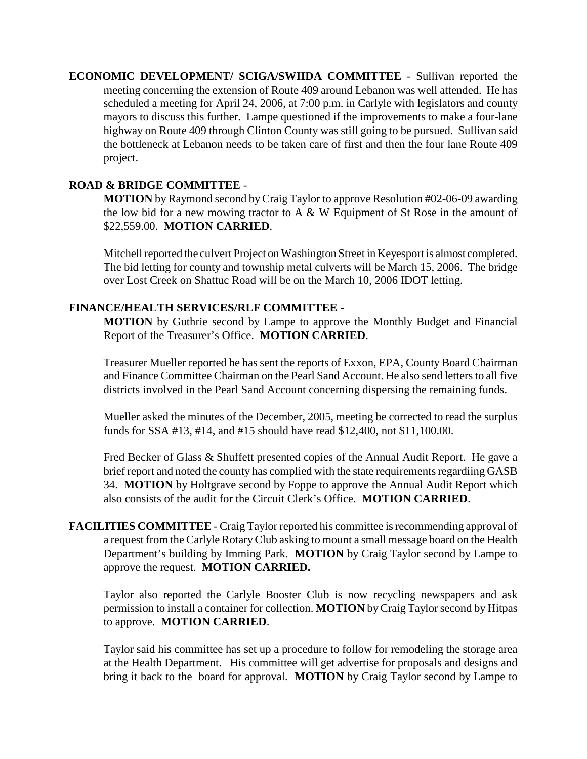**ECONOMIC DEVELOPMENT/ SCIGA/SWIIDA COMMITTEE** - Sullivan reported the meeting concerning the extension of Route 409 around Lebanon was well attended. He has scheduled a meeting for April 24, 2006, at 7:00 p.m. in Carlyle with legislators and county mayors to discuss this further. Lampe questioned if the improvements to make a four-lane highway on Route 409 through Clinton County was still going to be pursued. Sullivan said the bottleneck at Lebanon needs to be taken care of first and then the four lane Route 409 project.

# **ROAD & BRIDGE COMMITTEE** -

**MOTION** by Raymond second by Craig Taylor to approve Resolution #02-06-09 awarding the low bid for a new mowing tractor to  $A \& W$  Equipment of St Rose in the amount of \$22,559.00. **MOTION CARRIED**.

Mitchell reported the culvert Project on Washington Street in Keyesport is almost completed. The bid letting for county and township metal culverts will be March 15, 2006. The bridge over Lost Creek on Shattuc Road will be on the March 10, 2006 IDOT letting.

## **FINANCE/HEALTH SERVICES/RLF COMMITTEE** -

**MOTION** by Guthrie second by Lampe to approve the Monthly Budget and Financial Report of the Treasurer's Office. **MOTION CARRIED**.

Treasurer Mueller reported he has sent the reports of Exxon, EPA, County Board Chairman and Finance Committee Chairman on the Pearl Sand Account. He also send letters to all five districts involved in the Pearl Sand Account concerning dispersing the remaining funds.

Mueller asked the minutes of the December, 2005, meeting be corrected to read the surplus funds for SSA #13, #14, and #15 should have read \$12,400, not \$11,100.00.

Fred Becker of Glass & Shuffett presented copies of the Annual Audit Report. He gave a brief report and noted the county has complied with the state requirements regardiing GASB 34. **MOTION** by Holtgrave second by Foppe to approve the Annual Audit Report which also consists of the audit for the Circuit Clerk's Office. **MOTION CARRIED**.

**FACILITIES COMMITTEE** - Craig Taylor reported his committee is recommending approval of a request from the Carlyle Rotary Club asking to mount a small message board on the Health Department's building by Imming Park. **MOTION** by Craig Taylor second by Lampe to approve the request. **MOTION CARRIED.**

Taylor also reported the Carlyle Booster Club is now recycling newspapers and ask permission to install a container for collection. **MOTION** by Craig Taylor second by Hitpas to approve. **MOTION CARRIED**.

Taylor said his committee has set up a procedure to follow for remodeling the storage area at the Health Department. His committee will get advertise for proposals and designs and bring it back to the board for approval. **MOTION** by Craig Taylor second by Lampe to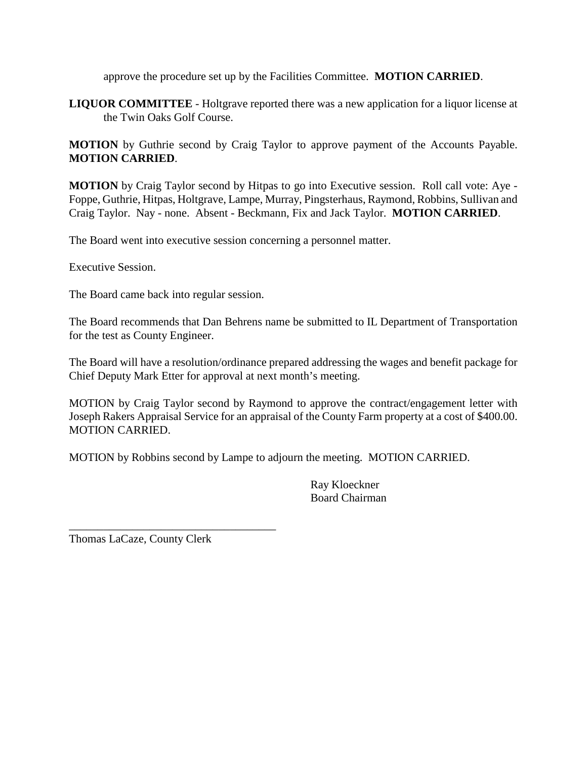approve the procedure set up by the Facilities Committee. **MOTION CARRIED**.

**LIQUOR COMMITTEE** - Holtgrave reported there was a new application for a liquor license at the Twin Oaks Golf Course.

**MOTION** by Guthrie second by Craig Taylor to approve payment of the Accounts Payable. **MOTION CARRIED**.

**MOTION** by Craig Taylor second by Hitpas to go into Executive session. Roll call vote: Aye - Foppe, Guthrie, Hitpas, Holtgrave, Lampe, Murray, Pingsterhaus, Raymond, Robbins, Sullivan and Craig Taylor. Nay - none. Absent - Beckmann, Fix and Jack Taylor. **MOTION CARRIED**.

The Board went into executive session concerning a personnel matter.

Executive Session.

The Board came back into regular session.

The Board recommends that Dan Behrens name be submitted to IL Department of Transportation for the test as County Engineer.

The Board will have a resolution/ordinance prepared addressing the wages and benefit package for Chief Deputy Mark Etter for approval at next month's meeting.

MOTION by Craig Taylor second by Raymond to approve the contract/engagement letter with Joseph Rakers Appraisal Service for an appraisal of the County Farm property at a cost of \$400.00. MOTION CARRIED.

MOTION by Robbins second by Lampe to adjourn the meeting. MOTION CARRIED.

Ray Kloeckner Board Chairman

Thomas LaCaze, County Clerk

\_\_\_\_\_\_\_\_\_\_\_\_\_\_\_\_\_\_\_\_\_\_\_\_\_\_\_\_\_\_\_\_\_\_\_\_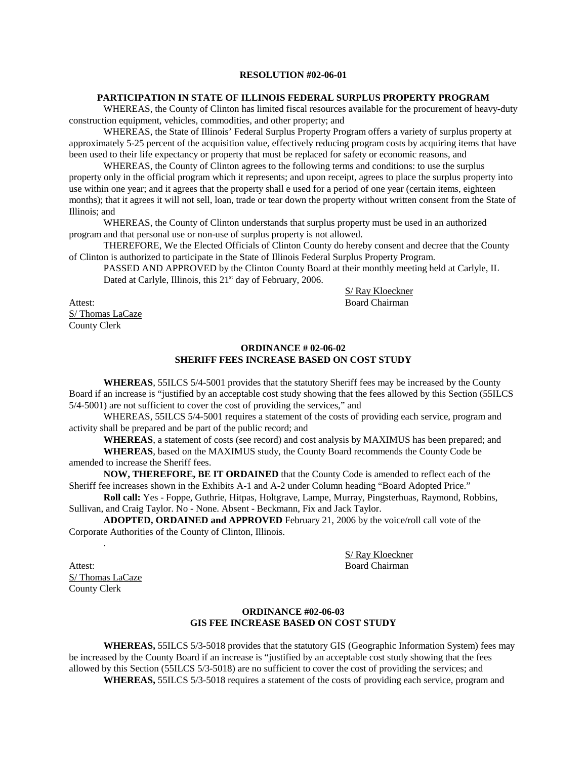### **RESOLUTION #02-06-01**

### **PARTICIPATION IN STATE OF ILLINOIS FEDERAL SURPLUS PROPERTY PROGRAM**

WHEREAS, the County of Clinton has limited fiscal resources available for the procurement of heavy-duty construction equipment, vehicles, commodities, and other property; and

WHEREAS, the State of Illinois' Federal Surplus Property Program offers a variety of surplus property at approximately 5-25 percent of the acquisition value, effectively reducing program costs by acquiring items that have been used to their life expectancy or property that must be replaced for safety or economic reasons, and

WHEREAS, the County of Clinton agrees to the following terms and conditions: to use the surplus property only in the official program which it represents; and upon receipt, agrees to place the surplus property into use within one year; and it agrees that the property shall e used for a period of one year (certain items, eighteen months); that it agrees it will not sell, loan, trade or tear down the property without written consent from the State of Illinois; and

WHEREAS, the County of Clinton understands that surplus property must be used in an authorized program and that personal use or non-use of surplus property is not allowed.

THEREFORE, We the Elected Officials of Clinton County do hereby consent and decree that the County of Clinton is authorized to participate in the State of Illinois Federal Surplus Property Program.

PASSED AND APPROVED by the Clinton County Board at their monthly meeting held at Carlyle, IL Dated at Carlyle, Illinois, this 21<sup>st</sup> day of February, 2006.

S/ Thomas LaCaze

County Clerk

Attest: Board Chairman

S/ Ray Kloeckner

## **ORDINANCE # 02-06-02 SHERIFF FEES INCREASE BASED ON COST STUDY**

**WHEREAS**, 55ILCS 5/4-5001 provides that the statutory Sheriff fees may be increased by the County Board if an increase is "justified by an acceptable cost study showing that the fees allowed by this Section (55ILCS 5/4-5001) are not sufficient to cover the cost of providing the services," and

WHEREAS, 55ILCS 5/4-5001 requires a statement of the costs of providing each service, program and activity shall be prepared and be part of the public record; and

**WHEREAS**, a statement of costs (see record) and cost analysis by MAXIMUS has been prepared; and

**WHEREAS**, based on the MAXIMUS study, the County Board recommends the County Code be amended to increase the Sheriff fees.

**NOW, THEREFORE, BE IT ORDAINED** that the County Code is amended to reflect each of the Sheriff fee increases shown in the Exhibits A-1 and A-2 under Column heading "Board Adopted Price."

**Roll call:** Yes - Foppe, Guthrie, Hitpas, Holtgrave, Lampe, Murray, Pingsterhuas, Raymond, Robbins, Sullivan, and Craig Taylor. No - None. Absent - Beckmann, Fix and Jack Taylor.

**ADOPTED, ORDAINED and APPROVED** February 21, 2006 by the voice/roll call vote of the Corporate Authorities of the County of Clinton, Illinois.

S/ Ray Kloeckner Attest: Board Chairman

S/Thomas LaCaze County Clerk

.

### **ORDINANCE #02-06-03 GIS FEE INCREASE BASED ON COST STUDY**

**WHEREAS,** 55ILCS 5/3-5018 provides that the statutory GIS (Geographic Information System) fees may be increased by the County Board if an increase is "justified by an acceptable cost study showing that the fees allowed by this Section (55ILCS 5/3-5018) are no sufficient to cover the cost of providing the services; and **WHEREAS,** 55ILCS 5/3-5018 requires a statement of the costs of providing each service, program and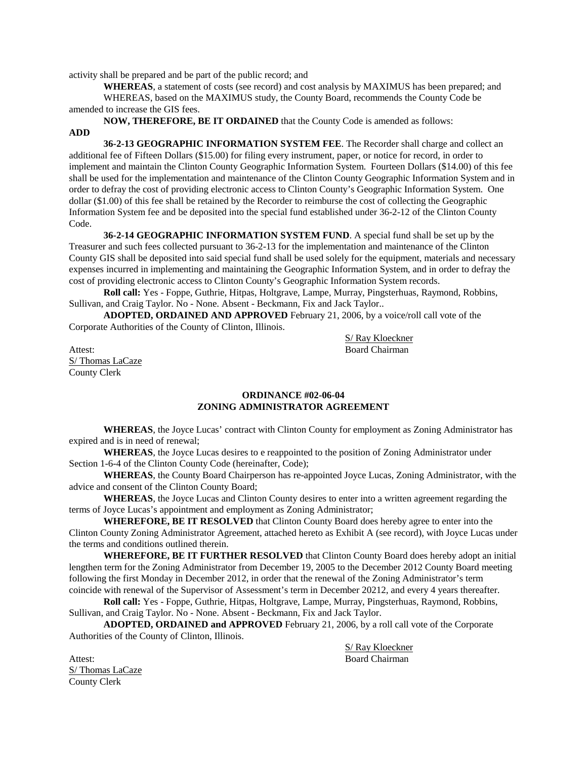activity shall be prepared and be part of the public record; and

**WHEREAS**, a statement of costs (see record) and cost analysis by MAXIMUS has been prepared; and WHEREAS, based on the MAXIMUS study, the County Board, recommends the County Code be amended to increase the GIS fees.

**NOW, THEREFORE, BE IT ORDAINED** that the County Code is amended as follows:

## **ADD**

**36-2-13 GEOGRAPHIC INFORMATION SYSTEM FEE**. The Recorder shall charge and collect an additional fee of Fifteen Dollars (\$15.00) for filing every instrument, paper, or notice for record, in order to implement and maintain the Clinton County Geographic Information System. Fourteen Dollars (\$14.00) of this fee shall be used for the implementation and maintenance of the Clinton County Geographic Information System and in order to defray the cost of providing electronic access to Clinton County's Geographic Information System. One dollar (\$1.00) of this fee shall be retained by the Recorder to reimburse the cost of collecting the Geographic Information System fee and be deposited into the special fund established under 36-2-12 of the Clinton County Code.

**36-2-14 GEOGRAPHIC INFORMATION SYSTEM FUND**. A special fund shall be set up by the Treasurer and such fees collected pursuant to 36-2-13 for the implementation and maintenance of the Clinton County GIS shall be deposited into said special fund shall be used solely for the equipment, materials and necessary expenses incurred in implementing and maintaining the Geographic Information System, and in order to defray the cost of providing electronic access to Clinton County's Geographic Information System records.

**Roll call:** Yes - Foppe, Guthrie, Hitpas, Holtgrave, Lampe, Murray, Pingsterhuas, Raymond, Robbins, Sullivan, and Craig Taylor. No - None. Absent - Beckmann, Fix and Jack Taylor..

**ADOPTED, ORDAINED AND APPROVED** February 21, 2006, by a voice/roll call vote of the Corporate Authorities of the County of Clinton, Illinois.

S/ Ray Kloeckner Attest: Board Chairman

S/ Thomas LaCaze County Clerk

### **ORDINANCE #02-06-04 ZONING ADMINISTRATOR AGREEMENT**

**WHEREAS**, the Joyce Lucas' contract with Clinton County for employment as Zoning Administrator has expired and is in need of renewal;

**WHEREAS**, the Joyce Lucas desires to e reappointed to the position of Zoning Administrator under Section 1-6-4 of the Clinton County Code (hereinafter, Code);

**WHEREAS**, the County Board Chairperson has re-appointed Joyce Lucas, Zoning Administrator, with the advice and consent of the Clinton County Board;

**WHEREAS**, the Joyce Lucas and Clinton County desires to enter into a written agreement regarding the terms of Joyce Lucas's appointment and employment as Zoning Administrator;

**WHEREFORE, BE IT RESOLVED** that Clinton County Board does hereby agree to enter into the Clinton County Zoning Administrator Agreement, attached hereto as Exhibit A (see record), with Joyce Lucas under the terms and conditions outlined therein.

**WHEREFORE, BE IT FURTHER RESOLVED** that Clinton County Board does hereby adopt an initial lengthen term for the Zoning Administrator from December 19, 2005 to the December 2012 County Board meeting following the first Monday in December 2012, in order that the renewal of the Zoning Administrator's term coincide with renewal of the Supervisor of Assessment's term in December 20212, and every 4 years thereafter.

**Roll call:** Yes - Foppe, Guthrie, Hitpas, Holtgrave, Lampe, Murray, Pingsterhuas, Raymond, Robbins, Sullivan, and Craig Taylor. No - None. Absent - Beckmann, Fix and Jack Taylor.

**ADOPTED, ORDAINED and APPROVED** February 21, 2006, by a roll call vote of the Corporate Authorities of the County of Clinton, Illinois.

Attest: Board Chairman S/ Thomas LaCaze County Clerk

S/ Ray Kloeckner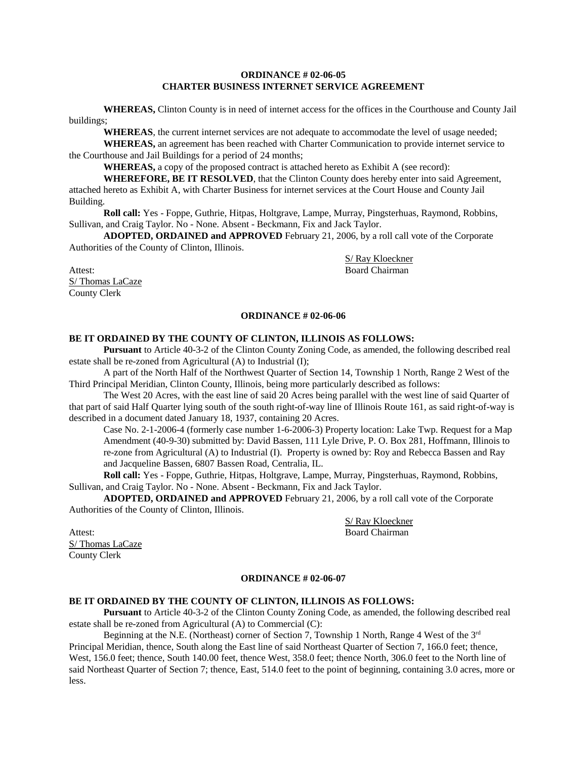### **ORDINANCE # 02-06-05 CHARTER BUSINESS INTERNET SERVICE AGREEMENT**

**WHEREAS,** Clinton County is in need of internet access for the offices in the Courthouse and County Jail buildings;

**WHEREAS**, the current internet services are not adequate to accommodate the level of usage needed;

**WHEREAS,** an agreement has been reached with Charter Communication to provide internet service to the Courthouse and Jail Buildings for a period of 24 months;

**WHEREAS,** a copy of the proposed contract is attached hereto as Exhibit A (see record):

**WHEREFORE, BE IT RESOLVED**, that the Clinton County does hereby enter into said Agreement, attached hereto as Exhibit A, with Charter Business for internet services at the Court House and County Jail Building.

**Roll call:** Yes - Foppe, Guthrie, Hitpas, Holtgrave, Lampe, Murray, Pingsterhuas, Raymond, Robbins, Sullivan, and Craig Taylor. No - None. Absent - Beckmann, Fix and Jack Taylor.

**ADOPTED, ORDAINED and APPROVED** February 21, 2006, by a roll call vote of the Corporate Authorities of the County of Clinton, Illinois.

S/ Ray Kloeckner Attest: Board Chairman

S/ Thomas LaCaze County Clerk

### **ORDINANCE # 02-06-06**

### **BE IT ORDAINED BY THE COUNTY OF CLINTON, ILLINOIS AS FOLLOWS:**

**Pursuant** to Article 40-3-2 of the Clinton County Zoning Code, as amended, the following described real estate shall be re-zoned from Agricultural (A) to Industrial (I);

A part of the North Half of the Northwest Quarter of Section 14, Township 1 North, Range 2 West of the Third Principal Meridian, Clinton County, Illinois, being more particularly described as follows:

The West 20 Acres, with the east line of said 20 Acres being parallel with the west line of said Quarter of that part of said Half Quarter lying south of the south right-of-way line of Illinois Route 161, as said right-of-way is described in a document dated January 18, 1937, containing 20 Acres.

Case No. 2-1-2006-4 (formerly case number 1-6-2006-3) Property location: Lake Twp. Request for a Map Amendment (40-9-30) submitted by: David Bassen, 111 Lyle Drive, P. O. Box 281, Hoffmann, Illinois to re-zone from Agricultural (A) to Industrial (I). Property is owned by: Roy and Rebecca Bassen and Ray and Jacqueline Bassen, 6807 Bassen Road, Centralia, IL.

**Roll call:** Yes - Foppe, Guthrie, Hitpas, Holtgrave, Lampe, Murray, Pingsterhuas, Raymond, Robbins, Sullivan, and Craig Taylor. No - None. Absent - Beckmann, Fix and Jack Taylor.

**ADOPTED, ORDAINED and APPROVED** February 21, 2006, by a roll call vote of the Corporate Authorities of the County of Clinton, Illinois.

S/ Ray Kloeckner Attest: Board Chairman

S/ Thomas LaCaze County Clerk

### **ORDINANCE # 02-06-07**

### **BE IT ORDAINED BY THE COUNTY OF CLINTON, ILLINOIS AS FOLLOWS:**

**Pursuant** to Article 40-3-2 of the Clinton County Zoning Code, as amended, the following described real estate shall be re-zoned from Agricultural (A) to Commercial (C):

Beginning at the N.E. (Northeast) corner of Section 7, Township 1 North, Range 4 West of the  $3<sup>rd</sup>$ Principal Meridian, thence, South along the East line of said Northeast Quarter of Section 7, 166.0 feet; thence, West, 156.0 feet; thence, South 140.00 feet, thence West, 358.0 feet; thence North, 306.0 feet to the North line of said Northeast Quarter of Section 7; thence, East, 514.0 feet to the point of beginning, containing 3.0 acres, more or less.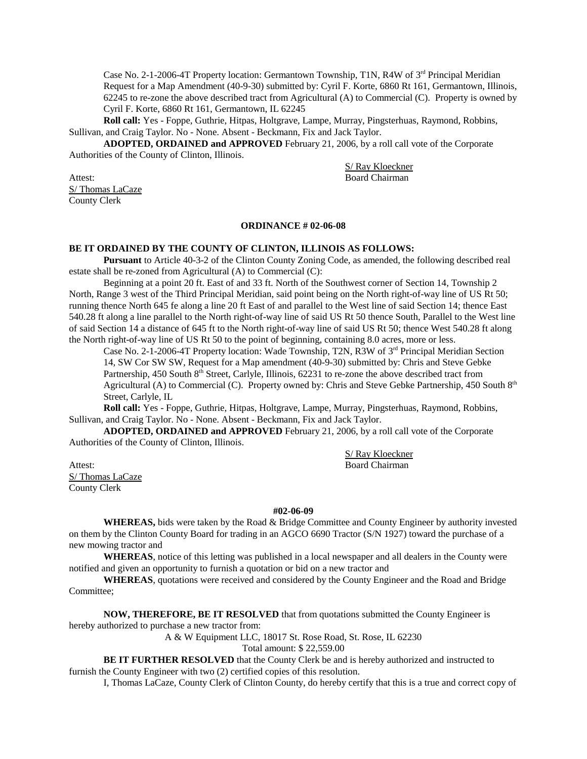Case No. 2-1-2006-4T Property location: Germantown Township, T1N, R4W of  $3<sup>rd</sup>$  Principal Meridian Request for a Map Amendment (40-9-30) submitted by: Cyril F. Korte, 6860 Rt 161, Germantown, Illinois, 62245 to re-zone the above described tract from Agricultural (A) to Commercial (C). Property is owned by Cyril F. Korte, 6860 Rt 161, Germantown, IL 62245

**Roll call:** Yes - Foppe, Guthrie, Hitpas, Holtgrave, Lampe, Murray, Pingsterhuas, Raymond, Robbins, Sullivan, and Craig Taylor. No - None. Absent - Beckmann, Fix and Jack Taylor.

**ADOPTED, ORDAINED and APPROVED** February 21, 2006, by a roll call vote of the Corporate Authorities of the County of Clinton, Illinois.

S/ Ray Kloeckner Attest: Board Chairman

S/ Thomas LaCaze County Clerk

### **ORDINANCE # 02-06-08**

### **BE IT ORDAINED BY THE COUNTY OF CLINTON, ILLINOIS AS FOLLOWS:**

**Pursuant** to Article 40-3-2 of the Clinton County Zoning Code, as amended, the following described real estate shall be re-zoned from Agricultural (A) to Commercial (C):

Beginning at a point 20 ft. East of and 33 ft. North of the Southwest corner of Section 14, Township 2 North, Range 3 west of the Third Principal Meridian, said point being on the North right-of-way line of US Rt 50; running thence North 645 fe along a line 20 ft East of and parallel to the West line of said Section 14; thence East 540.28 ft along a line parallel to the North right-of-way line of said US Rt 50 thence South, Parallel to the West line of said Section 14 a distance of 645 ft to the North right-of-way line of said US Rt 50; thence West 540.28 ft along the North right-of-way line of US Rt 50 to the point of beginning, containing 8.0 acres, more or less.

Case No. 2-1-2006-4T Property location: Wade Township, T2N, R3W of 3<sup>rd</sup> Principal Meridian Section 14, SW Cor SW SW, Request for a Map amendment (40-9-30) submitted by: Chris and Steve Gebke Partnership, 450 South  $8<sup>th</sup>$  Street, Carlyle, Illinois, 62231 to re-zone the above described tract from Agricultural (A) to Commercial (C). Property owned by: Chris and Steve Gebke Partnership, 450 South 8<sup>th</sup> Street, Carlyle, IL

**Roll call:** Yes - Foppe, Guthrie, Hitpas, Holtgrave, Lampe, Murray, Pingsterhuas, Raymond, Robbins, Sullivan, and Craig Taylor. No - None. Absent - Beckmann, Fix and Jack Taylor.

**ADOPTED, ORDAINED and APPROVED** February 21, 2006, by a roll call vote of the Corporate Authorities of the County of Clinton, Illinois.

S/ Ray Kloeckner Attest: Board Chairman

S/Thomas LaCaze County Clerk

### **#02-06-09**

**WHEREAS,** bids were taken by the Road & Bridge Committee and County Engineer by authority invested on them by the Clinton County Board for trading in an AGCO 6690 Tractor (S/N 1927) toward the purchase of a new mowing tractor and

**WHEREAS**, notice of this letting was published in a local newspaper and all dealers in the County were notified and given an opportunity to furnish a quotation or bid on a new tractor and

**WHEREAS**, quotations were received and considered by the County Engineer and the Road and Bridge Committee;

**NOW, THEREFORE, BE IT RESOLVED** that from quotations submitted the County Engineer is

hereby authorized to purchase a new tractor from:

A & W Equipment LLC, 18017 St. Rose Road, St. Rose, IL 62230

Total amount: \$ 22,559.00

**BE IT FURTHER RESOLVED** that the County Clerk be and is hereby authorized and instructed to furnish the County Engineer with two (2) certified copies of this resolution.

I, Thomas LaCaze, County Clerk of Clinton County, do hereby certify that this is a true and correct copy of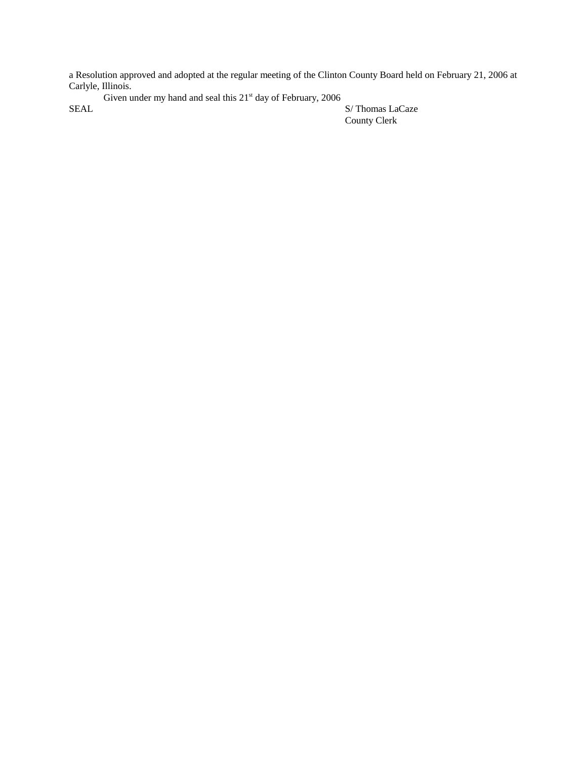a Resolution approved and adopted at the regular meeting of the Clinton County Board held on February 21, 2006 at Carlyle, Illinois.

Given under my hand and seal this  $21<sup>st</sup>$  day of February, 2006 SEAL S/ Thomas LaCaze

County Clerk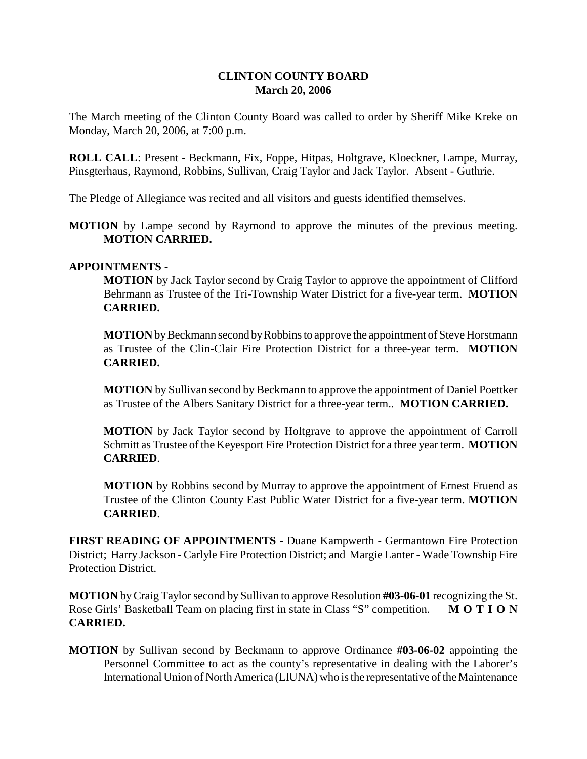# **CLINTON COUNTY BOARD March 20, 2006**

The March meeting of the Clinton County Board was called to order by Sheriff Mike Kreke on Monday, March 20, 2006, at 7:00 p.m.

**ROLL CALL**: Present - Beckmann, Fix, Foppe, Hitpas, Holtgrave, Kloeckner, Lampe, Murray, Pinsgterhaus, Raymond, Robbins, Sullivan, Craig Taylor and Jack Taylor. Absent - Guthrie.

The Pledge of Allegiance was recited and all visitors and guests identified themselves.

**MOTION** by Lampe second by Raymond to approve the minutes of the previous meeting. **MOTION CARRIED.**

# **APPOINTMENTS -**

**MOTION** by Jack Taylor second by Craig Taylor to approve the appointment of Clifford Behrmann as Trustee of the Tri-Township Water District for a five-year term. **MOTION CARRIED.**

**MOTION** by Beckmann second by Robbins to approve the appointment of Steve Horstmann as Trustee of the Clin-Clair Fire Protection District for a three-year term. **MOTION CARRIED.**

**MOTION** by Sullivan second by Beckmann to approve the appointment of Daniel Poettker as Trustee of the Albers Sanitary District for a three-year term.. **MOTION CARRIED.**

**MOTION** by Jack Taylor second by Holtgrave to approve the appointment of Carroll Schmitt as Trustee of the Keyesport Fire Protection District for a three year term. **MOTION CARRIED**.

**MOTION** by Robbins second by Murray to approve the appointment of Ernest Fruend as Trustee of the Clinton County East Public Water District for a five-year term. **MOTION CARRIED**.

**FIRST READING OF APPOINTMENTS** - Duane Kampwerth - Germantown Fire Protection District; Harry Jackson - Carlyle Fire Protection District; and Margie Lanter - Wade Township Fire Protection District.

**MOTION** by Craig Taylor second by Sullivan to approve Resolution **#03-06-01** recognizing the St. Rose Girls' Basketball Team on placing first in state in Class "S" competition. **M O T I O N CARRIED.**

**MOTION** by Sullivan second by Beckmann to approve Ordinance **#03-06-02** appointing the Personnel Committee to act as the county's representative in dealing with the Laborer's International Union of North America (LIUNA) who is the representative of the Maintenance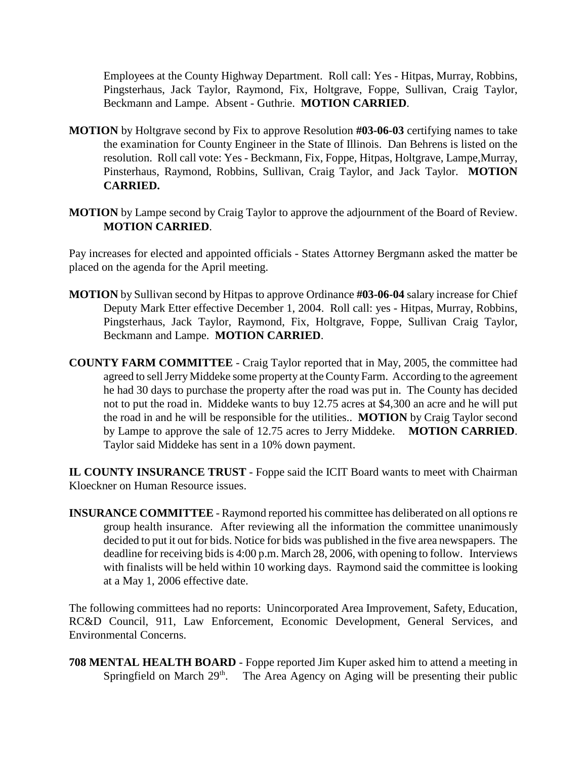Employees at the County Highway Department. Roll call: Yes - Hitpas, Murray, Robbins, Pingsterhaus, Jack Taylor, Raymond, Fix, Holtgrave, Foppe, Sullivan, Craig Taylor, Beckmann and Lampe. Absent - Guthrie. **MOTION CARRIED**.

- **MOTION** by Holtgrave second by Fix to approve Resolution **#03-06-03** certifying names to take the examination for County Engineer in the State of Illinois. Dan Behrens is listed on the resolution. Roll call vote: Yes - Beckmann, Fix, Foppe, Hitpas, Holtgrave, Lampe,Murray, Pinsterhaus, Raymond, Robbins, Sullivan, Craig Taylor, and Jack Taylor. **MOTION CARRIED.**
- **MOTION** by Lampe second by Craig Taylor to approve the adjournment of the Board of Review. **MOTION CARRIED**.

Pay increases for elected and appointed officials - States Attorney Bergmann asked the matter be placed on the agenda for the April meeting.

- **MOTION** by Sullivan second by Hitpas to approve Ordinance **#03-06-04** salary increase for Chief Deputy Mark Etter effective December 1, 2004. Roll call: yes - Hitpas, Murray, Robbins, Pingsterhaus, Jack Taylor, Raymond, Fix, Holtgrave, Foppe, Sullivan Craig Taylor, Beckmann and Lampe. **MOTION CARRIED**.
- **COUNTY FARM COMMITTEE** Craig Taylor reported that in May, 2005, the committee had agreed to sell Jerry Middeke some property at the County Farm. According to the agreement he had 30 days to purchase the property after the road was put in. The County has decided not to put the road in. Middeke wants to buy 12.75 acres at \$4,300 an acre and he will put the road in and he will be responsible for the utilities.. **MOTION** by Craig Taylor second by Lampe to approve the sale of 12.75 acres to Jerry Middeke. **MOTION CARRIED**. Taylor said Middeke has sent in a 10% down payment.

**IL COUNTY INSURANCE TRUST** - Foppe said the ICIT Board wants to meet with Chairman Kloeckner on Human Resource issues.

**INSURANCE COMMITTEE** - Raymond reported his committee has deliberated on all options re group health insurance. After reviewing all the information the committee unanimously decided to put it out for bids. Notice for bids was published in the five area newspapers. The deadline for receiving bids is 4:00 p.m. March 28, 2006, with opening to follow. Interviews with finalists will be held within 10 working days. Raymond said the committee is looking at a May 1, 2006 effective date.

The following committees had no reports: Unincorporated Area Improvement, Safety, Education, RC&D Council, 911, Law Enforcement, Economic Development, General Services, and Environmental Concerns.

**708 MENTAL HEALTH BOARD** - Foppe reported Jim Kuper asked him to attend a meeting in Springfield on March  $29<sup>th</sup>$ . The Area Agency on Aging will be presenting their public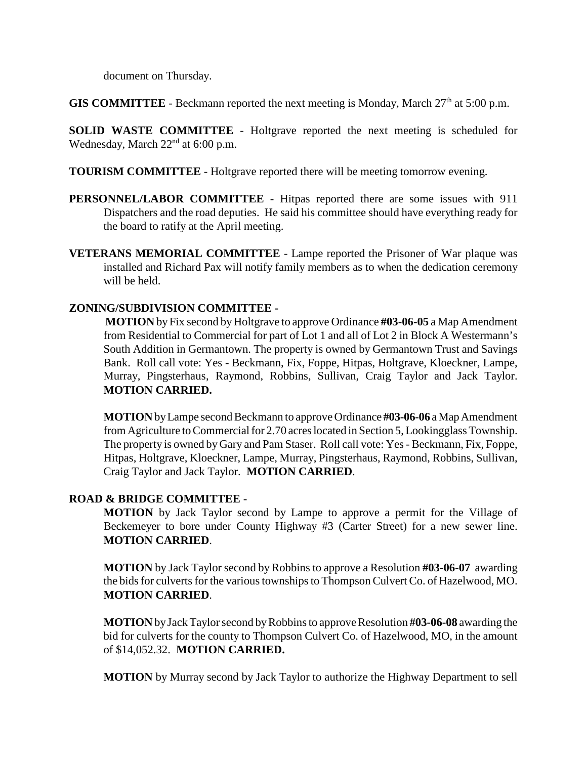document on Thursday.

**GIS COMMITTEE** - Beckmann reported the next meeting is Monday, March  $27<sup>th</sup>$  at  $5:00$  p.m.

**SOLID WASTE COMMITTEE** - Holtgrave reported the next meeting is scheduled for Wednesday, March  $22<sup>nd</sup>$  at 6:00 p.m.

**TOURISM COMMITTEE** - Holtgrave reported there will be meeting tomorrow evening.

**PERSONNEL/LABOR COMMITTEE** - Hitpas reported there are some issues with 911 Dispatchers and the road deputies. He said his committee should have everything ready for the board to ratify at the April meeting.

**VETERANS MEMORIAL COMMITTEE** - Lampe reported the Prisoner of War plaque was installed and Richard Pax will notify family members as to when the dedication ceremony will be held.

## **ZONING/SUBDIVISION COMMITTEE -**

 **MOTION** by Fix second by Holtgrave to approve Ordinance **#03-06-05** a Map Amendment from Residential to Commercial for part of Lot 1 and all of Lot 2 in Block A Westermann's South Addition in Germantown. The property is owned by Germantown Trust and Savings Bank. Roll call vote: Yes - Beckmann, Fix, Foppe, Hitpas, Holtgrave, Kloeckner, Lampe, Murray, Pingsterhaus, Raymond, Robbins, Sullivan, Craig Taylor and Jack Taylor. **MOTION CARRIED.**

**MOTION** by Lampe second Beckmann to approve Ordinance **#03-06-06** a Map Amendment from Agriculture to Commercial for 2.70 acres located in Section 5, Lookingglass Township. The property is owned by Gary and Pam Staser. Roll call vote: Yes - Beckmann, Fix, Foppe, Hitpas, Holtgrave, Kloeckner, Lampe, Murray, Pingsterhaus, Raymond, Robbins, Sullivan, Craig Taylor and Jack Taylor. **MOTION CARRIED**.

## **ROAD & BRIDGE COMMITTEE** -

**MOTION** by Jack Taylor second by Lampe to approve a permit for the Village of Beckemeyer to bore under County Highway #3 (Carter Street) for a new sewer line. **MOTION CARRIED**.

**MOTION** by Jack Taylor second by Robbins to approve a Resolution **#03-06-07** awarding the bids for culverts for the various townships to Thompson Culvert Co. of Hazelwood, MO. **MOTION CARRIED**.

**MOTION** by Jack Taylor second by Robbins to approve Resolution **#03-06-08** awarding the bid for culverts for the county to Thompson Culvert Co. of Hazelwood, MO, in the amount of \$14,052.32. **MOTION CARRIED.**

**MOTION** by Murray second by Jack Taylor to authorize the Highway Department to sell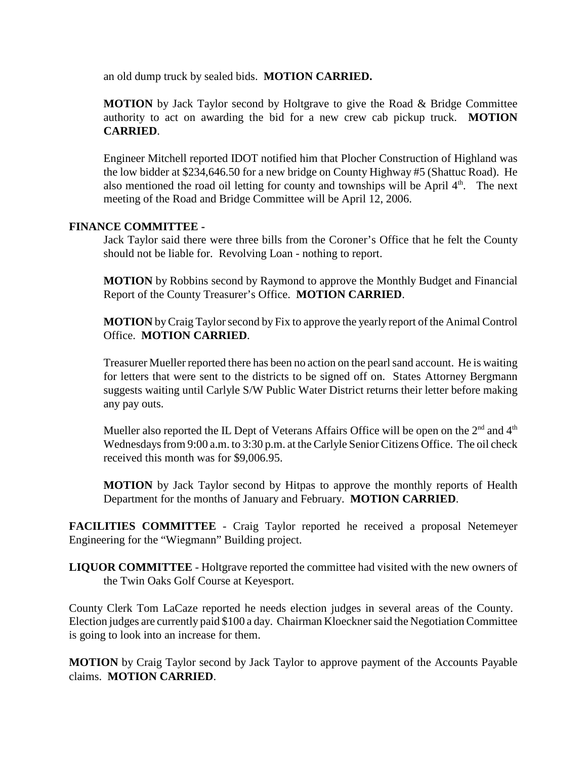an old dump truck by sealed bids. **MOTION CARRIED.**

**MOTION** by Jack Taylor second by Holtgrave to give the Road & Bridge Committee authority to act on awarding the bid for a new crew cab pickup truck. **MOTION CARRIED**.

Engineer Mitchell reported IDOT notified him that Plocher Construction of Highland was the low bidder at \$234,646.50 for a new bridge on County Highway #5 (Shattuc Road). He also mentioned the road oil letting for county and townships will be April  $4<sup>th</sup>$ . The next meeting of the Road and Bridge Committee will be April 12, 2006.

## **FINANCE COMMITTEE -**

Jack Taylor said there were three bills from the Coroner's Office that he felt the County should not be liable for. Revolving Loan - nothing to report.

**MOTION** by Robbins second by Raymond to approve the Monthly Budget and Financial Report of the County Treasurer's Office. **MOTION CARRIED**.

**MOTION** by Craig Taylor second by Fix to approve the yearly report of the Animal Control Office. **MOTION CARRIED**.

Treasurer Mueller reported there has been no action on the pearl sand account. He is waiting for letters that were sent to the districts to be signed off on. States Attorney Bergmann suggests waiting until Carlyle S/W Public Water District returns their letter before making any pay outs.

Mueller also reported the IL Dept of Veterans Affairs Office will be open on the  $2<sup>nd</sup>$  and  $4<sup>th</sup>$ Wednesdays from 9:00 a.m. to 3:30 p.m. at the Carlyle Senior Citizens Office. The oil check received this month was for \$9,006.95.

**MOTION** by Jack Taylor second by Hitpas to approve the monthly reports of Health Department for the months of January and February. **MOTION CARRIED**.

**FACILITIES COMMITTEE** - Craig Taylor reported he received a proposal Netemeyer Engineering for the "Wiegmann" Building project.

**LIQUOR COMMITTEE** - Holtgrave reported the committee had visited with the new owners of the Twin Oaks Golf Course at Keyesport.

County Clerk Tom LaCaze reported he needs election judges in several areas of the County. Election judges are currently paid \$100 a day. Chairman Kloeckner said the Negotiation Committee is going to look into an increase for them.

**MOTION** by Craig Taylor second by Jack Taylor to approve payment of the Accounts Payable claims. **MOTION CARRIED**.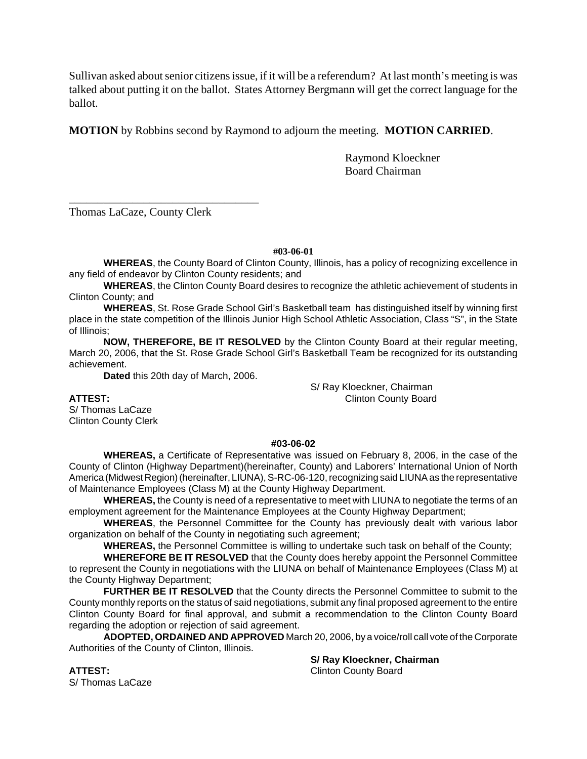Sullivan asked about senior citizens issue, if it will be a referendum? At last month's meeting is was talked about putting it on the ballot. States Attorney Bergmann will get the correct language for the ballot.

**MOTION** by Robbins second by Raymond to adjourn the meeting. **MOTION CARRIED**.

Raymond Kloeckner Board Chairman

Thomas LaCaze, County Clerk

\_\_\_\_\_\_\_\_\_\_\_\_\_\_\_\_\_\_\_\_\_\_\_\_\_\_\_\_\_\_\_\_\_

**#03-06-01**

**WHEREAS**, the County Board of Clinton County, Illinois, has a policy of recognizing excellence in any field of endeavor by Clinton County residents; and

**WHEREAS**, the Clinton County Board desires to recognize the athletic achievement of students in Clinton County; and

**WHEREAS**, St. Rose Grade School Girl's Basketball team has distinguished itself by winning first place in the state competition of the Illinois Junior High School Athletic Association, Class "S", in the State of Illinois;

**NOW, THEREFORE, BE IT RESOLVED** by the Clinton County Board at their regular meeting, March 20, 2006, that the St. Rose Grade School Girl's Basketball Team be recognized for its outstanding achievement.

**Dated** this 20th day of March, 2006.

S/ Ray Kloeckner, Chairman **ATTEST:** Clinton County Board

S/ Thomas LaCaze Clinton County Clerk

## **#03-06-02**

**WHEREAS,** a Certificate of Representative was issued on February 8, 2006, in the case of the County of Clinton (Highway Department)(hereinafter, County) and Laborers' International Union of North America (Midwest Region) (hereinafter, LIUNA), S-RC-06-120, recognizing said LIUNA as the representative of Maintenance Employees (Class M) at the County Highway Department.

**WHEREAS,** the County is need of a representative to meet with LIUNA to negotiate the terms of an employment agreement for the Maintenance Employees at the County Highway Department;

**WHEREAS**, the Personnel Committee for the County has previously dealt with various labor organization on behalf of the County in negotiating such agreement;

**WHEREAS,** the Personnel Committee is willing to undertake such task on behalf of the County;

**WHEREFORE BE IT RESOLVED** that the County does hereby appoint the Personnel Committee to represent the County in negotiations with the LIUNA on behalf of Maintenance Employees (Class M) at the County Highway Department;

**FURTHER BE IT RESOLVED** that the County directs the Personnel Committee to submit to the County monthly reports on the status of said negotiations, submit any final proposed agreement to the entire Clinton County Board for final approval, and submit a recommendation to the Clinton County Board regarding the adoption or rejection of said agreement.

**ADOPTED, ORDAINED AND APPROVED** March 20, 2006, by a voice/roll call vote of the Corporate Authorities of the County of Clinton, Illinois.

**S/ Ray Kloeckner, Chairman ATTEST:** Clinton County Board

S/ Thomas LaCaze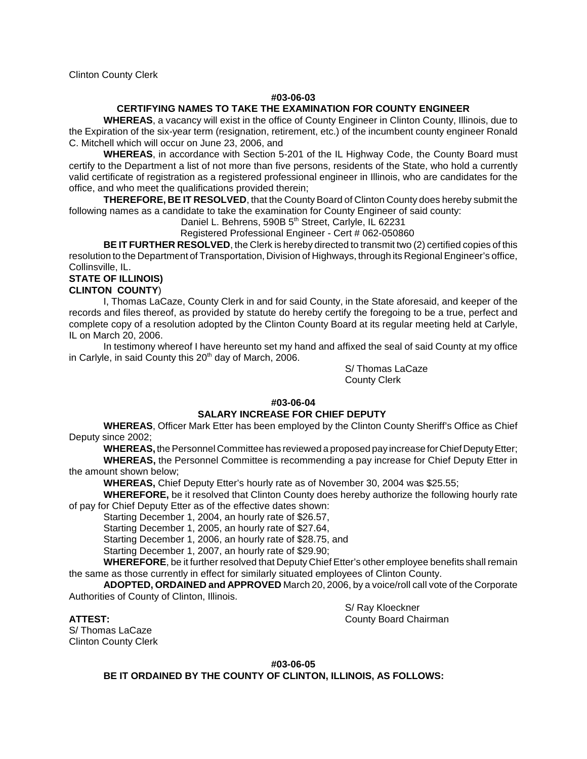Clinton County Clerk

### **#03-06-03**

## **CERTIFYING NAMES TO TAKE THE EXAMINATION FOR COUNTY ENGINEER**

**WHEREAS**, a vacancy will exist in the office of County Engineer in Clinton County, Illinois, due to the Expiration of the six-year term (resignation, retirement, etc.) of the incumbent county engineer Ronald C. Mitchell which will occur on June 23, 2006, and

**WHEREAS**, in accordance with Section 5-201 of the IL Highway Code, the County Board must certify to the Department a list of not more than five persons, residents of the State, who hold a currently valid certificate of registration as a registered professional engineer in Illinois, who are candidates for the office, and who meet the qualifications provided therein;

**THEREFORE, BE IT RESOLVED**, that the County Board of Clinton County does hereby submit the following names as a candidate to take the examination for County Engineer of said county:

Daniel L. Behrens, 590B 5<sup>th</sup> Street, Carlyle, IL 62231

Registered Professional Engineer - Cert # 062-050860

**BE IT FURTHER RESOLVED**, the Clerk is hereby directed to transmit two (2) certified copies of this resolution to the Department of Transportation, Division of Highways, through its Regional Engineer's office, Collinsville, IL.

## **STATE OF ILLINOIS)**

## **CLINTON COUNTY**)

I, Thomas LaCaze, County Clerk in and for said County, in the State aforesaid, and keeper of the records and files thereof, as provided by statute do hereby certify the foregoing to be a true, perfect and complete copy of a resolution adopted by the Clinton County Board at its regular meeting held at Carlyle, IL on March 20, 2006.

In testimony whereof I have hereunto set my hand and affixed the seal of said County at my office in Carlyle, in said County this  $20<sup>th</sup>$  day of March, 2006.

> S/ Thomas LaCaze County Clerk

## **#03-06-04**

## **SALARY INCREASE FOR CHIEF DEPUTY**

**WHEREAS**, Officer Mark Etter has been employed by the Clinton County Sheriff's Office as Chief Deputy since 2002;

**WHEREAS,** the Personnel Committee has reviewed a proposed pay increase for Chief Deputy Etter; **WHEREAS,** the Personnel Committee is recommending a pay increase for Chief Deputy Etter in

## the amount shown below;

**WHEREAS,** Chief Deputy Etter's hourly rate as of November 30, 2004 was \$25.55;

**WHEREFORE,** be it resolved that Clinton County does hereby authorize the following hourly rate of pay for Chief Deputy Etter as of the effective dates shown:

Starting December 1, 2004, an hourly rate of \$26.57,

Starting December 1, 2005, an hourly rate of \$27.64,

Starting December 1, 2006, an hourly rate of \$28.75, and

Starting December 1, 2007, an hourly rate of \$29.90;

**WHEREFORE**, be it further resolved that Deputy Chief Etter's other employee benefits shall remain the same as those currently in effect for similarly situated employees of Clinton County.

**ADOPTED, ORDAINED and APPROVED** March 20, 2006, by a voice/roll call vote of the Corporate Authorities of County of Clinton, Illinois.

S/ Thomas LaCaze Clinton County Clerk

S/ Ray Kloeckner **ATTEST:** County Board Chairman

**#03-06-05**

**BE IT ORDAINED BY THE COUNTY OF CLINTON, ILLINOIS, AS FOLLOWS:**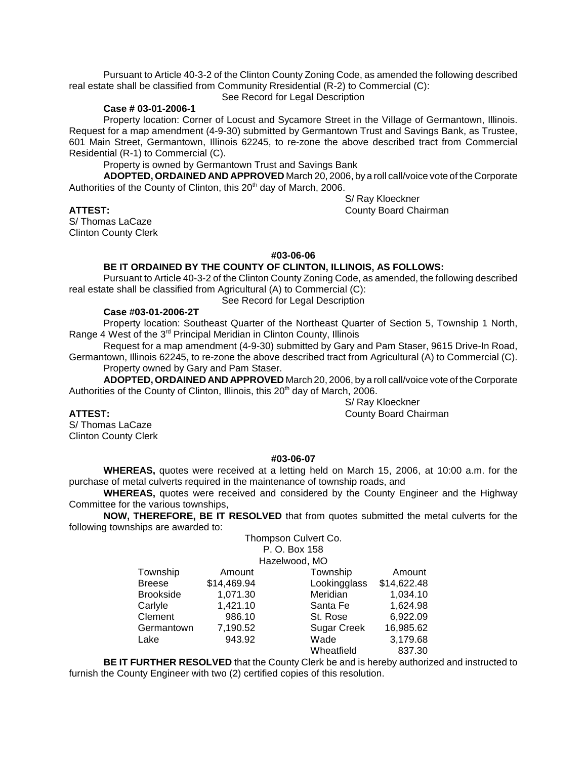Pursuant to Article 40-3-2 of the Clinton County Zoning Code, as amended the following described real estate shall be classified from Community Rresidential (R-2) to Commercial (C):

See Record for Legal Description

### **Case # 03-01-2006-1**

Property location: Corner of Locust and Sycamore Street in the Village of Germantown, Illinois. Request for a map amendment (4-9-30) submitted by Germantown Trust and Savings Bank, as Trustee, 601 Main Street, Germantown, Illinois 62245, to re-zone the above described tract from Commercial Residential (R-1) to Commercial (C).

Property is owned by Germantown Trust and Savings Bank

**ADOPTED, ORDAINED AND APPROVED** March 20, 2006, by a roll call/voice vote of the Corporate Authorities of the County of Clinton, this 20<sup>th</sup> day of March, 2006.

S/ Thomas LaCaze Clinton County Clerk

S/ Ray Kloeckner **ATTEST:** County Board Chairman

## **#03-06-06**

## **BE IT ORDAINED BY THE COUNTY OF CLINTON, ILLINOIS, AS FOLLOWS:**

Pursuant to Article 40-3-2 of the Clinton County Zoning Code, as amended, the following described real estate shall be classified from Agricultural (A) to Commercial (C):

See Record for Legal Description

## **Case #03-01-2006-2T**

Property location: Southeast Quarter of the Northeast Quarter of Section 5, Township 1 North, Range 4 West of the 3<sup>rd</sup> Principal Meridian in Clinton County, Illinois

Request for a map amendment (4-9-30) submitted by Gary and Pam Staser, 9615 Drive-In Road, Germantown, Illinois 62245, to re-zone the above described tract from Agricultural (A) to Commercial (C).

Property owned by Gary and Pam Staser.

**ADOPTED, ORDAINED AND APPROVED** March 20, 2006, by a roll call/voice vote of the Corporate Authorities of the County of Clinton, Illinois, this 20<sup>th</sup> day of March, 2006.

S/ Thomas LaCaze Clinton County Clerk

**ATTEST:** County Board Chairman

S/ Ray Kloeckner

## **#03-06-07**

**WHEREAS,** quotes were received at a letting held on March 15, 2006, at 10:00 a.m. for the purchase of metal culverts required in the maintenance of township roads, and

**WHEREAS,** quotes were received and considered by the County Engineer and the Highway Committee for the various townships,

**NOW, THEREFORE, BE IT RESOLVED** that from quotes submitted the metal culverts for the following townships are awarded to: Thompson Culvert Co.

|                  |             | P. O. Box 158      |             |
|------------------|-------------|--------------------|-------------|
|                  |             | Hazelwood, MO      |             |
| Township         | Amount      | Township           | Amount      |
| <b>Breese</b>    | \$14,469.94 | Lookingglass       | \$14,622.48 |
| <b>Brookside</b> | 1,071.30    | Meridian           | 1,034.10    |
| Carlyle          | 1,421.10    | Santa Fe           | 1,624.98    |
| Clement          | 986.10      | St. Rose           | 6,922.09    |
| Germantown       | 7,190.52    | <b>Sugar Creek</b> | 16,985.62   |
| Lake             | 943.92      | Wade               | 3,179.68    |
|                  |             | Wheatfield         | 837.30      |

**BE IT FURTHER RESOLVED** that the County Clerk be and is hereby authorized and instructed to furnish the County Engineer with two (2) certified copies of this resolution.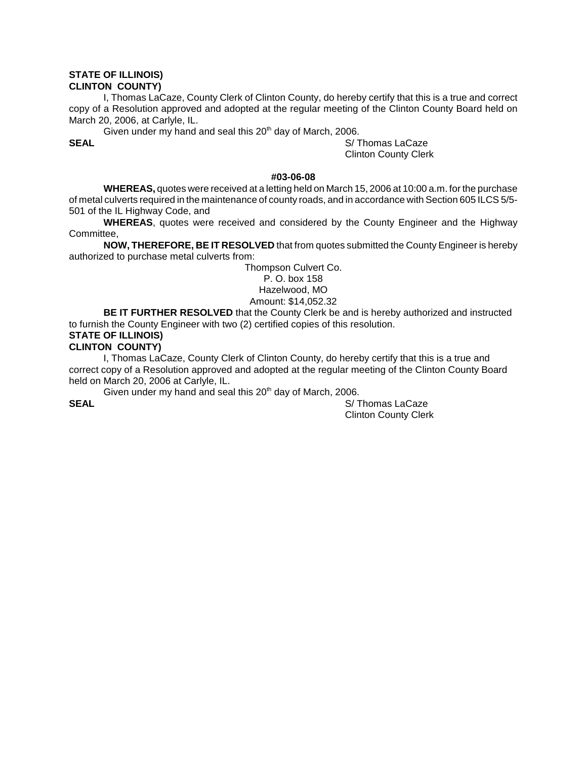### **STATE OF ILLINOIS) CLINTON COUNTY)**

I, Thomas LaCaze, County Clerk of Clinton County, do hereby certify that this is a true and correct copy of a Resolution approved and adopted at the regular meeting of the Clinton County Board held on March 20, 2006, at Carlyle, IL.

Given under my hand and seal this  $20<sup>th</sup>$  day of March, 2006.

**SEAL** S/ Thomas LaCaze Clinton County Clerk

## **#03-06-08**

**WHEREAS,** quotes were received at a letting held on March 15, 2006 at 10:00 a.m. for the purchase of metal culverts required in the maintenance of county roads, and in accordance with Section 605 ILCS 5/5- 501 of the IL Highway Code, and

**WHEREAS**, quotes were received and considered by the County Engineer and the Highway Committee,

**NOW, THEREFORE, BE IT RESOLVED** that from quotes submitted the County Engineer is hereby authorized to purchase metal culverts from:

> Thompson Culvert Co. P. O. box 158 Hazelwood, MO Amount: \$14,052.32

**BE IT FURTHER RESOLVED** that the County Clerk be and is hereby authorized and instructed to furnish the County Engineer with two (2) certified copies of this resolution.

# **STATE OF ILLINOIS)**

## **CLINTON COUNTY)**

I, Thomas LaCaze, County Clerk of Clinton County, do hereby certify that this is a true and correct copy of a Resolution approved and adopted at the regular meeting of the Clinton County Board held on March 20, 2006 at Carlyle, IL.

Given under my hand and seal this  $20<sup>th</sup>$  day of March, 2006.

**SEAL** S/ Thomas LaCaze Clinton County Clerk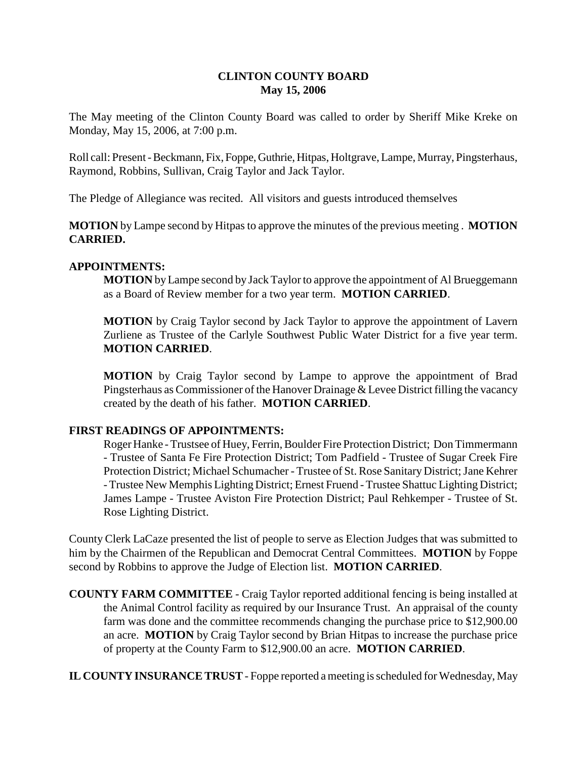# **CLINTON COUNTY BOARD May 15, 2006**

The May meeting of the Clinton County Board was called to order by Sheriff Mike Kreke on Monday, May 15, 2006, at 7:00 p.m.

Roll call: Present - Beckmann, Fix, Foppe, Guthrie, Hitpas, Holtgrave, Lampe, Murray, Pingsterhaus, Raymond, Robbins, Sullivan, Craig Taylor and Jack Taylor.

The Pledge of Allegiance was recited. All visitors and guests introduced themselves

**MOTION** by Lampe second by Hitpas to approve the minutes of the previous meeting . **MOTION CARRIED.**

## **APPOINTMENTS:**

**MOTION** by Lampe second by Jack Taylor to approve the appointment of Al Brueggemann as a Board of Review member for a two year term. **MOTION CARRIED**.

**MOTION** by Craig Taylor second by Jack Taylor to approve the appointment of Lavern Zurliene as Trustee of the Carlyle Southwest Public Water District for a five year term. **MOTION CARRIED**.

**MOTION** by Craig Taylor second by Lampe to approve the appointment of Brad Pingsterhaus as Commissioner of the Hanover Drainage & Levee District filling the vacancy created by the death of his father. **MOTION CARRIED**.

## **FIRST READINGS OF APPOINTMENTS:**

Roger Hanke - Trustsee of Huey, Ferrin, Boulder Fire Protection District; Don Timmermann - Trustee of Santa Fe Fire Protection District; Tom Padfield - Trustee of Sugar Creek Fire Protection District; Michael Schumacher - Trustee of St. Rose Sanitary District; Jane Kehrer - Trustee New Memphis Lighting District; Ernest Fruend - Trustee Shattuc Lighting District; James Lampe - Trustee Aviston Fire Protection District; Paul Rehkemper - Trustee of St. Rose Lighting District.

County Clerk LaCaze presented the list of people to serve as Election Judges that was submitted to him by the Chairmen of the Republican and Democrat Central Committees. **MOTION** by Foppe second by Robbins to approve the Judge of Election list. **MOTION CARRIED**.

**COUNTY FARM COMMITTEE** - Craig Taylor reported additional fencing is being installed at the Animal Control facility as required by our Insurance Trust. An appraisal of the county farm was done and the committee recommends changing the purchase price to \$12,900.00 an acre. **MOTION** by Craig Taylor second by Brian Hitpas to increase the purchase price of property at the County Farm to \$12,900.00 an acre. **MOTION CARRIED**.

**IL COUNTY INSURANCE TRUST** - Foppe reported a meeting is scheduled for Wednesday, May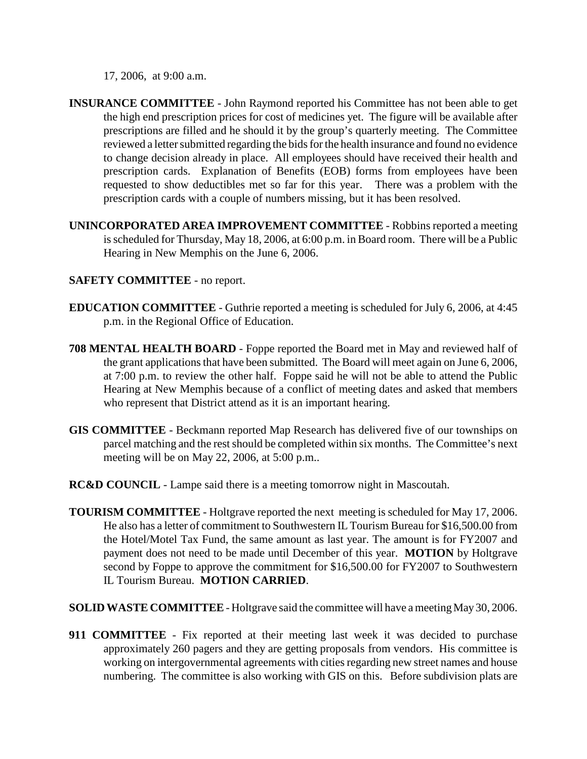17, 2006, at 9:00 a.m.

- **INSURANCE COMMITTEE**  John Raymond reported his Committee has not been able to get the high end prescription prices for cost of medicines yet. The figure will be available after prescriptions are filled and he should it by the group's quarterly meeting. The Committee reviewed a letter submitted regarding the bids for the health insurance and found no evidence to change decision already in place. All employees should have received their health and prescription cards. Explanation of Benefits (EOB) forms from employees have been requested to show deductibles met so far for this year. There was a problem with the prescription cards with a couple of numbers missing, but it has been resolved.
- **UNINCORPORATED AREA IMPROVEMENT COMMITTEE** Robbins reported a meeting is scheduled for Thursday, May 18, 2006, at 6:00 p.m. in Board room. There will be a Public Hearing in New Memphis on the June 6, 2006.

# **SAFETY COMMITTEE** - no report.

- **EDUCATION COMMITTEE** Guthrie reported a meeting is scheduled for July 6, 2006, at 4:45 p.m. in the Regional Office of Education.
- **708 MENTAL HEALTH BOARD** Foppe reported the Board met in May and reviewed half of the grant applications that have been submitted. The Board will meet again on June 6, 2006, at 7:00 p.m. to review the other half. Foppe said he will not be able to attend the Public Hearing at New Memphis because of a conflict of meeting dates and asked that members who represent that District attend as it is an important hearing.
- **GIS COMMITTEE**  Beckmann reported Map Research has delivered five of our townships on parcel matching and the rest should be completed within six months. The Committee's next meeting will be on May 22, 2006, at 5:00 p.m..
- **RC&D COUNCIL**  Lampe said there is a meeting tomorrow night in Mascoutah.
- **TOURISM COMMITTEE** Holtgrave reported the next meeting is scheduled for May 17, 2006. He also has a letter of commitment to Southwestern IL Tourism Bureau for \$16,500.00 from the Hotel/Motel Tax Fund, the same amount as last year. The amount is for FY2007 and payment does not need to be made until December of this year. **MOTION** by Holtgrave second by Foppe to approve the commitment for \$16,500.00 for FY2007 to Southwestern IL Tourism Bureau. **MOTION CARRIED**.
- **SOLID WASTE COMMITTEE** Holtgrave said the committee will have a meeting May 30, 2006.
- **911 COMMITTEE**  Fix reported at their meeting last week it was decided to purchase approximately 260 pagers and they are getting proposals from vendors. His committee is working on intergovernmental agreements with cities regarding new street names and house numbering. The committee is also working with GIS on this. Before subdivision plats are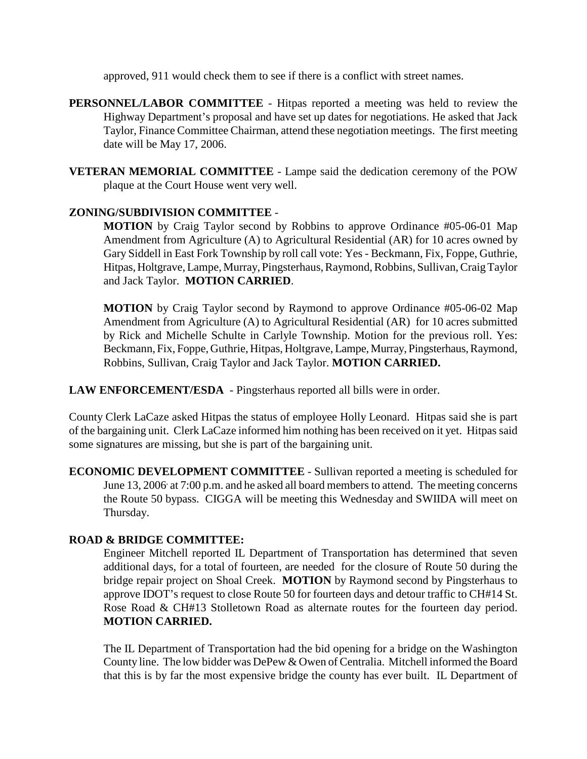approved, 911 would check them to see if there is a conflict with street names.

- **PERSONNEL/LABOR COMMITTEE**  Hitpas reported a meeting was held to review the Highway Department's proposal and have set up dates for negotiations. He asked that Jack Taylor, Finance Committee Chairman, attend these negotiation meetings. The first meeting date will be May 17, 2006.
- **VETERAN MEMORIAL COMMITTEE**  Lampe said the dedication ceremony of the POW plaque at the Court House went very well.

## **ZONING/SUBDIVISION COMMITTEE** -

**MOTION** by Craig Taylor second by Robbins to approve Ordinance #05-06-01 Map Amendment from Agriculture (A) to Agricultural Residential (AR) for 10 acres owned by Gary Siddell in East Fork Township by roll call vote: Yes - Beckmann, Fix, Foppe, Guthrie, Hitpas, Holtgrave, Lampe, Murray, Pingsterhaus, Raymond, Robbins, Sullivan, Craig Taylor and Jack Taylor. **MOTION CARRIED**.

**MOTION** by Craig Taylor second by Raymond to approve Ordinance #05-06-02 Map Amendment from Agriculture (A) to Agricultural Residential (AR) for 10 acres submitted by Rick and Michelle Schulte in Carlyle Township. Motion for the previous roll. Yes: Beckmann, Fix, Foppe, Guthrie, Hitpas, Holtgrave, Lampe, Murray, Pingsterhaus, Raymond, Robbins, Sullivan, Craig Taylor and Jack Taylor. **MOTION CARRIED.**

**LAW ENFORCEMENT/ESDA** - Pingsterhaus reported all bills were in order.

County Clerk LaCaze asked Hitpas the status of employee Holly Leonard. Hitpas said she is part of the bargaining unit. Clerk LaCaze informed him nothing has been received on it yet. Hitpas said some signatures are missing, but she is part of the bargaining unit.

**ECONOMIC DEVELOPMENT COMMITTEE** - Sullivan reported a meeting is scheduled for June 13, 2006 at 7:00 p.m. and he asked all board members to attend. The meeting concerns the Route 50 bypass. CIGGA will be meeting this Wednesday and SWIIDA will meet on Thursday.

# **ROAD & BRIDGE COMMITTEE:**

Engineer Mitchell reported IL Department of Transportation has determined that seven additional days, for a total of fourteen, are needed for the closure of Route 50 during the bridge repair project on Shoal Creek. **MOTION** by Raymond second by Pingsterhaus to approve IDOT's request to close Route 50 for fourteen days and detour traffic to CH#14 St. Rose Road & CH#13 Stolletown Road as alternate routes for the fourteen day period. **MOTION CARRIED.**

The IL Department of Transportation had the bid opening for a bridge on the Washington County line. The low bidder was DePew & Owen of Centralia. Mitchell informed the Board that this is by far the most expensive bridge the county has ever built. IL Department of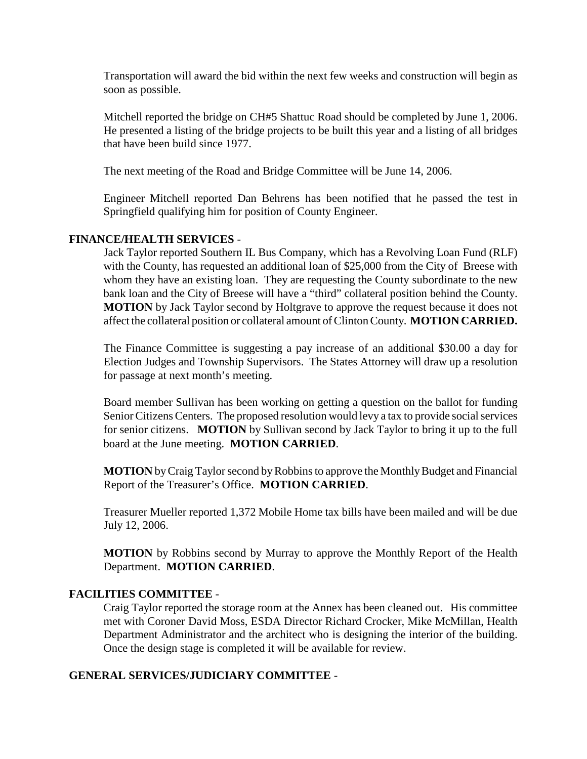Transportation will award the bid within the next few weeks and construction will begin as soon as possible.

Mitchell reported the bridge on CH#5 Shattuc Road should be completed by June 1, 2006. He presented a listing of the bridge projects to be built this year and a listing of all bridges that have been build since 1977.

The next meeting of the Road and Bridge Committee will be June 14, 2006.

Engineer Mitchell reported Dan Behrens has been notified that he passed the test in Springfield qualifying him for position of County Engineer.

## **FINANCE/HEALTH SERVICES** -

Jack Taylor reported Southern IL Bus Company, which has a Revolving Loan Fund (RLF) with the County, has requested an additional loan of \$25,000 from the City of Breese with whom they have an existing loan. They are requesting the County subordinate to the new bank loan and the City of Breese will have a "third" collateral position behind the County. **MOTION** by Jack Taylor second by Holtgrave to approve the request because it does not affect the collateral position or collateral amount of Clinton County. **MOTION CARRIED.**

The Finance Committee is suggesting a pay increase of an additional \$30.00 a day for Election Judges and Township Supervisors. The States Attorney will draw up a resolution for passage at next month's meeting.

Board member Sullivan has been working on getting a question on the ballot for funding Senior Citizens Centers. The proposed resolution would levy a tax to provide social services for senior citizens. **MOTION** by Sullivan second by Jack Taylor to bring it up to the full board at the June meeting. **MOTION CARRIED**.

**MOTION** by Craig Taylor second by Robbins to approve the Monthly Budget and Financial Report of the Treasurer's Office. **MOTION CARRIED**.

Treasurer Mueller reported 1,372 Mobile Home tax bills have been mailed and will be due July 12, 2006.

**MOTION** by Robbins second by Murray to approve the Monthly Report of the Health Department. **MOTION CARRIED**.

# **FACILITIES COMMITTEE** -

Craig Taylor reported the storage room at the Annex has been cleaned out. His committee met with Coroner David Moss, ESDA Director Richard Crocker, Mike McMillan, Health Department Administrator and the architect who is designing the interior of the building. Once the design stage is completed it will be available for review.

# **GENERAL SERVICES/JUDICIARY COMMITTEE** -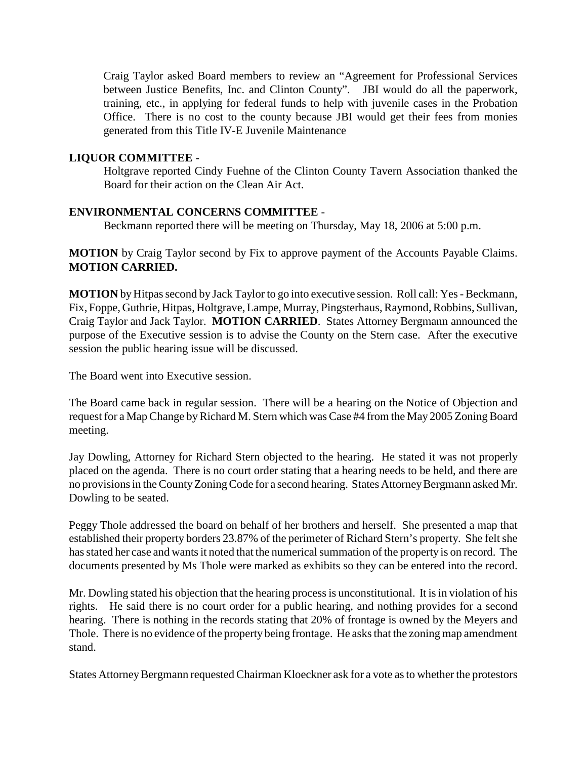Craig Taylor asked Board members to review an "Agreement for Professional Services between Justice Benefits, Inc. and Clinton County". JBI would do all the paperwork, training, etc., in applying for federal funds to help with juvenile cases in the Probation Office. There is no cost to the county because JBI would get their fees from monies generated from this Title IV-E Juvenile Maintenance

## **LIQUOR COMMITTEE** -

Holtgrave reported Cindy Fuehne of the Clinton County Tavern Association thanked the Board for their action on the Clean Air Act.

## **ENVIRONMENTAL CONCERNS COMMITTEE** -

Beckmann reported there will be meeting on Thursday, May 18, 2006 at 5:00 p.m.

**MOTION** by Craig Taylor second by Fix to approve payment of the Accounts Payable Claims. **MOTION CARRIED.**

**MOTION** by Hitpas second by Jack Taylor to go into executive session. Roll call: Yes - Beckmann, Fix, Foppe, Guthrie, Hitpas, Holtgrave, Lampe, Murray, Pingsterhaus, Raymond, Robbins, Sullivan, Craig Taylor and Jack Taylor. **MOTION CARRIED**. States Attorney Bergmann announced the purpose of the Executive session is to advise the County on the Stern case. After the executive session the public hearing issue will be discussed.

The Board went into Executive session.

The Board came back in regular session. There will be a hearing on the Notice of Objection and request for a Map Change by Richard M. Stern which was Case #4 from the May 2005 Zoning Board meeting.

Jay Dowling, Attorney for Richard Stern objected to the hearing. He stated it was not properly placed on the agenda. There is no court order stating that a hearing needs to be held, and there are no provisions in the County Zoning Code for a second hearing. States Attorney Bergmann asked Mr. Dowling to be seated.

Peggy Thole addressed the board on behalf of her brothers and herself. She presented a map that established their property borders 23.87% of the perimeter of Richard Stern's property. She felt she has stated her case and wants it noted that the numerical summation of the property is on record. The documents presented by Ms Thole were marked as exhibits so they can be entered into the record.

Mr. Dowling stated his objection that the hearing process is unconstitutional. It is in violation of his rights. He said there is no court order for a public hearing, and nothing provides for a second hearing. There is nothing in the records stating that 20% of frontage is owned by the Meyers and Thole. There is no evidence of the property being frontage. He asks that the zoning map amendment stand.

States Attorney Bergmann requested Chairman Kloeckner ask for a vote as to whether the protestors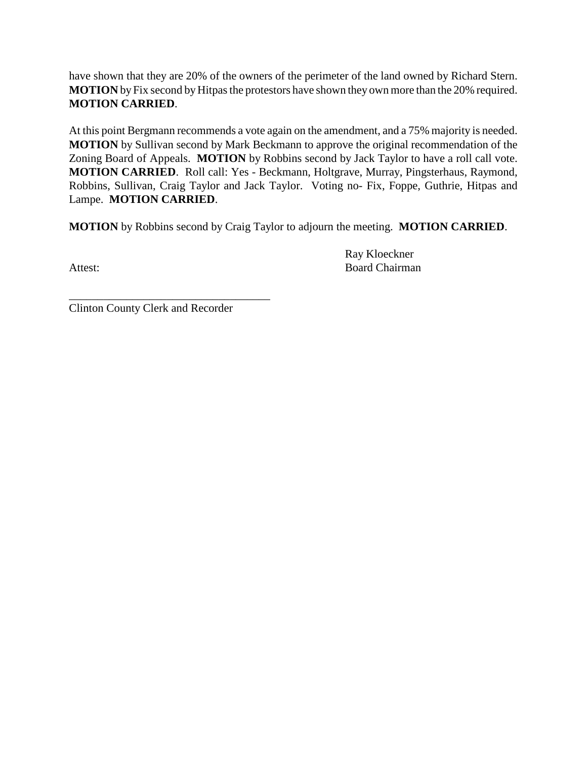have shown that they are 20% of the owners of the perimeter of the land owned by Richard Stern. **MOTION** by Fix second by Hitpas the protestors have shown they own more than the 20% required. **MOTION CARRIED**.

At this point Bergmann recommends a vote again on the amendment, and a 75% majority is needed. **MOTION** by Sullivan second by Mark Beckmann to approve the original recommendation of the Zoning Board of Appeals. **MOTION** by Robbins second by Jack Taylor to have a roll call vote. **MOTION CARRIED**. Roll call: Yes - Beckmann, Holtgrave, Murray, Pingsterhaus, Raymond, Robbins, Sullivan, Craig Taylor and Jack Taylor. Voting no- Fix, Foppe, Guthrie, Hitpas and Lampe. **MOTION CARRIED**.

**MOTION** by Robbins second by Craig Taylor to adjourn the meeting. **MOTION CARRIED**.

Ray Kloeckner Attest: Board Chairman

\_\_\_\_\_\_\_\_\_\_\_\_\_\_\_\_\_\_\_\_\_\_\_\_\_\_\_\_\_\_\_\_\_\_\_ Clinton County Clerk and Recorder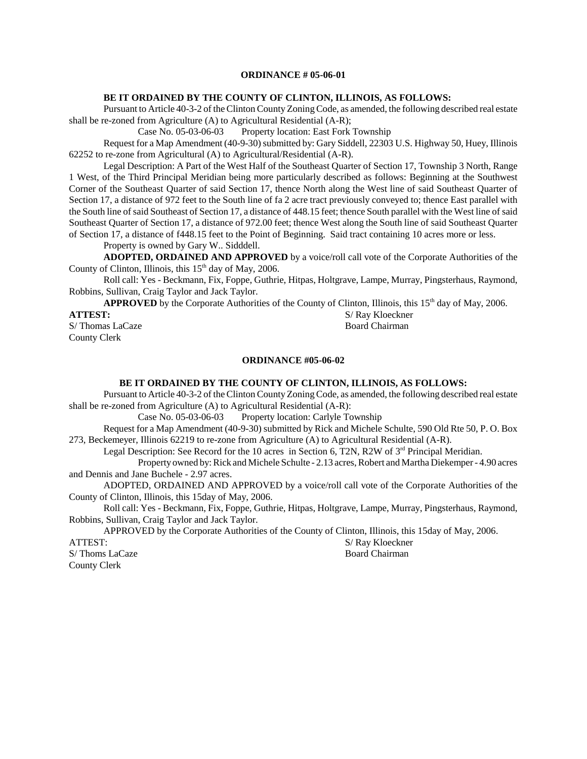### **ORDINANCE # 05-06-01**

### **BE IT ORDAINED BY THE COUNTY OF CLINTON, ILLINOIS, AS FOLLOWS:**

Pursuant to Article 40-3-2 of the Clinton County Zoning Code, as amended, the following described real estate shall be re-zoned from Agriculture (A) to Agricultural Residential (A-R);

Case No. 05-03-06-03 Property location: East Fork Township

Request for a Map Amendment (40-9-30) submitted by: Gary Siddell, 22303 U.S. Highway 50, Huey, Illinois 62252 to re-zone from Agricultural (A) to Agricultural/Residential (A-R).

Legal Description: A Part of the West Half of the Southeast Quarter of Section 17, Township 3 North, Range 1 West, of the Third Principal Meridian being more particularly described as follows: Beginning at the Southwest Corner of the Southeast Quarter of said Section 17, thence North along the West line of said Southeast Quarter of Section 17, a distance of 972 feet to the South line of fa 2 acre tract previously conveyed to; thence East parallel with the South line of said Southeast of Section 17, a distance of 448.15 feet; thence South parallel with the West line of said Southeast Quarter of Section 17, a distance of 972.00 feet; thence West along the South line of said Southeast Quarter of Section 17, a distance of f448.15 feet to the Point of Beginning. Said tract containing 10 acres more or less.

Property is owned by Gary W.. Sidddell.

**ADOPTED, ORDAINED AND APPROVED** by a voice/roll call vote of the Corporate Authorities of the County of Clinton, Illinois, this 15<sup>th</sup> day of May, 2006.

Roll call: Yes - Beckmann, Fix, Foppe, Guthrie, Hitpas, Holtgrave, Lampe, Murray, Pingsterhaus, Raymond, Robbins, Sullivan, Craig Taylor and Jack Taylor.

**APPROVED** by the Corporate Authorities of the County of Clinton, Illinois, this 15<sup>th</sup> day of May, 2006.

County Clerk

**ATTEST:** S/ Ray Kloeckner S/ Thomas LaCaze Board Chairman

### **ORDINANCE #05-06-02**

### **BE IT ORDAINED BY THE COUNTY OF CLINTON, ILLINOIS, AS FOLLOWS:**

Pursuant to Article 40-3-2 of the Clinton County Zoning Code, as amended, the following described real estate shall be re-zoned from Agriculture (A) to Agricultural Residential (A-R):

Case No. 05-03-06-03 Property location: Carlyle Township

Request for a Map Amendment (40-9-30) submitted by Rick and Michele Schulte, 590 Old Rte 50, P. O. Box 273, Beckemeyer, Illinois 62219 to re-zone from Agriculture (A) to Agricultural Residential (A-R).

Legal Description: See Record for the 10 acres in Section 6, T2N, R2W of  $3<sup>rd</sup>$  Principal Meridian.

Property owned by: Rick and Michele Schulte - 2.13 acres, Robert and Martha Diekemper - 4.90 acres and Dennis and Jane Buchele - 2.97 acres.

ADOPTED, ORDAINED AND APPROVED by a voice/roll call vote of the Corporate Authorities of the County of Clinton, Illinois, this 15day of May, 2006.

Roll call: Yes - Beckmann, Fix, Foppe, Guthrie, Hitpas, Holtgrave, Lampe, Murray, Pingsterhaus, Raymond, Robbins, Sullivan, Craig Taylor and Jack Taylor.

APPROVED by the Corporate Authorities of the County of Clinton, Illinois, this 15day of May, 2006.

S/Thoms LaCaze County Clerk

ATTEST:<br>S/ Thoms LaCaze Same Side and Chairman Side Board Chairman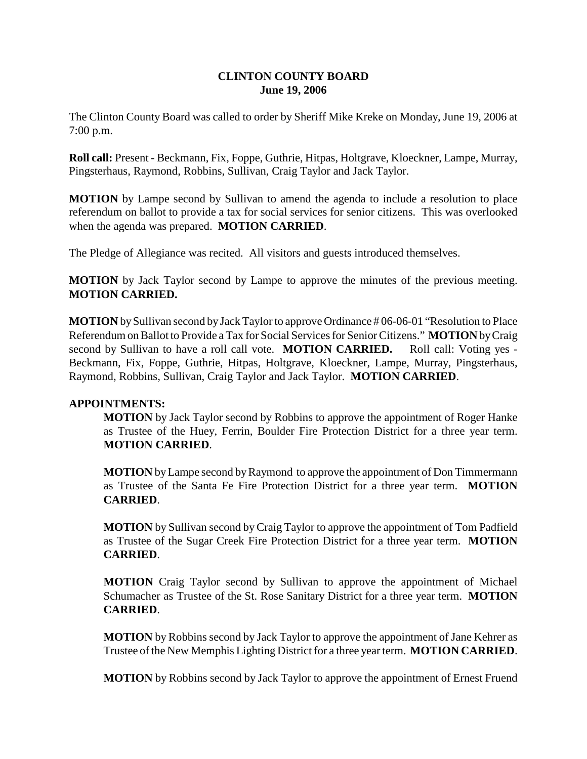# **CLINTON COUNTY BOARD June 19, 2006**

The Clinton County Board was called to order by Sheriff Mike Kreke on Monday, June 19, 2006 at 7:00 p.m.

**Roll call:** Present - Beckmann, Fix, Foppe, Guthrie, Hitpas, Holtgrave, Kloeckner, Lampe, Murray, Pingsterhaus, Raymond, Robbins, Sullivan, Craig Taylor and Jack Taylor.

**MOTION** by Lampe second by Sullivan to amend the agenda to include a resolution to place referendum on ballot to provide a tax for social services for senior citizens. This was overlooked when the agenda was prepared. **MOTION CARRIED**.

The Pledge of Allegiance was recited. All visitors and guests introduced themselves.

**MOTION** by Jack Taylor second by Lampe to approve the minutes of the previous meeting. **MOTION CARRIED.** 

**MOTION** by Sullivan second by Jack Taylor to approve Ordinance # 06-06-01 "Resolution to Place Referendum on Ballot to Provide a Tax for Social Services for Senior Citizens." **MOTION** by Craig second by Sullivan to have a roll call vote. **MOTION CARRIED.** Roll call: Voting yes - Beckmann, Fix, Foppe, Guthrie, Hitpas, Holtgrave, Kloeckner, Lampe, Murray, Pingsterhaus, Raymond, Robbins, Sullivan, Craig Taylor and Jack Taylor. **MOTION CARRIED**.

# **APPOINTMENTS:**

**MOTION** by Jack Taylor second by Robbins to approve the appointment of Roger Hanke as Trustee of the Huey, Ferrin, Boulder Fire Protection District for a three year term. **MOTION CARRIED**.

**MOTION** by Lampe second by Raymond to approve the appointment of Don Timmermann as Trustee of the Santa Fe Fire Protection District for a three year term. **MOTION CARRIED**.

**MOTION** by Sullivan second by Craig Taylor to approve the appointment of Tom Padfield as Trustee of the Sugar Creek Fire Protection District for a three year term. **MOTION CARRIED**.

**MOTION** Craig Taylor second by Sullivan to approve the appointment of Michael Schumacher as Trustee of the St. Rose Sanitary District for a three year term. **MOTION CARRIED**.

**MOTION** by Robbins second by Jack Taylor to approve the appointment of Jane Kehrer as Trustee of the New Memphis Lighting District for a three year term. **MOTION CARRIED**.

**MOTION** by Robbins second by Jack Taylor to approve the appointment of Ernest Fruend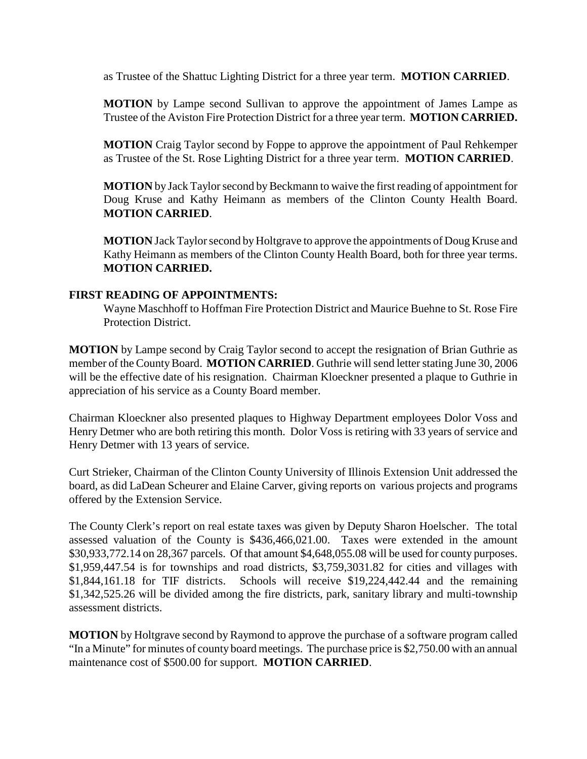as Trustee of the Shattuc Lighting District for a three year term. **MOTION CARRIED**.

**MOTION** by Lampe second Sullivan to approve the appointment of James Lampe as Trustee of the Aviston Fire Protection District for a three year term. **MOTION CARRIED.**

**MOTION** Craig Taylor second by Foppe to approve the appointment of Paul Rehkemper as Trustee of the St. Rose Lighting District for a three year term. **MOTION CARRIED**.

**MOTION** by Jack Taylor second by Beckmann to waive the first reading of appointment for Doug Kruse and Kathy Heimann as members of the Clinton County Health Board. **MOTION CARRIED**.

**MOTION** Jack Taylor second by Holtgrave to approve the appointments of Doug Kruse and Kathy Heimann as members of the Clinton County Health Board, both for three year terms. **MOTION CARRIED.**

## **FIRST READING OF APPOINTMENTS:**

Wayne Maschhoff to Hoffman Fire Protection District and Maurice Buehne to St. Rose Fire Protection District.

**MOTION** by Lampe second by Craig Taylor second to accept the resignation of Brian Guthrie as member of the County Board. **MOTION CARRIED**. Guthrie will send letter stating June 30, 2006 will be the effective date of his resignation. Chairman Kloeckner presented a plaque to Guthrie in appreciation of his service as a County Board member.

Chairman Kloeckner also presented plaques to Highway Department employees Dolor Voss and Henry Detmer who are both retiring this month. Dolor Voss is retiring with 33 years of service and Henry Detmer with 13 years of service.

Curt Strieker, Chairman of the Clinton County University of Illinois Extension Unit addressed the board, as did LaDean Scheurer and Elaine Carver, giving reports on various projects and programs offered by the Extension Service.

The County Clerk's report on real estate taxes was given by Deputy Sharon Hoelscher. The total assessed valuation of the County is \$436,466,021.00. Taxes were extended in the amount \$30,933,772.14 on 28,367 parcels. Of that amount \$4,648,055.08 will be used for county purposes. \$1,959,447.54 is for townships and road districts, \$3,759,3031.82 for cities and villages with \$1,844,161.18 for TIF districts. Schools will receive \$19,224,442.44 and the remaining \$1,342,525.26 will be divided among the fire districts, park, sanitary library and multi-township assessment districts.

**MOTION** by Holtgrave second by Raymond to approve the purchase of a software program called "In a Minute" for minutes of county board meetings. The purchase price is \$2,750.00 with an annual maintenance cost of \$500.00 for support. **MOTION CARRIED**.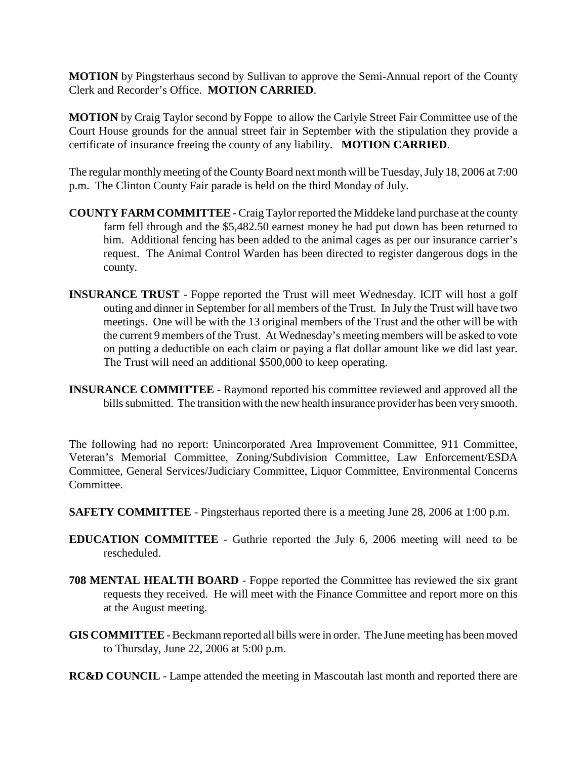**MOTION** by Pingsterhaus second by Sullivan to approve the Semi-Annual report of the County Clerk and Recorder's Office. **MOTION CARRIED**.

**MOTION** by Craig Taylor second by Foppe to allow the Carlyle Street Fair Committee use of the Court House grounds for the annual street fair in September with the stipulation they provide a certificate of insurance freeing the county of any liability. **MOTION CARRIED**.

The regular monthly meeting of the County Board next month will be Tuesday, July 18, 2006 at 7:00 p.m. The Clinton County Fair parade is held on the third Monday of July.

- **COUNTY FARM COMMITTEE** Craig Taylor reported the Middeke land purchase at the county farm fell through and the \$5,482.50 earnest money he had put down has been returned to him. Additional fencing has been added to the animal cages as per our insurance carrier's request. The Animal Control Warden has been directed to register dangerous dogs in the county.
- **INSURANCE TRUST** Foppe reported the Trust will meet Wednesday. ICIT will host a golf outing and dinner in September for all members of the Trust. In July the Trust will have two meetings. One will be with the 13 original members of the Trust and the other will be with the current 9 members of the Trust. At Wednesday's meeting members will be asked to vote on putting a deductible on each claim or paying a flat dollar amount like we did last year. The Trust will need an additional \$500,000 to keep operating.
- **INSURANCE COMMITTEE**  Raymond reported his committee reviewed and approved all the bills submitted. The transition with the new health insurance provider has been very smooth.

The following had no report: Unincorporated Area Improvement Committee, 911 Committee, Veteran's Memorial Committee, Zoning/Subdivision Committee, Law Enforcement/ESDA Committee, General Services/Judiciary Committee, Liquor Committee, Environmental Concerns Committee.

- **SAFETY COMMITTEE** Pingsterhaus reported there is a meeting June 28, 2006 at 1:00 p.m.
- **EDUCATION COMMITTEE** Guthrie reported the July 6, 2006 meeting will need to be rescheduled.
- **708 MENTAL HEALTH BOARD** Foppe reported the Committee has reviewed the six grant requests they received. He will meet with the Finance Committee and report more on this at the August meeting.
- **GIS COMMITTEE** Beckmann reported all bills were in order. The June meeting has been moved to Thursday, June 22, 2006 at 5:00 p.m.
- **RC&D COUNCIL** Lampe attended the meeting in Mascoutah last month and reported there are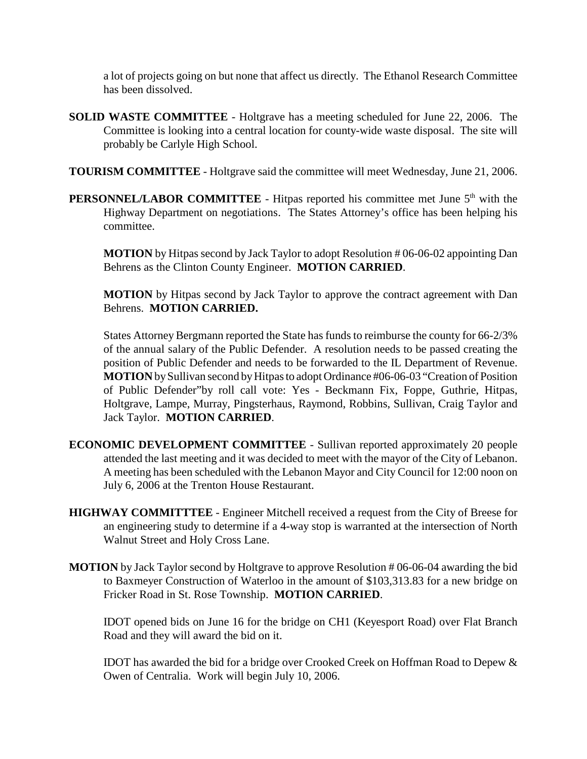a lot of projects going on but none that affect us directly. The Ethanol Research Committee has been dissolved.

- **SOLID WASTE COMMITTEE**  Holtgrave has a meeting scheduled for June 22, 2006. The Committee is looking into a central location for county-wide waste disposal. The site will probably be Carlyle High School.
- **TOURISM COMMITTEE**  Holtgrave said the committee will meet Wednesday, June 21, 2006.
- **PERSONNEL/LABOR COMMITTEE** Hitpas reported his committee met June 5<sup>th</sup> with the Highway Department on negotiations. The States Attorney's office has been helping his committee.

**MOTION** by Hitpas second by Jack Taylor to adopt Resolution # 06-06-02 appointing Dan Behrens as the Clinton County Engineer. **MOTION CARRIED**.

**MOTION** by Hitpas second by Jack Taylor to approve the contract agreement with Dan Behrens. **MOTION CARRIED.**

States Attorney Bergmann reported the State has funds to reimburse the county for 66-2/3% of the annual salary of the Public Defender. A resolution needs to be passed creating the position of Public Defender and needs to be forwarded to the IL Department of Revenue. **MOTION** by Sullivan second by Hitpas to adopt Ordinance #06-06-03 "Creation of Position of Public Defender"by roll call vote: Yes - Beckmann Fix, Foppe, Guthrie, Hitpas, Holtgrave, Lampe, Murray, Pingsterhaus, Raymond, Robbins, Sullivan, Craig Taylor and Jack Taylor. **MOTION CARRIED**.

- **ECONOMIC DEVELOPMENT COMMITTEE**  Sullivan reported approximately 20 people attended the last meeting and it was decided to meet with the mayor of the City of Lebanon. A meeting has been scheduled with the Lebanon Mayor and City Council for 12:00 noon on July 6, 2006 at the Trenton House Restaurant.
- **HIGHWAY COMMITTTEE**  Engineer Mitchell received a request from the City of Breese for an engineering study to determine if a 4-way stop is warranted at the intersection of North Walnut Street and Holy Cross Lane.
- **MOTION** by Jack Taylor second by Holtgrave to approve Resolution #06-06-04 awarding the bid to Baxmeyer Construction of Waterloo in the amount of \$103,313.83 for a new bridge on Fricker Road in St. Rose Township. **MOTION CARRIED**.

IDOT opened bids on June 16 for the bridge on CH1 (Keyesport Road) over Flat Branch Road and they will award the bid on it.

IDOT has awarded the bid for a bridge over Crooked Creek on Hoffman Road to Depew & Owen of Centralia. Work will begin July 10, 2006.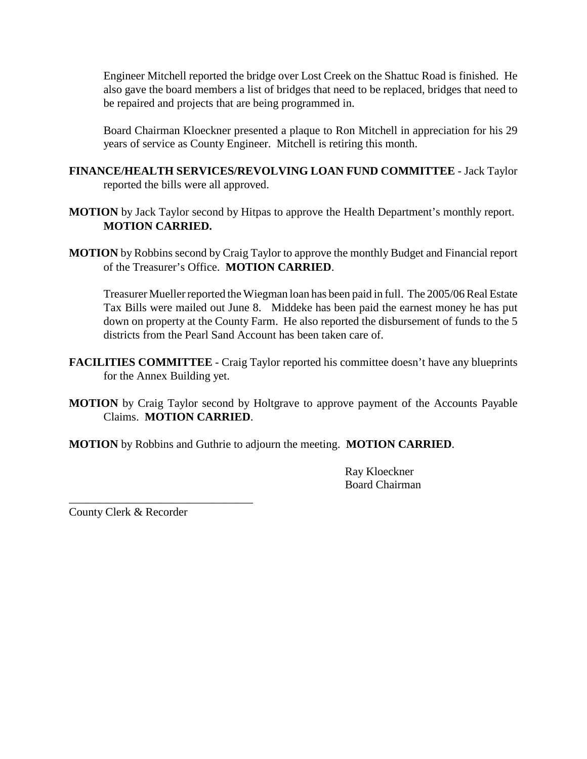Engineer Mitchell reported the bridge over Lost Creek on the Shattuc Road is finished. He also gave the board members a list of bridges that need to be replaced, bridges that need to be repaired and projects that are being programmed in.

Board Chairman Kloeckner presented a plaque to Ron Mitchell in appreciation for his 29 years of service as County Engineer. Mitchell is retiring this month.

- **FINANCE/HEALTH SERVICES/REVOLVING LOAN FUND COMMITTEE** Jack Taylor reported the bills were all approved.
- **MOTION** by Jack Taylor second by Hitpas to approve the Health Department's monthly report. **MOTION CARRIED.**
- **MOTION** by Robbins second by Craig Taylor to approve the monthly Budget and Financial report of the Treasurer's Office. **MOTION CARRIED**.

Treasurer Mueller reported the Wiegman loan has been paid in full. The 2005/06 Real Estate Tax Bills were mailed out June 8. Middeke has been paid the earnest money he has put down on property at the County Farm. He also reported the disbursement of funds to the 5 districts from the Pearl Sand Account has been taken care of.

- **FACILITIES COMMITTEE**  Craig Taylor reported his committee doesn't have any blueprints for the Annex Building yet.
- **MOTION** by Craig Taylor second by Holtgrave to approve payment of the Accounts Payable Claims. **MOTION CARRIED**.

**MOTION** by Robbins and Guthrie to adjourn the meeting. **MOTION CARRIED**.

Ray Kloeckner Board Chairman

County Clerk & Recorder

\_\_\_\_\_\_\_\_\_\_\_\_\_\_\_\_\_\_\_\_\_\_\_\_\_\_\_\_\_\_\_\_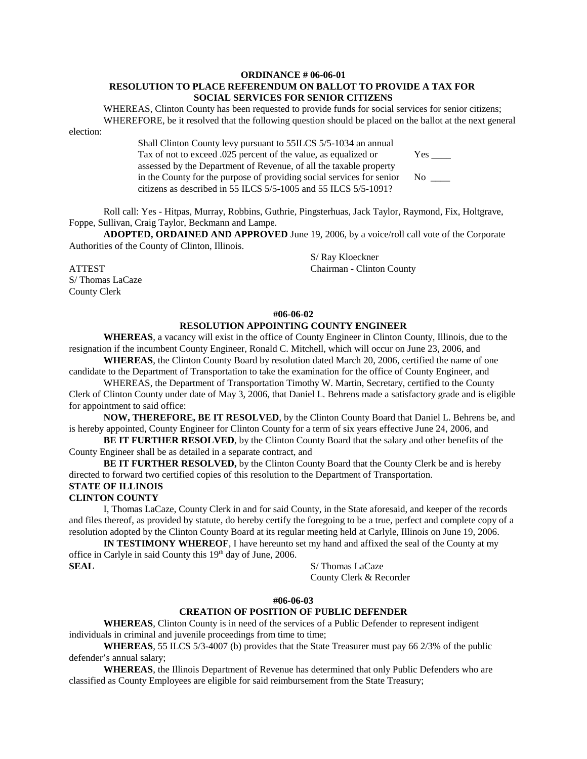### **ORDINANCE # 06-06-01 RESOLUTION TO PLACE REFERENDUM ON BALLOT TO PROVIDE A TAX FOR SOCIAL SERVICES FOR SENIOR CITIZENS**

WHEREAS, Clinton County has been requested to provide funds for social services for senior citizens; WHEREFORE, be it resolved that the following question should be placed on the ballot at the next general election:

> Shall Clinton County levy pursuant to 55ILCS 5/5-1034 an annual Tax of not to exceed .025 percent of the value, as equalized or Yes \_\_\_\_\_ assessed by the Department of Revenue, of all the taxable property in the County for the purpose of providing social services for senior No \_\_\_\_ citizens as described in 55 ILCS 5/5-1005 and 55 ILCS 5/5-1091?

Roll call: Yes - Hitpas, Murray, Robbins, Guthrie, Pingsterhuas, Jack Taylor, Raymond, Fix, Holtgrave, Foppe, Sullivan, Craig Taylor, Beckmann and Lampe.

**ADOPTED, ORDAINED AND APPROVED** June 19, 2006, by a voice/roll call vote of the Corporate Authorities of the County of Clinton, Illinois.

S/ Ray Kloeckner ATTEST Chairman - Clinton County

S/ Thomas LaCaze County Clerk

## **#06-06-02 RESOLUTION APPOINTING COUNTY ENGINEER**

**WHEREAS**, a vacancy will exist in the office of County Engineer in Clinton County, Illinois, due to the resignation if the incumbent County Engineer, Ronald C. Mitchell, which will occur on June 23, 2006, and

**WHEREAS**, the Clinton County Board by resolution dated March 20, 2006, certified the name of one candidate to the Department of Transportation to take the examination for the office of County Engineer, and

WHEREAS, the Department of Transportation Timothy W. Martin, Secretary, certified to the County Clerk of Clinton County under date of May 3, 2006, that Daniel L. Behrens made a satisfactory grade and is eligible for appointment to said office:

**NOW, THEREFORE, BE IT RESOLVED**, by the Clinton County Board that Daniel L. Behrens be, and is hereby appointed, County Engineer for Clinton County for a term of six years effective June 24, 2006, and

**BE IT FURTHER RESOLVED**, by the Clinton County Board that the salary and other benefits of the County Engineer shall be as detailed in a separate contract, and

**BE IT FURTHER RESOLVED,** by the Clinton County Board that the County Clerk be and is hereby directed to forward two certified copies of this resolution to the Department of Transportation.

# **STATE OF ILLINOIS**

## **CLINTON COUNTY**

I, Thomas LaCaze, County Clerk in and for said County, in the State aforesaid, and keeper of the records and files thereof, as provided by statute, do hereby certify the foregoing to be a true, perfect and complete copy of a resolution adopted by the Clinton County Board at its regular meeting held at Carlyle, Illinois on June 19, 2006.

**IN TESTIMONY WHEREOF**, I have hereunto set my hand and affixed the seal of the County at my office in Carlyle in said County this 19th day of June, 2006. **SEAL** S/ Thomas LaCaze

County Clerk & Recorder

## **#06-06-03**

## **CREATION OF POSITION OF PUBLIC DEFENDER**

**WHEREAS**, Clinton County is in need of the services of a Public Defender to represent indigent individuals in criminal and juvenile proceedings from time to time;

**WHEREAS**, 55 ILCS 5/3-4007 (b) provides that the State Treasurer must pay 66 2/3% of the public defender's annual salary;

**WHEREAS**, the Illinois Department of Revenue has determined that only Public Defenders who are classified as County Employees are eligible for said reimbursement from the State Treasury;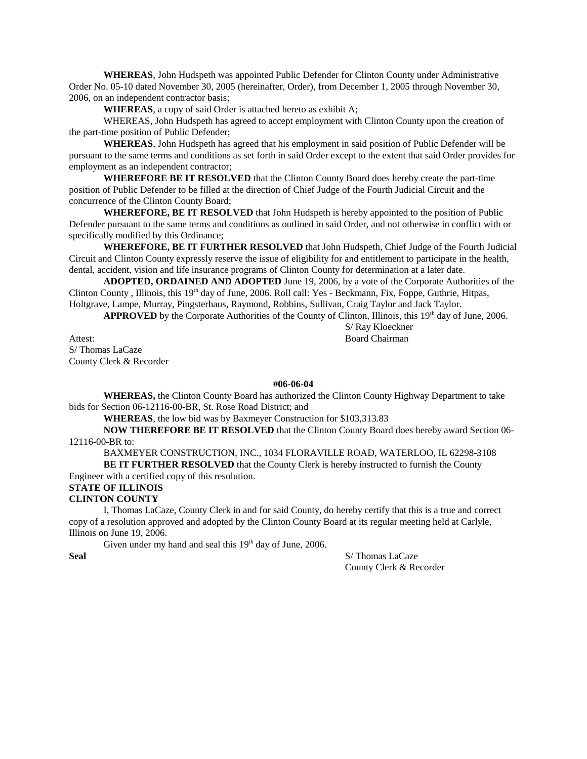**WHEREAS**, John Hudspeth was appointed Public Defender for Clinton County under Administrative Order No. 05-10 dated November 30, 2005 (hereinafter, Order), from December 1, 2005 through November 30, 2006, on an independent contractor basis;

**WHEREAS**, a copy of said Order is attached hereto as exhibit A;

WHEREAS, John Hudspeth has agreed to accept employment with Clinton County upon the creation of the part-time position of Public Defender;

**WHEREAS**, John Hudspeth has agreed that his employment in said position of Public Defender will be pursuant to the same terms and conditions as set forth in said Order except to the extent that said Order provides for employment as an independent contractor;

**WHEREFORE BE IT RESOLVED** that the Clinton County Board does hereby create the part-time position of Public Defender to be filled at the direction of Chief Judge of the Fourth Judicial Circuit and the concurrence of the Clinton County Board;

**WHEREFORE, BE IT RESOLVED** that John Hudspeth is hereby appointed to the position of Public Defender pursuant to the same terms and conditions as outlined in said Order, and not otherwise in conflict with or specifically modified by this Ordinance;

**WHEREFORE, BE IT FURTHER RESOLVED** that John Hudspeth, Chief Judge of the Fourth Judicial Circuit and Clinton County expressly reserve the issue of eligibility for and entitlement to participate in the health, dental, accident, vision and life insurance programs of Clinton County for determination at a later date.

**ADOPTED, ORDAINED AND ADOPTED** June 19, 2006, by a vote of the Corporate Authorities of the Clinton County, Illinois, this 19<sup>th</sup> day of June, 2006. Roll call: Yes - Beckmann, Fix, Foppe, Guthrie, Hitpas, Holtgrave, Lampe, Murray, Pingsterhaus, Raymond, Robbins, Sullivan, Craig Taylor and Jack Taylor.

**APPROVED** by the Corporate Authorities of the County of Clinton, Illinois, this 19<sup>th</sup> day of June, 2006.

Attest: Board Chairman S/ Thomas LaCaze County Clerk & Recorder

**#06-06-04**

**WHEREAS,** the Clinton County Board has authorized the Clinton County Highway Department to take bids for Section 06-12116-00-BR, St. Rose Road District; and

**WHEREAS**, the low bid was by Baxmeyer Construction for \$103,313.83

**NOW THEREFORE BE IT RESOLVED** that the Clinton County Board does hereby award Section 06- 12116-00-BR to:

BAXMEYER CONSTRUCTION, INC., 1034 FLORAVILLE ROAD, WATERLOO, IL 62298-3108

**BE IT FURTHER RESOLVED** that the County Clerk is hereby instructed to furnish the County Engineer with a certified copy of this resolution.

# **STATE OF ILLINOIS**

**CLINTON COUNTY**

I, Thomas LaCaze, County Clerk in and for said County, do hereby certify that this is a true and correct copy of a resolution approved and adopted by the Clinton County Board at its regular meeting held at Carlyle, Illinois on June 19, 2006.

Given under my hand and seal this  $19<sup>th</sup>$  day of June, 2006.

**Seal** S/ Thomas LaCaze County Clerk & Recorder

S/ Ray Kloeckner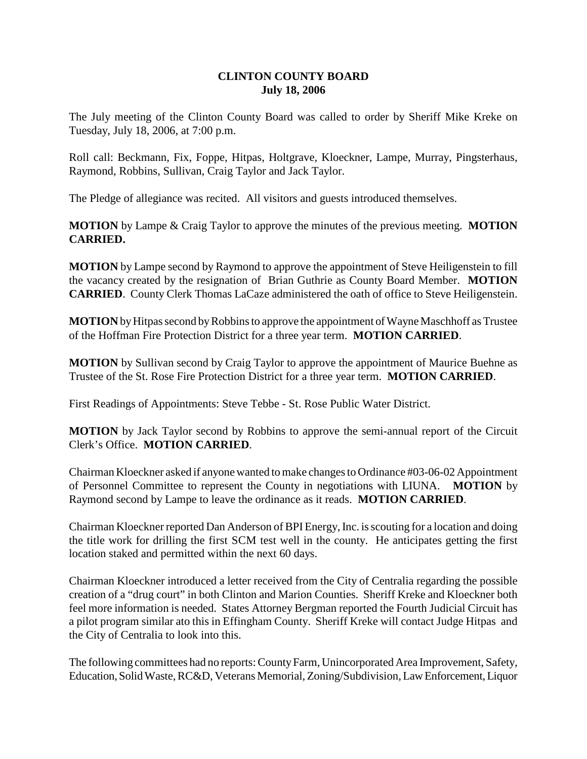# **CLINTON COUNTY BOARD July 18, 2006**

The July meeting of the Clinton County Board was called to order by Sheriff Mike Kreke on Tuesday, July 18, 2006, at 7:00 p.m.

Roll call: Beckmann, Fix, Foppe, Hitpas, Holtgrave, Kloeckner, Lampe, Murray, Pingsterhaus, Raymond, Robbins, Sullivan, Craig Taylor and Jack Taylor.

The Pledge of allegiance was recited. All visitors and guests introduced themselves.

**MOTION** by Lampe & Craig Taylor to approve the minutes of the previous meeting. **MOTION CARRIED.**

**MOTION** by Lampe second by Raymond to approve the appointment of Steve Heiligenstein to fill the vacancy created by the resignation of Brian Guthrie as County Board Member. **MOTION CARRIED**. County Clerk Thomas LaCaze administered the oath of office to Steve Heiligenstein.

**MOTION** by Hitpas second by Robbins to approve the appointment of Wayne Maschhoff as Trustee of the Hoffman Fire Protection District for a three year term. **MOTION CARRIED**.

**MOTION** by Sullivan second by Craig Taylor to approve the appointment of Maurice Buehne as Trustee of the St. Rose Fire Protection District for a three year term. **MOTION CARRIED**.

First Readings of Appointments: Steve Tebbe - St. Rose Public Water District.

**MOTION** by Jack Taylor second by Robbins to approve the semi-annual report of the Circuit Clerk's Office. **MOTION CARRIED**.

Chairman Kloeckner asked if anyone wanted to make changes to Ordinance #03-06-02 Appointment of Personnel Committee to represent the County in negotiations with LIUNA. **MOTION** by Raymond second by Lampe to leave the ordinance as it reads. **MOTION CARRIED**.

Chairman Kloeckner reported Dan Anderson of BPI Energy, Inc. is scouting for a location and doing the title work for drilling the first SCM test well in the county. He anticipates getting the first location staked and permitted within the next 60 days.

Chairman Kloeckner introduced a letter received from the City of Centralia regarding the possible creation of a "drug court" in both Clinton and Marion Counties. Sheriff Kreke and Kloeckner both feel more information is needed. States Attorney Bergman reported the Fourth Judicial Circuit has a pilot program similar ato this in Effingham County. Sheriff Kreke will contact Judge Hitpas and the City of Centralia to look into this.

The following committees had no reports: County Farm, Unincorporated Area Improvement, Safety, Education, Solid Waste, RC&D, Veterans Memorial, Zoning/Subdivision, Law Enforcement, Liquor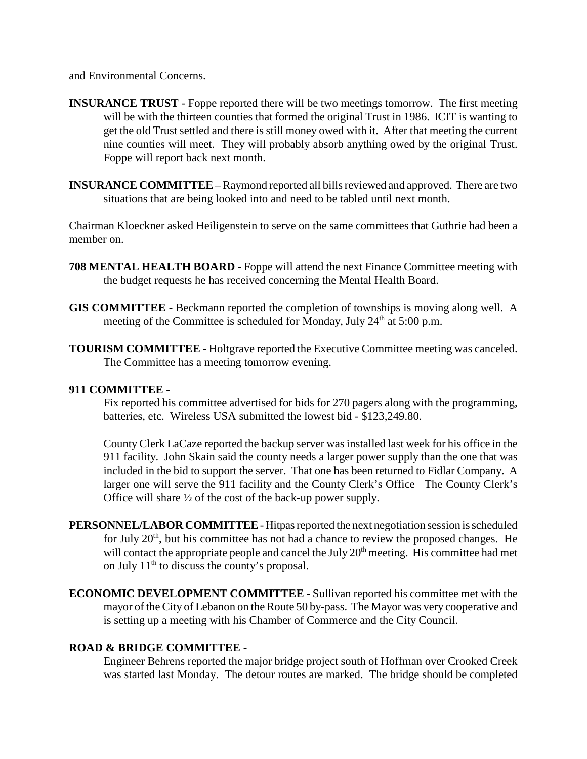and Environmental Concerns.

- **INSURANCE TRUST** Foppe reported there will be two meetings tomorrow. The first meeting will be with the thirteen counties that formed the original Trust in 1986. ICIT is wanting to get the old Trust settled and there is still money owed with it. After that meeting the current nine counties will meet. They will probably absorb anything owed by the original Trust. Foppe will report back next month.
- **INSURANCE COMMITTEE** Raymond reported all bills reviewed and approved. There are two situations that are being looked into and need to be tabled until next month.

Chairman Kloeckner asked Heiligenstein to serve on the same committees that Guthrie had been a member on.

- **708 MENTAL HEALTH BOARD** Foppe will attend the next Finance Committee meeting with the budget requests he has received concerning the Mental Health Board.
- **GIS COMMITTEE** Beckmann reported the completion of townships is moving along well. A meeting of the Committee is scheduled for Monday, July  $24<sup>th</sup>$  at 5:00 p.m.
- **TOURISM COMMITTEE** Holtgrave reported the Executive Committee meeting was canceled. The Committee has a meeting tomorrow evening.

# **911 COMMITTEE -**

Fix reported his committee advertised for bids for 270 pagers along with the programming, batteries, etc. Wireless USA submitted the lowest bid - \$123,249.80.

County Clerk LaCaze reported the backup server was installed last week for his office in the 911 facility. John Skain said the county needs a larger power supply than the one that was included in the bid to support the server. That one has been returned to Fidlar Company. A larger one will serve the 911 facility and the County Clerk's Office The County Clerk's Office will share ½ of the cost of the back-up power supply.

- **PERSONNEL/LABOR COMMITTEE** Hitpas reported the next negotiation session is scheduled for July  $20<sup>th</sup>$ , but his committee has not had a chance to review the proposed changes. He will contact the appropriate people and cancel the July  $20<sup>th</sup>$  meeting. His committee had met on July  $11<sup>th</sup>$  to discuss the county's proposal.
- **ECONOMIC DEVELOPMENT COMMITTEE** Sullivan reported his committee met with the mayor of the City of Lebanon on the Route 50 by-pass. The Mayor was very cooperative and is setting up a meeting with his Chamber of Commerce and the City Council.

# **ROAD & BRIDGE COMMITTEE -**

Engineer Behrens reported the major bridge project south of Hoffman over Crooked Creek was started last Monday. The detour routes are marked. The bridge should be completed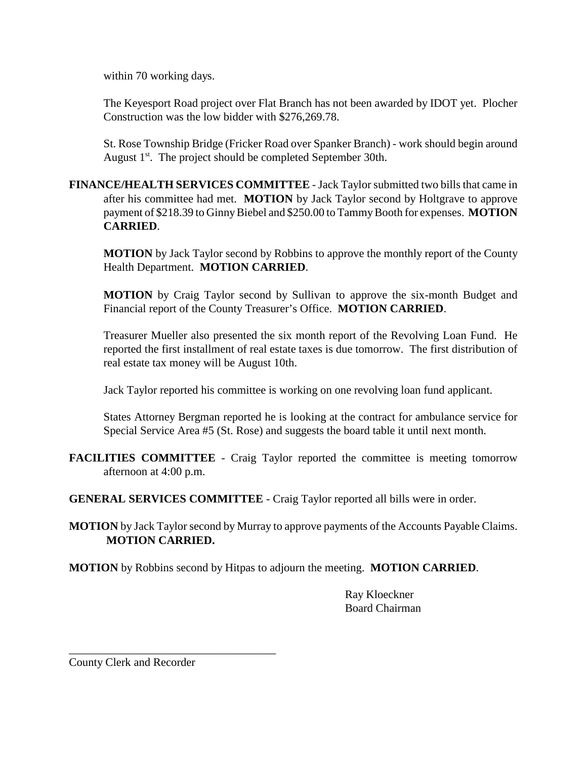within 70 working days.

The Keyesport Road project over Flat Branch has not been awarded by IDOT yet. Plocher Construction was the low bidder with \$276,269.78.

St. Rose Township Bridge (Fricker Road over Spanker Branch) - work should begin around August 1<sup>st</sup>. The project should be completed September 30th.

**FINANCE/HEALTH SERVICES COMMITTEE** - Jack Taylor submitted two bills that came in after his committee had met. **MOTION** by Jack Taylor second by Holtgrave to approve payment of \$218.39 to Ginny Biebel and \$250.00 to Tammy Booth for expenses. **MOTION CARRIED**.

**MOTION** by Jack Taylor second by Robbins to approve the monthly report of the County Health Department. **MOTION CARRIED**.

**MOTION** by Craig Taylor second by Sullivan to approve the six-month Budget and Financial report of the County Treasurer's Office. **MOTION CARRIED**.

Treasurer Mueller also presented the six month report of the Revolving Loan Fund. He reported the first installment of real estate taxes is due tomorrow. The first distribution of real estate tax money will be August 10th.

Jack Taylor reported his committee is working on one revolving loan fund applicant.

States Attorney Bergman reported he is looking at the contract for ambulance service for Special Service Area #5 (St. Rose) and suggests the board table it until next month.

**FACILITIES COMMITTEE** - Craig Taylor reported the committee is meeting tomorrow afternoon at 4:00 p.m.

**GENERAL SERVICES COMMITTEE** - Craig Taylor reported all bills were in order.

**MOTION** by Jack Taylor second by Murray to approve payments of the Accounts Payable Claims. **MOTION CARRIED.**

**MOTION** by Robbins second by Hitpas to adjourn the meeting. **MOTION CARRIED**.

Ray Kloeckner Board Chairman

County Clerk and Recorder

\_\_\_\_\_\_\_\_\_\_\_\_\_\_\_\_\_\_\_\_\_\_\_\_\_\_\_\_\_\_\_\_\_\_\_\_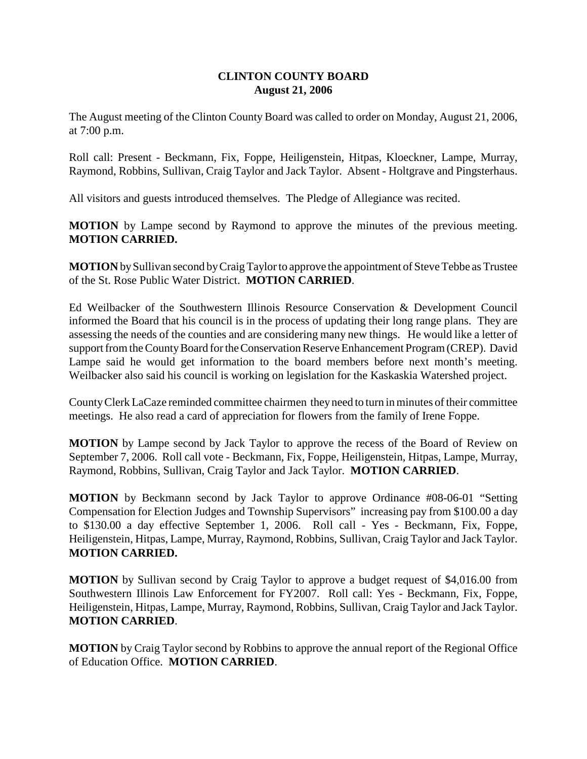# **CLINTON COUNTY BOARD August 21, 2006**

The August meeting of the Clinton County Board was called to order on Monday, August 21, 2006, at 7:00 p.m.

Roll call: Present - Beckmann, Fix, Foppe, Heiligenstein, Hitpas, Kloeckner, Lampe, Murray, Raymond, Robbins, Sullivan, Craig Taylor and Jack Taylor. Absent - Holtgrave and Pingsterhaus.

All visitors and guests introduced themselves. The Pledge of Allegiance was recited.

**MOTION** by Lampe second by Raymond to approve the minutes of the previous meeting. **MOTION CARRIED.**

**MOTION** by Sullivan second by Craig Taylor to approve the appointment of Steve Tebbe as Trustee of the St. Rose Public Water District. **MOTION CARRIED**.

Ed Weilbacker of the Southwestern Illinois Resource Conservation & Development Council informed the Board that his council is in the process of updating their long range plans. They are assessing the needs of the counties and are considering many new things. He would like a letter of support from the County Board for the Conservation Reserve Enhancement Program (CREP). David Lampe said he would get information to the board members before next month's meeting. Weilbacker also said his council is working on legislation for the Kaskaskia Watershed project.

County Clerk LaCaze reminded committee chairmen they need to turn in minutes of their committee meetings. He also read a card of appreciation for flowers from the family of Irene Foppe.

**MOTION** by Lampe second by Jack Taylor to approve the recess of the Board of Review on September 7, 2006. Roll call vote - Beckmann, Fix, Foppe, Heiligenstein, Hitpas, Lampe, Murray, Raymond, Robbins, Sullivan, Craig Taylor and Jack Taylor. **MOTION CARRIED**.

**MOTION** by Beckmann second by Jack Taylor to approve Ordinance #08-06-01 "Setting Compensation for Election Judges and Township Supervisors" increasing pay from \$100.00 a day to \$130.00 a day effective September 1, 2006. Roll call - Yes - Beckmann, Fix, Foppe, Heiligenstein, Hitpas, Lampe, Murray, Raymond, Robbins, Sullivan, Craig Taylor and Jack Taylor. **MOTION CARRIED.**

**MOTION** by Sullivan second by Craig Taylor to approve a budget request of \$4,016.00 from Southwestern Illinois Law Enforcement for FY2007. Roll call: Yes - Beckmann, Fix, Foppe, Heiligenstein, Hitpas, Lampe, Murray, Raymond, Robbins, Sullivan, Craig Taylor and Jack Taylor. **MOTION CARRIED**.

**MOTION** by Craig Taylor second by Robbins to approve the annual report of the Regional Office of Education Office. **MOTION CARRIED**.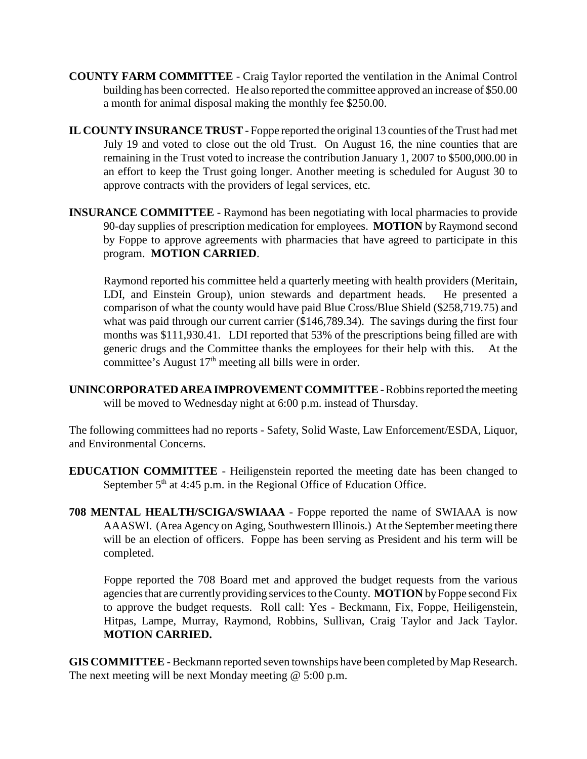- **COUNTY FARM COMMITTEE** Craig Taylor reported the ventilation in the Animal Control building has been corrected. He also reported the committee approved an increase of \$50.00 a month for animal disposal making the monthly fee \$250.00.
- **IL COUNTY INSURANCE TRUST**  Foppe reported the original 13 counties of the Trust had met July 19 and voted to close out the old Trust. On August 16, the nine counties that are remaining in the Trust voted to increase the contribution January 1, 2007 to \$500,000.00 in an effort to keep the Trust going longer. Another meeting is scheduled for August 30 to approve contracts with the providers of legal services, etc.
- **INSURANCE COMMITTEE** Raymond has been negotiating with local pharmacies to provide 90-day supplies of prescription medication for employees. **MOTION** by Raymond second by Foppe to approve agreements with pharmacies that have agreed to participate in this program. **MOTION CARRIED**.

Raymond reported his committee held a quarterly meeting with health providers (Meritain, LDI, and Einstein Group), union stewards and department heads. He presented a comparison of what the county would have paid Blue Cross/Blue Shield (\$258,719.75) and what was paid through our current carrier (\$146,789.34). The savings during the first four months was \$111,930.41. LDI reported that 53% of the prescriptions being filled are with generic drugs and the Committee thanks the employees for their help with this. At the committee's August  $17<sup>th</sup>$  meeting all bills were in order.

**UNINCORPORATED AREA IMPROVEMENT COMMITTEE** - Robbins reported the meeting will be moved to Wednesday night at 6:00 p.m. instead of Thursday.

The following committees had no reports - Safety, Solid Waste, Law Enforcement/ESDA, Liquor, and Environmental Concerns.

- **EDUCATION COMMITTEE** Heiligenstein reported the meeting date has been changed to September  $5<sup>th</sup>$  at 4:45 p.m. in the Regional Office of Education Office.
- **708 MENTAL HEALTH/SCIGA/SWIAAA** Foppe reported the name of SWIAAA is now AAASWI. (Area Agency on Aging, Southwestern Illinois.) At the September meeting there will be an election of officers. Foppe has been serving as President and his term will be completed.

Foppe reported the 708 Board met and approved the budget requests from the various agencies that are currently providing services to the County. **MOTION** by Foppe second Fix to approve the budget requests. Roll call: Yes - Beckmann, Fix, Foppe, Heiligenstein, Hitpas, Lampe, Murray, Raymond, Robbins, Sullivan, Craig Taylor and Jack Taylor. **MOTION CARRIED.**

**GIS COMMITTEE** - Beckmann reported seven townships have been completed by Map Research. The next meeting will be next Monday meeting @ 5:00 p.m.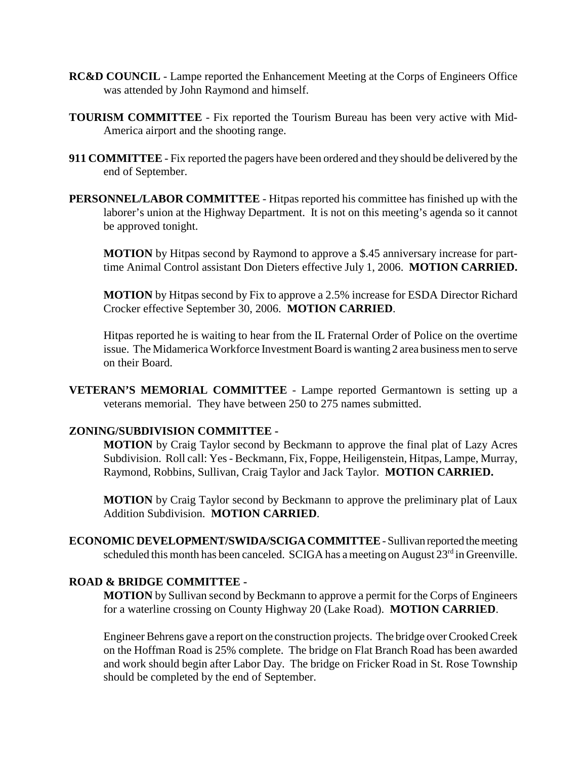- **RC&D COUNCIL**  Lampe reported the Enhancement Meeting at the Corps of Engineers Office was attended by John Raymond and himself.
- **TOURISM COMMITTEE** Fix reported the Tourism Bureau has been very active with Mid-America airport and the shooting range.
- **911 COMMITTEE** Fix reported the pagers have been ordered and they should be delivered by the end of September.
- **PERSONNEL/LABOR COMMITTEE** Hitpas reported his committee has finished up with the laborer's union at the Highway Department. It is not on this meeting's agenda so it cannot be approved tonight.

**MOTION** by Hitpas second by Raymond to approve a \$.45 anniversary increase for parttime Animal Control assistant Don Dieters effective July 1, 2006. **MOTION CARRIED.**

**MOTION** by Hitpas second by Fix to approve a 2.5% increase for ESDA Director Richard Crocker effective September 30, 2006. **MOTION CARRIED**.

Hitpas reported he is waiting to hear from the IL Fraternal Order of Police on the overtime issue. The Midamerica Workforce Investment Board is wanting 2 area business men to serve on their Board.

**VETERAN'S MEMORIAL COMMITTEE** - Lampe reported Germantown is setting up a veterans memorial. They have between 250 to 275 names submitted.

### **ZONING/SUBDIVISION COMMITTEE -**

**MOTION** by Craig Taylor second by Beckmann to approve the final plat of Lazy Acres Subdivision. Roll call: Yes - Beckmann, Fix, Foppe, Heiligenstein, Hitpas, Lampe, Murray, Raymond, Robbins, Sullivan, Craig Taylor and Jack Taylor. **MOTION CARRIED.**

**MOTION** by Craig Taylor second by Beckmann to approve the preliminary plat of Laux Addition Subdivision. **MOTION CARRIED**.

**ECONOMIC DEVELOPMENT/SWIDA/SCIGA COMMITTEE** - Sullivan reported the meeting scheduled this month has been canceled. SCIGA has a meeting on August  $23<sup>rd</sup>$  in Greenville.

# **ROAD & BRIDGE COMMITTEE -**

**MOTION** by Sullivan second by Beckmann to approve a permit for the Corps of Engineers for a waterline crossing on County Highway 20 (Lake Road). **MOTION CARRIED**.

Engineer Behrens gave a report on the construction projects. The bridge over Crooked Creek on the Hoffman Road is 25% complete. The bridge on Flat Branch Road has been awarded and work should begin after Labor Day. The bridge on Fricker Road in St. Rose Township should be completed by the end of September.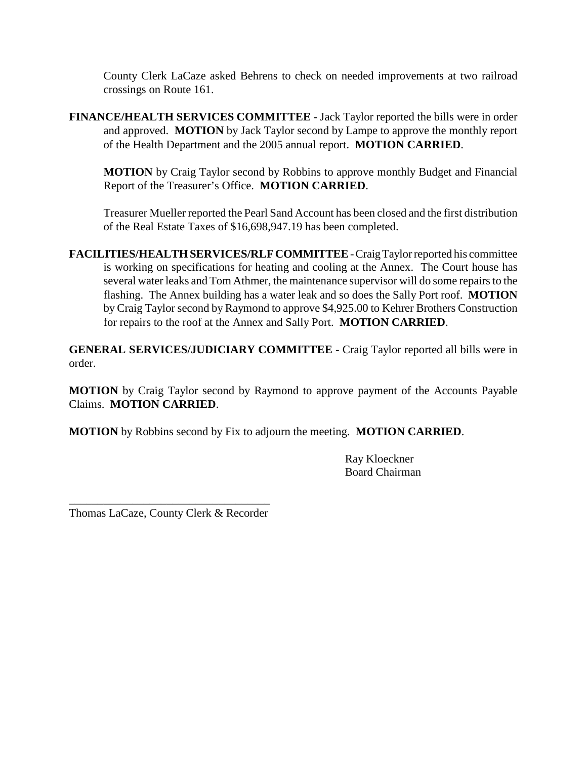County Clerk LaCaze asked Behrens to check on needed improvements at two railroad crossings on Route 161.

**FINANCE/HEALTH SERVICES COMMITTEE** - Jack Taylor reported the bills were in order and approved. **MOTION** by Jack Taylor second by Lampe to approve the monthly report of the Health Department and the 2005 annual report. **MOTION CARRIED**.

**MOTION** by Craig Taylor second by Robbins to approve monthly Budget and Financial Report of the Treasurer's Office. **MOTION CARRIED**.

Treasurer Mueller reported the Pearl Sand Account has been closed and the first distribution of the Real Estate Taxes of \$16,698,947.19 has been completed.

**FACILITIES/HEALTH SERVICES/RLF COMMITTEE** - Craig Taylor reported his committee is working on specifications for heating and cooling at the Annex. The Court house has several water leaks and Tom Athmer, the maintenance supervisor will do some repairs to the flashing. The Annex building has a water leak and so does the Sally Port roof. **MOTION** by Craig Taylor second by Raymond to approve \$4,925.00 to Kehrer Brothers Construction for repairs to the roof at the Annex and Sally Port. **MOTION CARRIED**.

**GENERAL SERVICES/JUDICIARY COMMITTEE** - Craig Taylor reported all bills were in order.

**MOTION** by Craig Taylor second by Raymond to approve payment of the Accounts Payable Claims. **MOTION CARRIED**.

**MOTION** by Robbins second by Fix to adjourn the meeting. **MOTION CARRIED**.

Ray Kloeckner Board Chairman

\_\_\_\_\_\_\_\_\_\_\_\_\_\_\_\_\_\_\_\_\_\_\_\_\_\_\_\_\_\_\_\_\_\_\_ Thomas LaCaze, County Clerk & Recorder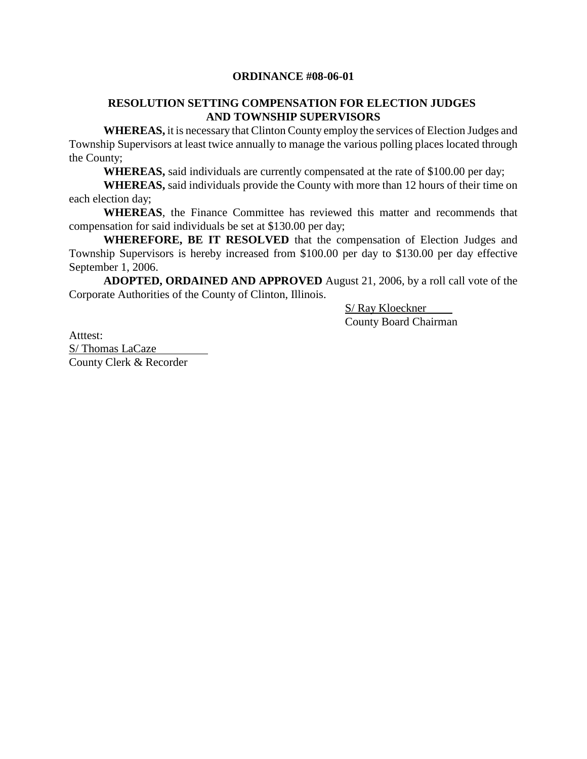# **ORDINANCE #08-06-01**

# **RESOLUTION SETTING COMPENSATION FOR ELECTION JUDGES AND TOWNSHIP SUPERVISORS**

**WHEREAS,** it is necessary that Clinton County employ the services of Election Judges and Township Supervisors at least twice annually to manage the various polling places located through the County;

**WHEREAS,** said individuals are currently compensated at the rate of \$100.00 per day;

**WHEREAS,** said individuals provide the County with more than 12 hours of their time on each election day;

**WHEREAS**, the Finance Committee has reviewed this matter and recommends that compensation for said individuals be set at \$130.00 per day;

**WHEREFORE, BE IT RESOLVED** that the compensation of Election Judges and Township Supervisors is hereby increased from \$100.00 per day to \$130.00 per day effective September 1, 2006.

**ADOPTED, ORDAINED AND APPROVED** August 21, 2006, by a roll call vote of the Corporate Authorities of the County of Clinton, Illinois.

> S/ Ray Kloeckner County Board Chairman

Atttest: S/ Thomas LaCaze County Clerk & Recorder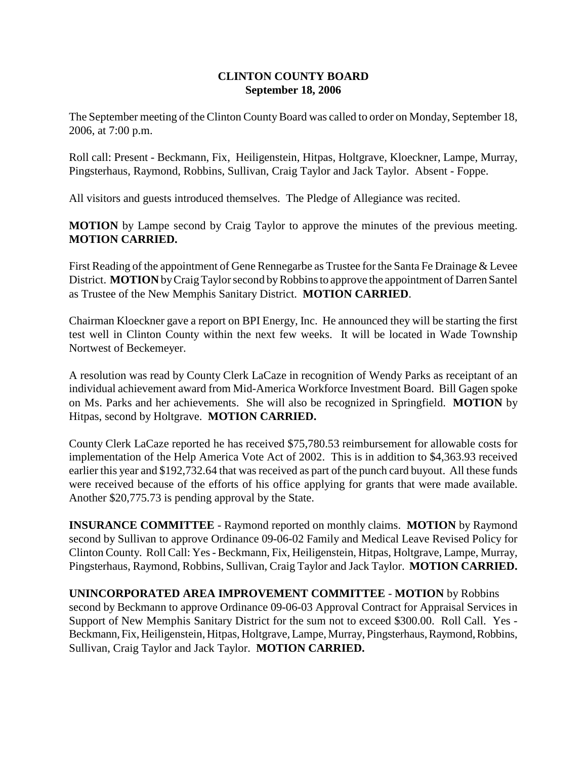# **CLINTON COUNTY BOARD September 18, 2006**

The September meeting of the Clinton County Board was called to order on Monday, September 18, 2006, at 7:00 p.m.

Roll call: Present - Beckmann, Fix, Heiligenstein, Hitpas, Holtgrave, Kloeckner, Lampe, Murray, Pingsterhaus, Raymond, Robbins, Sullivan, Craig Taylor and Jack Taylor. Absent - Foppe.

All visitors and guests introduced themselves. The Pledge of Allegiance was recited.

**MOTION** by Lampe second by Craig Taylor to approve the minutes of the previous meeting. **MOTION CARRIED.**

First Reading of the appointment of Gene Rennegarbe as Trustee for the Santa Fe Drainage & Levee District. **MOTION** by Craig Taylor second by Robbins to approve the appointment of Darren Santel as Trustee of the New Memphis Sanitary District. **MOTION CARRIED**.

Chairman Kloeckner gave a report on BPI Energy, Inc. He announced they will be starting the first test well in Clinton County within the next few weeks. It will be located in Wade Township Nortwest of Beckemeyer.

A resolution was read by County Clerk LaCaze in recognition of Wendy Parks as receiptant of an individual achievement award from Mid-America Workforce Investment Board. Bill Gagen spoke on Ms. Parks and her achievements. She will also be recognized in Springfield. **MOTION** by Hitpas, second by Holtgrave. **MOTION CARRIED.**

County Clerk LaCaze reported he has received \$75,780.53 reimbursement for allowable costs for implementation of the Help America Vote Act of 2002. This is in addition to \$4,363.93 received earlier this year and \$192,732.64 that was received as part of the punch card buyout. All these funds were received because of the efforts of his office applying for grants that were made available. Another \$20,775.73 is pending approval by the State.

**INSURANCE COMMITTEE** - Raymond reported on monthly claims. **MOTION** by Raymond second by Sullivan to approve Ordinance 09-06-02 Family and Medical Leave Revised Policy for Clinton County. Roll Call: Yes - Beckmann, Fix, Heiligenstein, Hitpas, Holtgrave, Lampe, Murray, Pingsterhaus, Raymond, Robbins, Sullivan, Craig Taylor and Jack Taylor. **MOTION CARRIED.**

**UNINCORPORATED AREA IMPROVEMENT COMMITTEE** - **MOTION** by Robbins second by Beckmann to approve Ordinance 09-06-03 Approval Contract for Appraisal Services in Support of New Memphis Sanitary District for the sum not to exceed \$300.00. Roll Call. Yes - Beckmann, Fix, Heiligenstein, Hitpas, Holtgrave, Lampe, Murray, Pingsterhaus, Raymond, Robbins, Sullivan, Craig Taylor and Jack Taylor. **MOTION CARRIED.**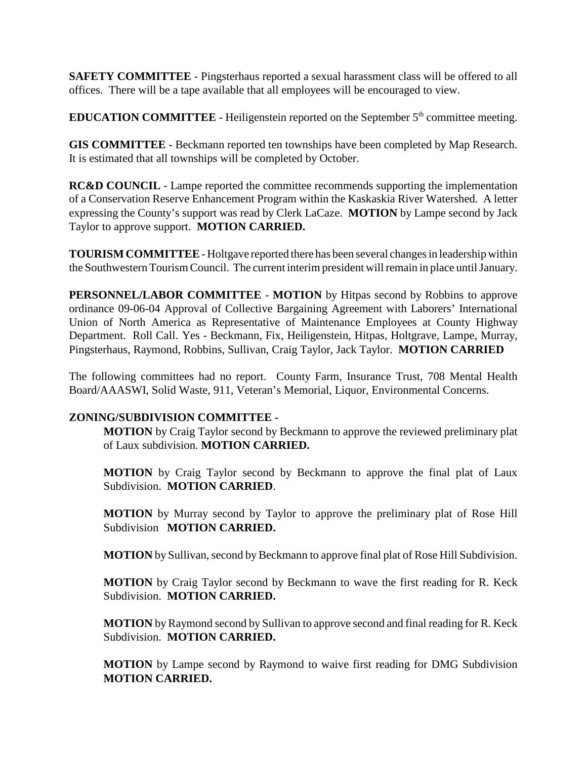**SAFETY COMMITTEE** - Pingsterhaus reported a sexual harassment class will be offered to all offices. There will be a tape available that all employees will be encouraged to view.

**EDUCATION COMMITTEE** - Heiligenstein reported on the September 5<sup>th</sup> committee meeting.

**GIS COMMITTEE** - Beckmann reported ten townships have been completed by Map Research. It is estimated that all townships will be completed by October.

**RC&D COUNCIL** - Lampe reported the committee recommends supporting the implementation of a Conservation Reserve Enhancement Program within the Kaskaskia River Watershed. A letter expressing the County's support was read by Clerk LaCaze. **MOTION** by Lampe second by Jack Taylor to approve support. **MOTION CARRIED.**

**TOURISM COMMITTEE** - Holtgave reported there has been several changes in leadership within the Southwestern Tourism Council. The current interim president will remain in place until January.

**PERSONNEL/LABOR COMMITTEE** - **MOTION** by Hitpas second by Robbins to approve ordinance 09-06-04 Approval of Collective Bargaining Agreement with Laborers' International Union of North America as Representative of Maintenance Employees at County Highway Department. Roll Call. Yes - Beckmann, Fix, Heiligenstein, Hitpas, Holtgrave, Lampe, Murray, Pingsterhaus, Raymond, Robbins, Sullivan, Craig Taylor, Jack Taylor. **MOTION CARRIED**

The following committees had no report. County Farm, Insurance Trust, 708 Mental Health Board/AAASWI, Solid Waste, 911, Veteran's Memorial, Liquor, Environmental Concerns.

# **ZONING/SUBDIVISION COMMITTEE -**

**MOTION** by Craig Taylor second by Beckmann to approve the reviewed preliminary plat of Laux subdivision. **MOTION CARRIED.**

**MOTION** by Craig Taylor second by Beckmann to approve the final plat of Laux Subdivision. **MOTION CARRIED**.

**MOTION** by Murray second by Taylor to approve the preliminary plat of Rose Hill Subdivision **MOTION CARRIED.**

**MOTION** by Sullivan, second by Beckmann to approve final plat of Rose Hill Subdivision.

**MOTION** by Craig Taylor second by Beckmann to wave the first reading for R. Keck Subdivision. **MOTION CARRIED.**

**MOTION** by Raymond second by Sullivan to approve second and final reading for R. Keck Subdivision. **MOTION CARRIED.**

**MOTION** by Lampe second by Raymond to waive first reading for DMG Subdivision **MOTION CARRIED.**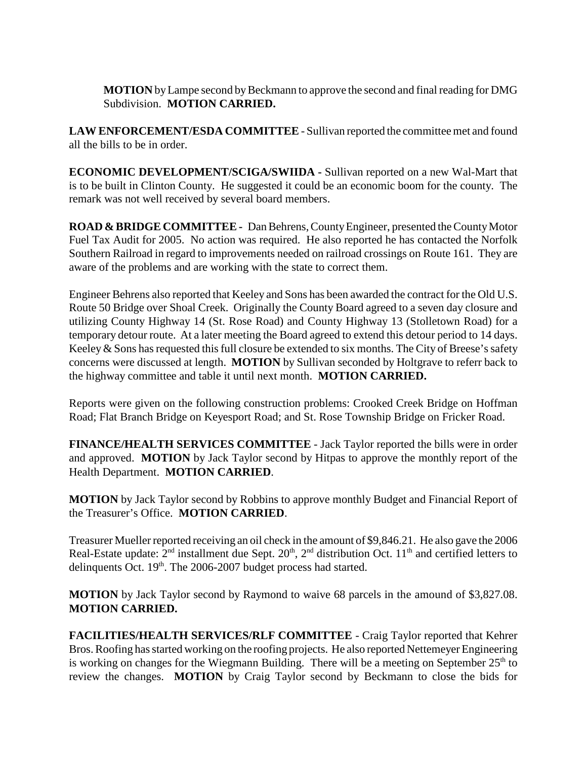**MOTION** by Lampe second by Beckmann to approve the second and final reading for DMG Subdivision. **MOTION CARRIED.**

**LAW ENFORCEMENT/ESDA COMMITTEE** - Sullivan reported the committee met and found all the bills to be in order.

**ECONOMIC DEVELOPMENT/SCIGA/SWIIDA -** Sullivan reported on a new Wal-Mart that is to be built in Clinton County. He suggested it could be an economic boom for the county. The remark was not well received by several board members.

**ROAD & BRIDGE COMMITTEE -** Dan Behrens, County Engineer, presented the County Motor Fuel Tax Audit for 2005. No action was required. He also reported he has contacted the Norfolk Southern Railroad in regard to improvements needed on railroad crossings on Route 161. They are aware of the problems and are working with the state to correct them.

Engineer Behrens also reported that Keeley and Sons has been awarded the contract for the Old U.S. Route 50 Bridge over Shoal Creek. Originally the County Board agreed to a seven day closure and utilizing County Highway 14 (St. Rose Road) and County Highway 13 (Stolletown Road) for a temporary detour route. At a later meeting the Board agreed to extend this detour period to 14 days. Keeley & Sons has requested this full closure be extended to six months. The City of Breese's safety concerns were discussed at length. **MOTION** by Sullivan seconded by Holtgrave to referr back to the highway committee and table it until next month. **MOTION CARRIED.**

Reports were given on the following construction problems: Crooked Creek Bridge on Hoffman Road; Flat Branch Bridge on Keyesport Road; and St. Rose Township Bridge on Fricker Road.

**FINANCE/HEALTH SERVICES COMMITTEE** - Jack Taylor reported the bills were in order and approved. **MOTION** by Jack Taylor second by Hitpas to approve the monthly report of the Health Department. **MOTION CARRIED**.

**MOTION** by Jack Taylor second by Robbins to approve monthly Budget and Financial Report of the Treasurer's Office. **MOTION CARRIED**.

Treasurer Mueller reported receiving an oil check in the amount of \$9,846.21. He also gave the 2006 Real-Estate update:  $2<sup>nd</sup>$  installment due Sept.  $20<sup>th</sup>$ ,  $2<sup>nd</sup>$  distribution Oct.  $11<sup>th</sup>$  and certified letters to delinquents Oct. 19<sup>th</sup>. The 2006-2007 budget process had started.

**MOTION** by Jack Taylor second by Raymond to waive 68 parcels in the amound of \$3,827.08. **MOTION CARRIED.**

**FACILITIES/HEALTH SERVICES/RLF COMMITTEE** - Craig Taylor reported that Kehrer Bros. Roofing has started working on the roofing projects. He also reported Nettemeyer Engineering is working on changes for the Wiegmann Building. There will be a meeting on September  $25<sup>th</sup>$  to review the changes. **MOTION** by Craig Taylor second by Beckmann to close the bids for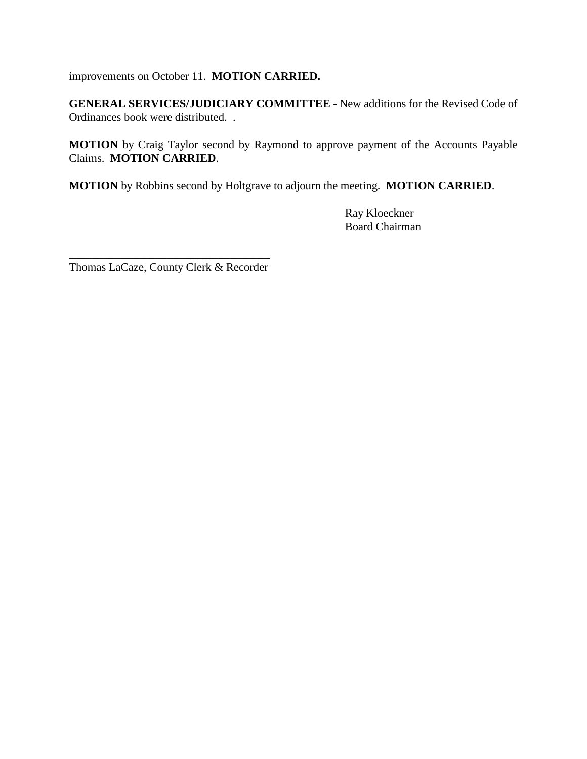improvements on October 11. **MOTION CARRIED.**

**GENERAL SERVICES/JUDICIARY COMMITTEE** - New additions for the Revised Code of Ordinances book were distributed. .

**MOTION** by Craig Taylor second by Raymond to approve payment of the Accounts Payable Claims. **MOTION CARRIED**.

**MOTION** by Robbins second by Holtgrave to adjourn the meeting. **MOTION CARRIED**.

Ray Kloeckner Board Chairman

\_\_\_\_\_\_\_\_\_\_\_\_\_\_\_\_\_\_\_\_\_\_\_\_\_\_\_\_\_\_\_\_\_\_\_ Thomas LaCaze, County Clerk & Recorder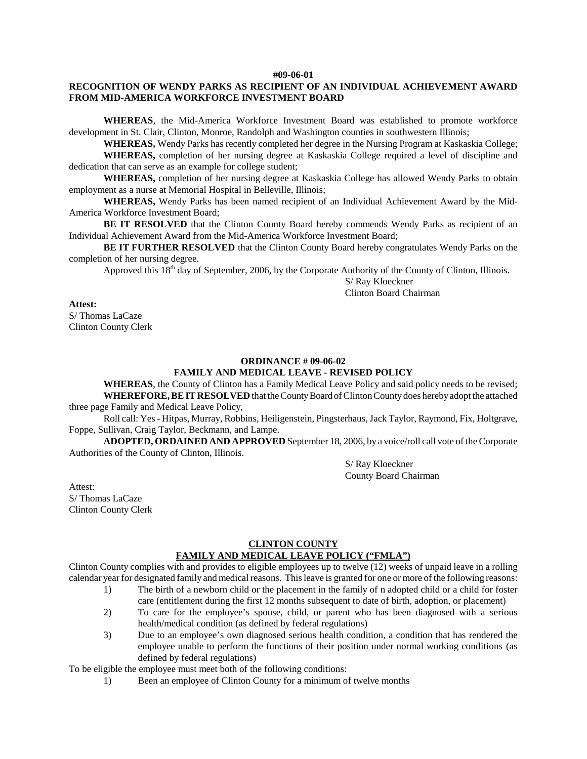#### **#09-06-01**

### **RECOGNITION OF WENDY PARKS AS RECIPIENT OF AN INDIVIDUAL ACHIEVEMENT AWARD FROM MID-AMERICA WORKFORCE INVESTMENT BOARD**

**WHEREAS**, the Mid-America Workforce Investment Board was established to promote workforce development in St. Clair, Clinton, Monroe, Randolph and Washington counties in southwestern Illinois;

**WHEREAS,** Wendy Parks has recently completed her degree in the Nursing Program at Kaskaskia College; **WHEREAS,** completion of her nursing degree at Kaskaskia College required a level of discipline and dedication that can serve as an example for college student;

**WHEREAS,** completion of her nursing degree at Kaskaskia College has allowed Wendy Parks to obtain employment as a nurse at Memorial Hospital in Belleville, Illinois;

**WHEREAS,** Wendy Parks has been named recipient of an Individual Achievement Award by the Mid-America Workforce Investment Board;

**BE IT RESOLVED** that the Clinton County Board hereby commends Wendy Parks as recipient of an Individual Achievement Award from the Mid-America Workforce Investment Board;

**BE IT FURTHER RESOLVED** that the Clinton County Board hereby congratulates Wendy Parks on the completion of her nursing degree.

Approved this 18<sup>th</sup> day of September, 2006, by the Corporate Authority of the County of Clinton, Illinois.

S/ Ray Kloeckner Clinton Board Chairman

#### **Attest:**

S/ Thomas LaCaze Clinton County Clerk

#### **ORDINANCE # 09-06-02**

#### **FAMILY AND MEDICAL LEAVE - REVISED POLICY**

**WHEREAS**, the County of Clinton has a Family Medical Leave Policy and said policy needs to be revised; **WHEREFORE, BE IT RESOLVED** that the County Board of Clinton County does hereby adopt the attached three page Family and Medical Leave Policy,

Roll call: Yes - Hitpas, Murray, Robbins, Heiligenstein, Pingsterhaus, Jack Taylor, Raymond, Fix, Holtgrave, Foppe, Sullivan, Craig Taylor, Beckmann, and Lampe.

**ADOPTED, ORDAINED AND APPROVED** September 18, 2006, by a voice/roll call vote of the Corporate Authorities of the County of Clinton, Illinois.

> S/ Ray Kloeckner County Board Chairman

Attest: S/ Thomas LaCaze

Clinton County Clerk

#### **CLINTON COUNTY FAMILY AND MEDICAL LEAVE POLICY ("FMLA")**

Clinton County complies with and provides to eligible employees up to twelve (12) weeks of unpaid leave in a rolling calendar year for designated family and medical reasons. This leave is granted for one or more of the following reasons:

- 1) The birth of a newborn child or the placement in the family of n adopted child or a child for foster care (entitlement during the first 12 months subsequent to date of birth, adoption, or placement)
- 2) To care for the employee's spouse, child, or parent who has been diagnosed with a serious health/medical condition (as defined by federal regulations)
- 3) Due to an employee's own diagnosed serious health condition, a condition that has rendered the employee unable to perform the functions of their position under normal working conditions (as defined by federal regulations)

To be eligible the employee must meet both of the following conditions:

1) Been an employee of Clinton County for a minimum of twelve months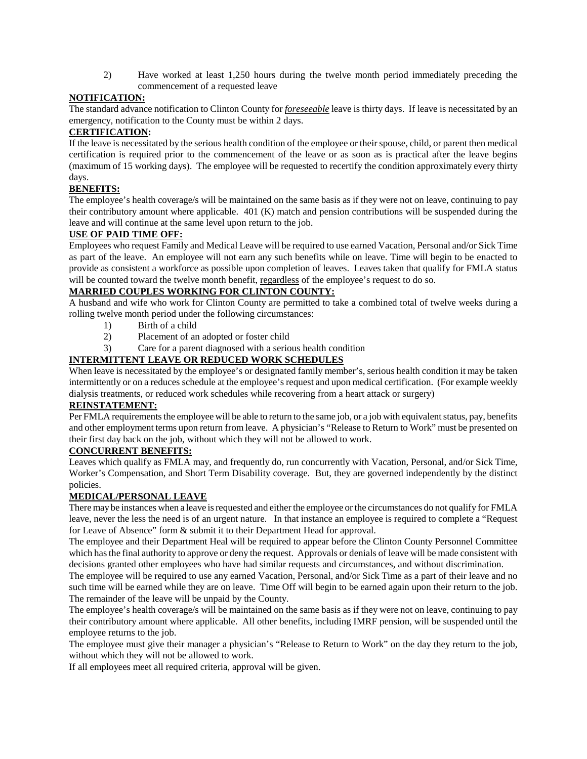2) Have worked at least 1,250 hours during the twelve month period immediately preceding the commencement of a requested leave

### **NOTIFICATION:**

The standard advance notification to Clinton County for *foreseeable* leave is thirty days. If leave is necessitated by an emergency, notification to the County must be within 2 days.

## **CERTIFICATION:**

If the leave is necessitated by the serious health condition of the employee or their spouse, child, or parent then medical certification is required prior to the commencement of the leave or as soon as is practical after the leave begins (maximum of 15 working days). The employee will be requested to recertify the condition approximately every thirty days.

### **BENEFITS:**

The employee's health coverage/s will be maintained on the same basis as if they were not on leave, continuing to pay their contributory amount where applicable. 401 (K) match and pension contributions will be suspended during the leave and will continue at the same level upon return to the job.

### **USE OF PAID TIME OFF:**

Employees who request Family and Medical Leave will be required to use earned Vacation, Personal and/or Sick Time as part of the leave. An employee will not earn any such benefits while on leave. Time will begin to be enacted to provide as consistent a workforce as possible upon completion of leaves. Leaves taken that qualify for FMLA status will be counted toward the twelve month benefit, regardless of the employee's request to do so.

### **MARRIED COUPLES WORKING FOR CLINTON COUNTY:**

A husband and wife who work for Clinton County are permitted to take a combined total of twelve weeks during a rolling twelve month period under the following circumstances:

- 1) Birth of a child
- 2) Placement of an adopted or foster child
- 3) Care for a parent diagnosed with a serious health condition

### **INTERMITTENT LEAVE OR REDUCED WORK SCHEDULES**

When leave is necessitated by the employee's or designated family member's, serious health condition it may be taken intermittently or on a reduces schedule at the employee's request and upon medical certification. (For example weekly dialysis treatments, or reduced work schedules while recovering from a heart attack or surgery)

### **REINSTATEMENT:**

Per FMLA requirements the employee will be able to return to the same job, or a job with equivalent status, pay, benefits and other employment terms upon return from leave. A physician's "Release to Return to Work" must be presented on their first day back on the job, without which they will not be allowed to work.

### **CONCURRENT BENEFITS:**

Leaves which qualify as FMLA may, and frequently do, run concurrently with Vacation, Personal, and/or Sick Time, Worker's Compensation, and Short Term Disability coverage. But, they are governed independently by the distinct policies.

### **MEDICAL/PERSONAL LEAVE**

There may be instances when a leave is requested and either the employee or the circumstances do not qualify for FMLA leave, never the less the need is of an urgent nature. In that instance an employee is required to complete a "Request for Leave of Absence" form & submit it to their Department Head for approval.

The employee and their Department Heal will be required to appear before the Clinton County Personnel Committee which has the final authority to approve or deny the request. Approvals or denials of leave will be made consistent with decisions granted other employees who have had similar requests and circumstances, and without discrimination.

The employee will be required to use any earned Vacation, Personal, and/or Sick Time as a part of their leave and no such time will be earned while they are on leave. Time Off will begin to be earned again upon their return to the job. The remainder of the leave will be unpaid by the County.

The employee's health coverage/s will be maintained on the same basis as if they were not on leave, continuing to pay their contributory amount where applicable. All other benefits, including IMRF pension, will be suspended until the employee returns to the job.

The employee must give their manager a physician's "Release to Return to Work" on the day they return to the job, without which they will not be allowed to work.

If all employees meet all required criteria, approval will be given.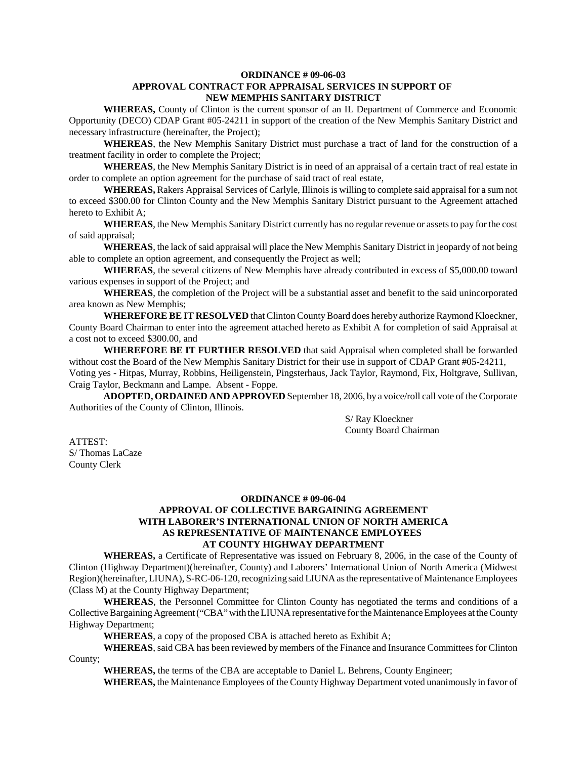#### **ORDINANCE # 09-06-03 APPROVAL CONTRACT FOR APPRAISAL SERVICES IN SUPPORT OF NEW MEMPHIS SANITARY DISTRICT**

**WHEREAS,** County of Clinton is the current sponsor of an IL Department of Commerce and Economic Opportunity (DECO) CDAP Grant #05-24211 in support of the creation of the New Memphis Sanitary District and necessary infrastructure (hereinafter, the Project);

**WHEREAS**, the New Memphis Sanitary District must purchase a tract of land for the construction of a treatment facility in order to complete the Project;

**WHEREAS**, the New Memphis Sanitary District is in need of an appraisal of a certain tract of real estate in order to complete an option agreement for the purchase of said tract of real estate,

**WHEREAS,** Rakers Appraisal Services of Carlyle, Illinois is willing to complete said appraisal for a sum not to exceed \$300.00 for Clinton County and the New Memphis Sanitary District pursuant to the Agreement attached hereto to Exhibit A;

**WHEREAS**, the New Memphis Sanitary District currently has no regular revenue or assets to pay for the cost of said appraisal;

**WHEREAS**, the lack of said appraisal will place the New Memphis Sanitary District in jeopardy of not being able to complete an option agreement, and consequently the Project as well;

**WHEREAS**, the several citizens of New Memphis have already contributed in excess of \$5,000.00 toward various expenses in support of the Project; and

**WHEREAS**, the completion of the Project will be a substantial asset and benefit to the said unincorporated area known as New Memphis;

**WHEREFORE BE IT RESOLVED** that Clinton County Board does hereby authorize Raymond Kloeckner, County Board Chairman to enter into the agreement attached hereto as Exhibit A for completion of said Appraisal at a cost not to exceed \$300.00, and

**WHEREFORE BE IT FURTHER RESOLVED** that said Appraisal when completed shall be forwarded without cost the Board of the New Memphis Sanitary District for their use in support of CDAP Grant #05-24211, Voting yes - Hitpas, Murray, Robbins, Heiligenstein, Pingsterhaus, Jack Taylor, Raymond, Fix, Holtgrave, Sullivan, Craig Taylor, Beckmann and Lampe. Absent - Foppe.

**ADOPTED, ORDAINED AND APPROVED** September 18, 2006, by a voice/roll call vote of the Corporate Authorities of the County of Clinton, Illinois.

> S/ Ray Kloeckner County Board Chairman

ATTEST: S/ Thomas LaCaze County Clerk

### **ORDINANCE # 09-06-04 APPROVAL OF COLLECTIVE BARGAINING AGREEMENT WITH LABORER'S INTERNATIONAL UNION OF NORTH AMERICA AS REPRESENTATIVE OF MAINTENANCE EMPLOYEES AT COUNTY HIGHWAY DEPARTMENT**

**WHEREAS,** a Certificate of Representative was issued on February 8, 2006, in the case of the County of Clinton (Highway Department)(hereinafter, County) and Laborers' International Union of North America (Midwest Region)(hereinafter, LIUNA), S-RC-06-120, recognizing said LIUNA as the representative of Maintenance Employees (Class M) at the County Highway Department;

**WHEREAS**, the Personnel Committee for Clinton County has negotiated the terms and conditions of a Collective Bargaining Agreement ("CBA" with the LIUNA representative for the Maintenance Employees at the County Highway Department;

**WHEREAS**, a copy of the proposed CBA is attached hereto as Exhibit A;

**WHEREAS**, said CBA has been reviewed by members of the Finance and Insurance Committees for Clinton County;

**WHEREAS,** the terms of the CBA are acceptable to Daniel L. Behrens, County Engineer;

**WHEREAS,** the Maintenance Employees of the County Highway Department voted unanimously in favor of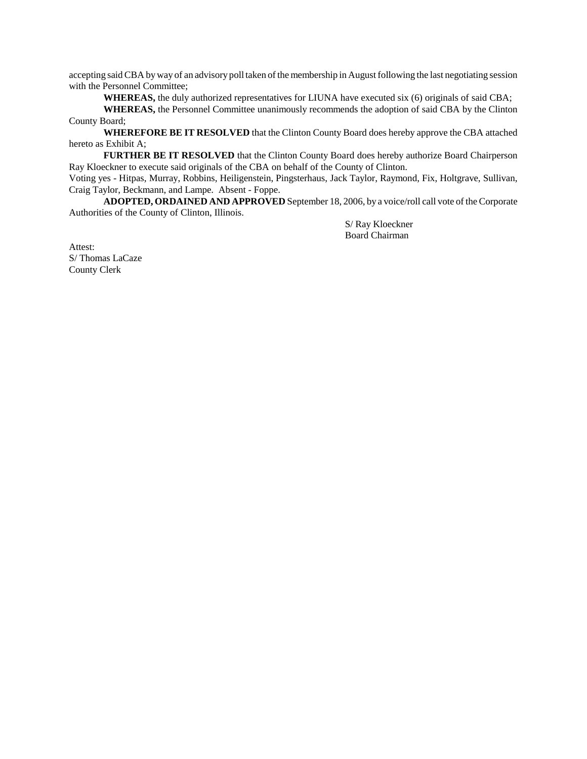accepting said CBA by way of an advisory poll taken of the membership in August following the last negotiating session with the Personnel Committee;

**WHEREAS,** the duly authorized representatives for LIUNA have executed six (6) originals of said CBA;

**WHEREAS,** the Personnel Committee unanimously recommends the adoption of said CBA by the Clinton County Board;

**WHEREFORE BE IT RESOLVED** that the Clinton County Board does hereby approve the CBA attached hereto as Exhibit A;

**FURTHER BE IT RESOLVED** that the Clinton County Board does hereby authorize Board Chairperson Ray Kloeckner to execute said originals of the CBA on behalf of the County of Clinton.

Voting yes - Hitpas, Murray, Robbins, Heiligenstein, Pingsterhaus, Jack Taylor, Raymond, Fix, Holtgrave, Sullivan, Craig Taylor, Beckmann, and Lampe. Absent - Foppe.

**ADOPTED, ORDAINED AND APPROVED** September 18, 2006, by a voice/roll call vote of the Corporate Authorities of the County of Clinton, Illinois.

> S/ Ray Kloeckner Board Chairman

Attest: S/ Thomas LaCaze County Clerk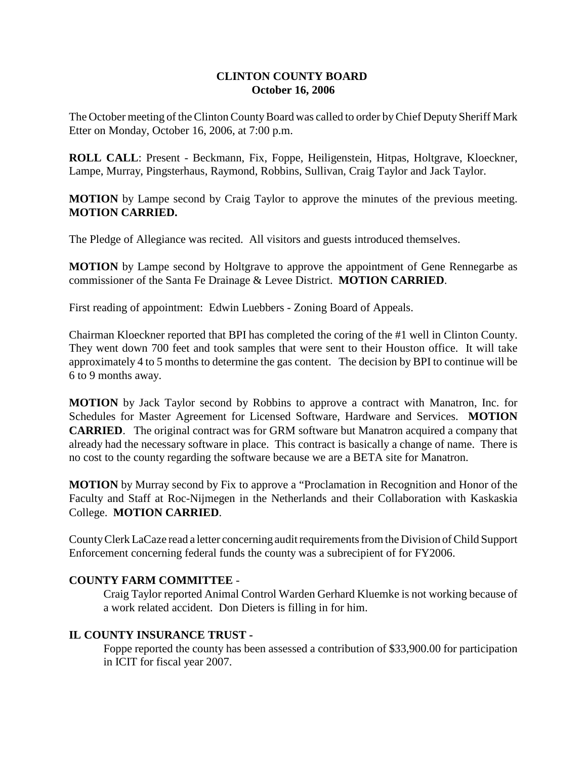# **CLINTON COUNTY BOARD October 16, 2006**

The October meeting of the Clinton County Board was called to order by Chief Deputy Sheriff Mark Etter on Monday, October 16, 2006, at 7:00 p.m.

**ROLL CALL**: Present - Beckmann, Fix, Foppe, Heiligenstein, Hitpas, Holtgrave, Kloeckner, Lampe, Murray, Pingsterhaus, Raymond, Robbins, Sullivan, Craig Taylor and Jack Taylor.

**MOTION** by Lampe second by Craig Taylor to approve the minutes of the previous meeting. **MOTION CARRIED.**

The Pledge of Allegiance was recited. All visitors and guests introduced themselves.

**MOTION** by Lampe second by Holtgrave to approve the appointment of Gene Rennegarbe as commissioner of the Santa Fe Drainage & Levee District. **MOTION CARRIED**.

First reading of appointment: Edwin Luebbers - Zoning Board of Appeals.

Chairman Kloeckner reported that BPI has completed the coring of the #1 well in Clinton County. They went down 700 feet and took samples that were sent to their Houston office. It will take approximately 4 to 5 months to determine the gas content. The decision by BPI to continue will be 6 to 9 months away.

**MOTION** by Jack Taylor second by Robbins to approve a contract with Manatron, Inc. for Schedules for Master Agreement for Licensed Software, Hardware and Services. **MOTION CARRIED**. The original contract was for GRM software but Manatron acquired a company that already had the necessary software in place. This contract is basically a change of name. There is no cost to the county regarding the software because we are a BETA site for Manatron.

**MOTION** by Murray second by Fix to approve a "Proclamation in Recognition and Honor of the Faculty and Staff at Roc-Nijmegen in the Netherlands and their Collaboration with Kaskaskia College. **MOTION CARRIED**.

County Clerk LaCaze read a letter concerning audit requirements from the Division of Child Support Enforcement concerning federal funds the county was a subrecipient of for FY2006.

# **COUNTY FARM COMMITTEE** -

Craig Taylor reported Animal Control Warden Gerhard Kluemke is not working because of a work related accident. Don Dieters is filling in for him.

# **IL COUNTY INSURANCE TRUST -**

Foppe reported the county has been assessed a contribution of \$33,900.00 for participation in ICIT for fiscal year 2007.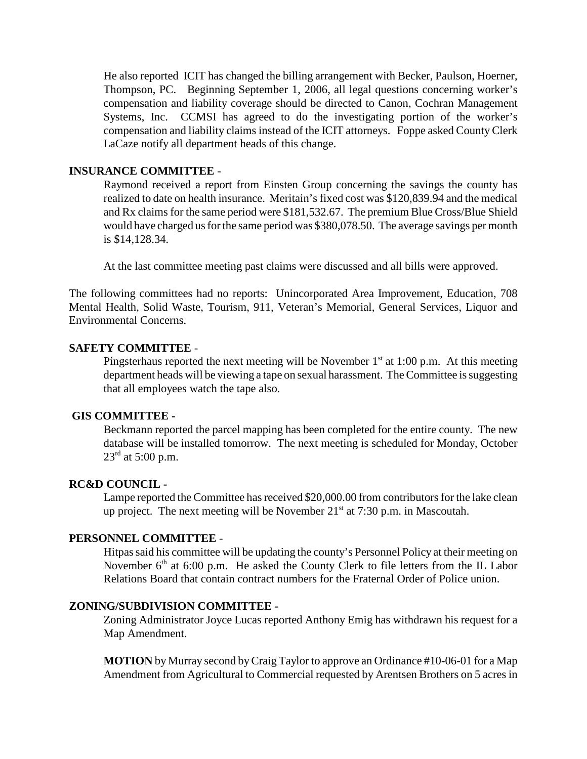He also reported ICIT has changed the billing arrangement with Becker, Paulson, Hoerner, Thompson, PC. Beginning September 1, 2006, all legal questions concerning worker's compensation and liability coverage should be directed to Canon, Cochran Management Systems, Inc. CCMSI has agreed to do the investigating portion of the worker's compensation and liability claims instead of the ICIT attorneys. Foppe asked County Clerk LaCaze notify all department heads of this change.

# **INSURANCE COMMITTEE** -

Raymond received a report from Einsten Group concerning the savings the county has realized to date on health insurance. Meritain's fixed cost was \$120,839.94 and the medical and Rx claims for the same period were \$181,532.67. The premium Blue Cross/Blue Shield would have charged us for the same period was \$380,078.50. The average savings per month is \$14,128.34.

At the last committee meeting past claims were discussed and all bills were approved.

The following committees had no reports: Unincorporated Area Improvement, Education, 708 Mental Health, Solid Waste, Tourism, 911, Veteran's Memorial, General Services, Liquor and Environmental Concerns.

# **SAFETY COMMITTEE** -

Pingsterhaus reported the next meeting will be November  $1<sup>st</sup>$  at 1:00 p.m. At this meeting department heads will be viewing a tape on sexual harassment. The Committee is suggesting that all employees watch the tape also.

## **GIS COMMITTEE -**

Beckmann reported the parcel mapping has been completed for the entire county. The new database will be installed tomorrow. The next meeting is scheduled for Monday, October  $23^{\text{rd}}$  at 5:00 p.m.

### **RC&D COUNCIL -**

Lampe reported the Committee has received \$20,000.00 from contributors for the lake clean up project. The next meeting will be November  $21<sup>st</sup>$  at 7:30 p.m. in Mascoutah.

# **PERSONNEL COMMITTEE** -

Hitpas said his committee will be updating the county's Personnel Policy at their meeting on November  $6<sup>th</sup>$  at 6:00 p.m. He asked the County Clerk to file letters from the IL Labor Relations Board that contain contract numbers for the Fraternal Order of Police union.

## **ZONING/SUBDIVISION COMMITTEE -**

Zoning Administrator Joyce Lucas reported Anthony Emig has withdrawn his request for a Map Amendment.

**MOTION** by Murray second by Craig Taylor to approve an Ordinance #10-06-01 for a Map Amendment from Agricultural to Commercial requested by Arentsen Brothers on 5 acres in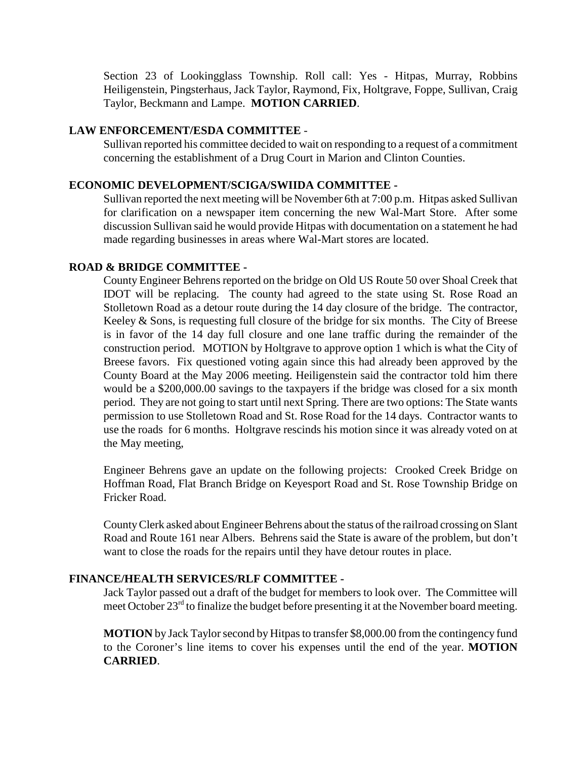Section 23 of Lookingglass Township. Roll call: Yes - Hitpas, Murray, Robbins Heiligenstein, Pingsterhaus, Jack Taylor, Raymond, Fix, Holtgrave, Foppe, Sullivan, Craig Taylor, Beckmann and Lampe. **MOTION CARRIED**.

# **LAW ENFORCEMENT/ESDA COMMITTEE** -

Sullivan reported his committee decided to wait on responding to a request of a commitment concerning the establishment of a Drug Court in Marion and Clinton Counties.

# **ECONOMIC DEVELOPMENT/SCIGA/SWIIDA COMMITTEE -**

Sullivan reported the next meeting will be November 6th at 7:00 p.m. Hitpas asked Sullivan for clarification on a newspaper item concerning the new Wal-Mart Store. After some discussion Sullivan said he would provide Hitpas with documentation on a statement he had made regarding businesses in areas where Wal-Mart stores are located.

# **ROAD & BRIDGE COMMITTEE -**

County Engineer Behrens reported on the bridge on Old US Route 50 over Shoal Creek that IDOT will be replacing. The county had agreed to the state using St. Rose Road an Stolletown Road as a detour route during the 14 day closure of the bridge. The contractor, Keeley & Sons, is requesting full closure of the bridge for six months. The City of Breese is in favor of the 14 day full closure and one lane traffic during the remainder of the construction period. MOTION by Holtgrave to approve option 1 which is what the City of Breese favors. Fix questioned voting again since this had already been approved by the County Board at the May 2006 meeting. Heiligenstein said the contractor told him there would be a \$200,000.00 savings to the taxpayers if the bridge was closed for a six month period. They are not going to start until next Spring. There are two options: The State wants permission to use Stolletown Road and St. Rose Road for the 14 days. Contractor wants to use the roads for 6 months. Holtgrave rescinds his motion since it was already voted on at the May meeting,

Engineer Behrens gave an update on the following projects: Crooked Creek Bridge on Hoffman Road, Flat Branch Bridge on Keyesport Road and St. Rose Township Bridge on Fricker Road.

County Clerk asked about Engineer Behrens about the status of the railroad crossing on Slant Road and Route 161 near Albers. Behrens said the State is aware of the problem, but don't want to close the roads for the repairs until they have detour routes in place.

# **FINANCE/HEALTH SERVICES/RLF COMMITTEE -**

Jack Taylor passed out a draft of the budget for members to look over. The Committee will meet October  $23<sup>rd</sup>$  to finalize the budget before presenting it at the November board meeting.

**MOTION** by Jack Taylor second by Hitpas to transfer \$8,000.00 from the contingency fund to the Coroner's line items to cover his expenses until the end of the year. **MOTION CARRIED**.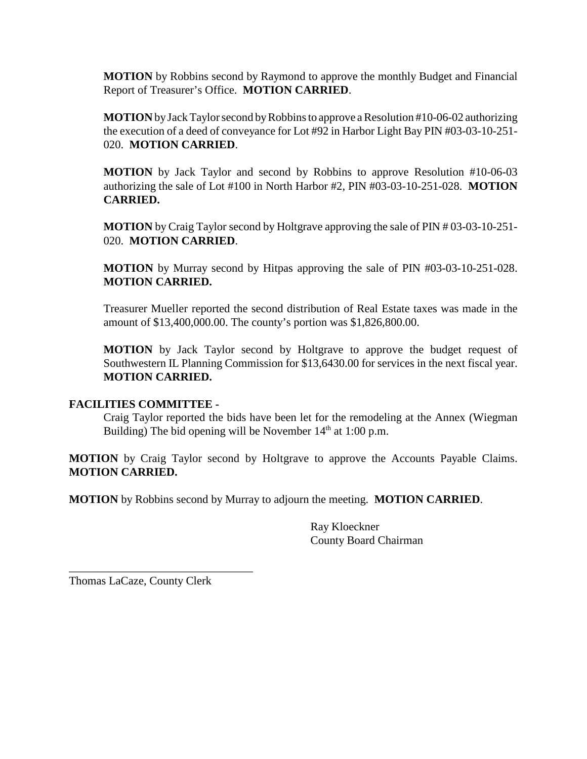**MOTION** by Robbins second by Raymond to approve the monthly Budget and Financial Report of Treasurer's Office. **MOTION CARRIED**.

**MOTION** by Jack Taylor second by Robbins to approve a Resolution #10-06-02 authorizing the execution of a deed of conveyance for Lot #92 in Harbor Light Bay PIN #03-03-10-251- 020. **MOTION CARRIED**.

**MOTION** by Jack Taylor and second by Robbins to approve Resolution #10-06-03 authorizing the sale of Lot #100 in North Harbor #2, PIN #03-03-10-251-028. **MOTION CARRIED.**

**MOTION** by Craig Taylor second by Holtgrave approving the sale of PIN # 03-03-10-251- 020. **MOTION CARRIED**.

**MOTION** by Murray second by Hitpas approving the sale of PIN #03-03-10-251-028. **MOTION CARRIED.**

Treasurer Mueller reported the second distribution of Real Estate taxes was made in the amount of \$13,400,000.00. The county's portion was \$1,826,800.00.

**MOTION** by Jack Taylor second by Holtgrave to approve the budget request of Southwestern IL Planning Commission for \$13,6430.00 for services in the next fiscal year. **MOTION CARRIED.**

# **FACILITIES COMMITTEE -**

Craig Taylor reported the bids have been let for the remodeling at the Annex (Wiegman Building) The bid opening will be November  $14<sup>th</sup>$  at 1:00 p.m.

**MOTION** by Craig Taylor second by Holtgrave to approve the Accounts Payable Claims. **MOTION CARRIED.**

**MOTION** by Robbins second by Murray to adjourn the meeting. **MOTION CARRIED**.

Ray Kloeckner County Board Chairman

Thomas LaCaze, County Clerk

\_\_\_\_\_\_\_\_\_\_\_\_\_\_\_\_\_\_\_\_\_\_\_\_\_\_\_\_\_\_\_\_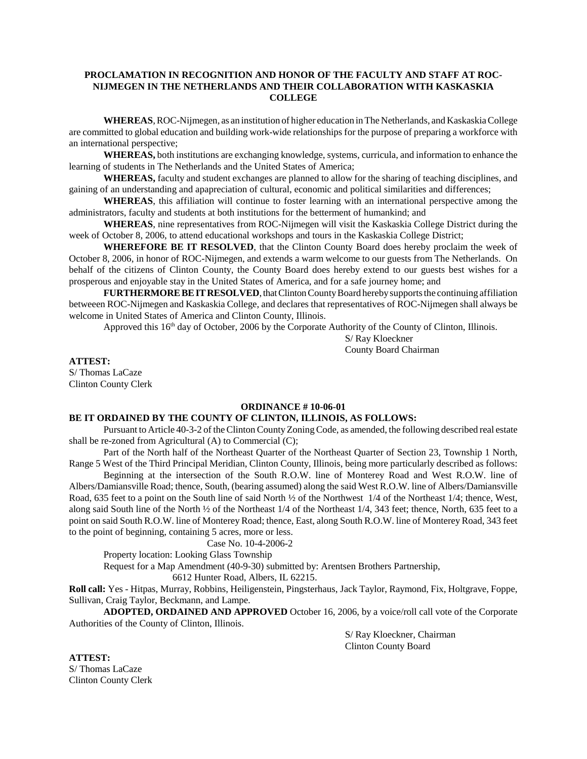### **PROCLAMATION IN RECOGNITION AND HONOR OF THE FACULTY AND STAFF AT ROC-NIJMEGEN IN THE NETHERLANDS AND THEIR COLLABORATION WITH KASKASKIA COLLEGE**

**WHEREAS**, ROC-Nijmegen, as an institution of higher education in The Netherlands, and Kaskaskia College are committed to global education and building work-wide relationships for the purpose of preparing a workforce with an international perspective;

**WHEREAS,** both institutions are exchanging knowledge, systems, curricula, and information to enhance the learning of students in The Netherlands and the United States of America;

**WHEREAS,** faculty and student exchanges are planned to allow for the sharing of teaching disciplines, and gaining of an understanding and apapreciation of cultural, economic and political similarities and differences;

**WHEREAS**, this affiliation will continue to foster learning with an international perspective among the administrators, faculty and students at both institutions for the betterment of humankind; and

**WHEREAS**, nine representatives from ROC-Nijmegen will visit the Kaskaskia College District during the week of October 8, 2006, to attend educational workshops and tours in the Kaskaskia College District;

**WHEREFORE BE IT RESOLVED**, that the Clinton County Board does hereby proclaim the week of October 8, 2006, in honor of ROC-Nijmegen, and extends a warm welcome to our guests from The Netherlands. On behalf of the citizens of Clinton County, the County Board does hereby extend to our guests best wishes for a prosperous and enjoyable stay in the United States of America, and for a safe journey home; and

**FURTHERMORE BE IT RESOLVED**, that Clinton County Board hereby supports the continuing affiliation betweeen ROC-Nijmegen and Kaskaskia College, and declares that representatives of ROC-Nijmegen shall always be welcome in United States of America and Clinton County, Illinois.

Approved this  $16<sup>th</sup>$  day of October, 2006 by the Corporate Authority of the County of Clinton, Illinois.

S/ Ray Kloeckner County Board Chairman

**ATTEST:**

S/ Thomas LaCaze Clinton County Clerk

#### **ORDINANCE # 10-06-01**

#### **BE IT ORDAINED BY THE COUNTY OF CLINTON, ILLINOIS, AS FOLLOWS:**

Pursuant to Article 40-3-2 of the Clinton County Zoning Code, as amended, the following described real estate shall be re-zoned from Agricultural (A) to Commercial (C);

Part of the North half of the Northeast Quarter of the Northeast Quarter of Section 23, Township 1 North, Range 5 West of the Third Principal Meridian, Clinton County, Illinois, being more particularly described as follows:

Beginning at the intersection of the South R.O.W. line of Monterey Road and West R.O.W. line of Albers/Damiansville Road; thence, South, (bearing assumed) along the said West R.O.W. line of Albers/Damiansville Road, 635 feet to a point on the South line of said North ½ of the Northwest 1/4 of the Northeast 1/4; thence, West, along said South line of the North ½ of the Northeast 1/4 of the Northeast 1/4, 343 feet; thence, North, 635 feet to a point on said South R.O.W. line of Monterey Road; thence, East, along South R.O.W. line of Monterey Road, 343 feet to the point of beginning, containing 5 acres, more or less.

Case No. 10-4-2006-2

Property location: Looking Glass Township

Request for a Map Amendment (40-9-30) submitted by: Arentsen Brothers Partnership,

6612 Hunter Road, Albers, IL 62215.

**Roll call:** Yes - Hitpas, Murray, Robbins, Heiligenstein, Pingsterhaus, Jack Taylor, Raymond, Fix, Holtgrave, Foppe, Sullivan, Craig Taylor, Beckmann, and Lampe.

**ADOPTED, ORDAINED AND APPROVED** October 16, 2006, by a voice/roll call vote of the Corporate Authorities of the County of Clinton, Illinois.

> S/ Ray Kloeckner, Chairman Clinton County Board

**ATTEST:** S/ Thomas LaCaze Clinton County Clerk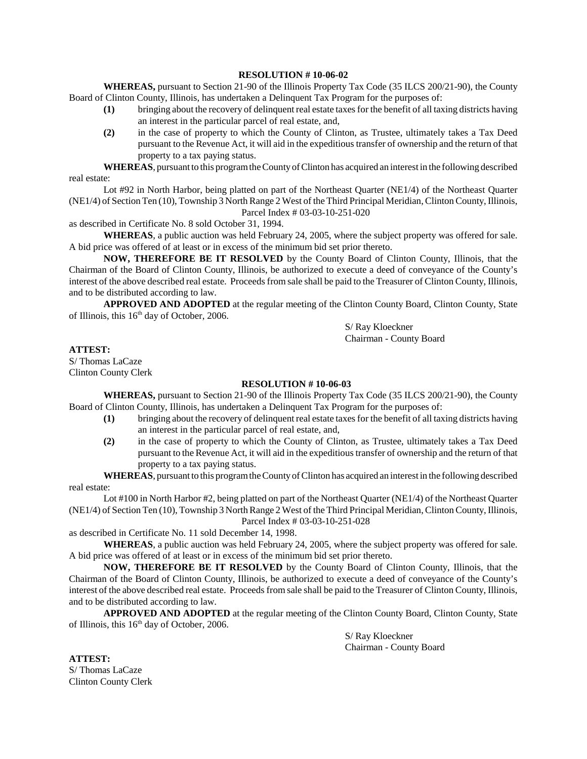#### **RESOLUTION # 10-06-02**

**WHEREAS,** pursuant to Section 21-90 of the Illinois Property Tax Code (35 ILCS 200/21-90), the County Board of Clinton County, Illinois, has undertaken a Delinquent Tax Program for the purposes of:

- **(1)** bringing about the recovery of delinquent real estate taxes for the benefit of all taxing districts having an interest in the particular parcel of real estate, and,
- **(2)** in the case of property to which the County of Clinton, as Trustee, ultimately takes a Tax Deed pursuant to the Revenue Act, it will aid in the expeditious transfer of ownership and the return of that property to a tax paying status.

**WHEREAS**, pursuant to this program the County of Clinton has acquired an interest in the following described real estate:

Lot #92 in North Harbor, being platted on part of the Northeast Quarter (NE1/4) of the Northeast Quarter (NE1/4) of Section Ten (10), Township 3 North Range 2 West of the Third Principal Meridian, Clinton County, Illinois, Parcel Index # 03-03-10-251-020

as described in Certificate No. 8 sold October 31, 1994.

**WHEREAS**, a public auction was held February 24, 2005, where the subject property was offered for sale. A bid price was offered of at least or in excess of the minimum bid set prior thereto.

**NOW, THEREFORE BE IT RESOLVED** by the County Board of Clinton County, Illinois, that the Chairman of the Board of Clinton County, Illinois, be authorized to execute a deed of conveyance of the County's interest of the above described real estate. Proceeds from sale shall be paid to the Treasurer of Clinton County, Illinois, and to be distributed according to law.

**APPROVED AND ADOPTED** at the regular meeting of the Clinton County Board, Clinton County, State of Illinois, this  $16<sup>th</sup>$  day of October, 2006.

> S/ Ray Kloeckner Chairman - County Board

**ATTEST:**

S/ Thomas LaCaze Clinton County Clerk

#### **RESOLUTION # 10-06-03**

**WHEREAS,** pursuant to Section 21-90 of the Illinois Property Tax Code (35 ILCS 200/21-90), the County Board of Clinton County, Illinois, has undertaken a Delinquent Tax Program for the purposes of:

- **(1)** bringing about the recovery of delinquent real estate taxes for the benefit of all taxing districts having an interest in the particular parcel of real estate, and,
- **(2)** in the case of property to which the County of Clinton, as Trustee, ultimately takes a Tax Deed pursuant to the Revenue Act, it will aid in the expeditious transfer of ownership and the return of that property to a tax paying status.

**WHEREAS**, pursuant to this program the County of Clinton has acquired an interest in the following described real estate:

Lot #100 in North Harbor #2, being platted on part of the Northeast Quarter (NE1/4) of the Northeast Quarter (NE1/4) of Section Ten (10), Township 3 North Range 2 West of the Third Principal Meridian, Clinton County, Illinois, Parcel Index # 03-03-10-251-028

as described in Certificate No. 11 sold December 14, 1998.

**WHEREAS**, a public auction was held February 24, 2005, where the subject property was offered for sale. A bid price was offered of at least or in excess of the minimum bid set prior thereto.

**NOW, THEREFORE BE IT RESOLVED** by the County Board of Clinton County, Illinois, that the Chairman of the Board of Clinton County, Illinois, be authorized to execute a deed of conveyance of the County's interest of the above described real estate. Proceeds from sale shall be paid to the Treasurer of Clinton County, Illinois, and to be distributed according to law.

**APPROVED AND ADOPTED** at the regular meeting of the Clinton County Board, Clinton County, State of Illinois, this  $16<sup>th</sup>$  day of October, 2006.

> S/ Ray Kloeckner Chairman - County Board

**ATTEST:** S/ Thomas LaCaze Clinton County Clerk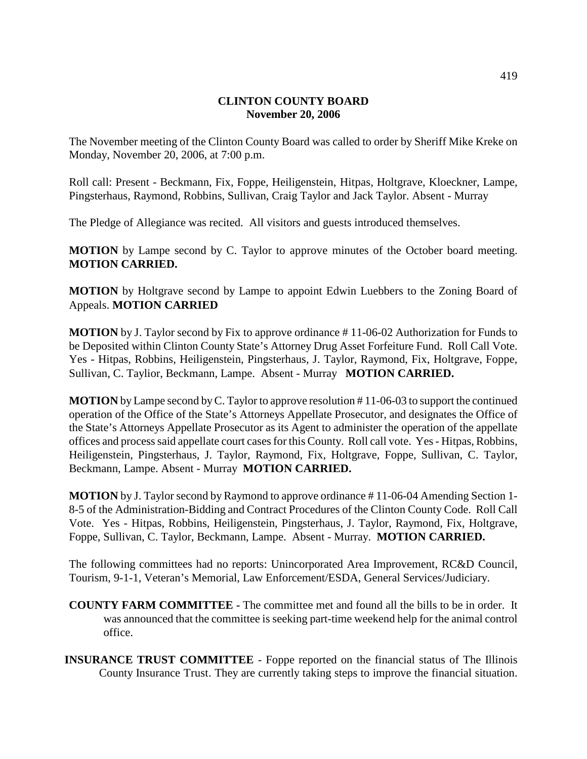## **CLINTON COUNTY BOARD November 20, 2006**

The November meeting of the Clinton County Board was called to order by Sheriff Mike Kreke on Monday, November 20, 2006, at 7:00 p.m.

Roll call: Present - Beckmann, Fix, Foppe, Heiligenstein, Hitpas, Holtgrave, Kloeckner, Lampe, Pingsterhaus, Raymond, Robbins, Sullivan, Craig Taylor and Jack Taylor. Absent - Murray

The Pledge of Allegiance was recited. All visitors and guests introduced themselves.

**MOTION** by Lampe second by C. Taylor to approve minutes of the October board meeting. **MOTION CARRIED.**

**MOTION** by Holtgrave second by Lampe to appoint Edwin Luebbers to the Zoning Board of Appeals. **MOTION CARRIED**

**MOTION** by J. Taylor second by Fix to approve ordinance # 11-06-02 Authorization for Funds to be Deposited within Clinton County State's Attorney Drug Asset Forfeiture Fund. Roll Call Vote. Yes - Hitpas, Robbins, Heiligenstein, Pingsterhaus, J. Taylor, Raymond, Fix, Holtgrave, Foppe, Sullivan, C. Taylior, Beckmann, Lampe. Absent - Murray **MOTION CARRIED.**

**MOTION** by Lampe second by C. Taylor to approve resolution # 11-06-03 to support the continued operation of the Office of the State's Attorneys Appellate Prosecutor, and designates the Office of the State's Attorneys Appellate Prosecutor as its Agent to administer the operation of the appellate offices and process said appellate court cases for this County. Roll call vote. Yes - Hitpas, Robbins, Heiligenstein, Pingsterhaus, J. Taylor, Raymond, Fix, Holtgrave, Foppe, Sullivan, C. Taylor, Beckmann, Lampe. Absent - Murray **MOTION CARRIED.**

**MOTION** by J. Taylor second by Raymond to approve ordinance # 11-06-04 Amending Section 1- 8-5 of the Administration-Bidding and Contract Procedures of the Clinton County Code. Roll Call Vote. Yes - Hitpas, Robbins, Heiligenstein, Pingsterhaus, J. Taylor, Raymond, Fix, Holtgrave, Foppe, Sullivan, C. Taylor, Beckmann, Lampe. Absent - Murray. **MOTION CARRIED.**

The following committees had no reports: Unincorporated Area Improvement, RC&D Council, Tourism, 9-1-1, Veteran's Memorial, Law Enforcement/ESDA, General Services/Judiciary.

- **COUNTY FARM COMMITTEE -** The committee met and found all the bills to be in order. It was announced that the committee is seeking part-time weekend help for the animal control office.
- **INSURANCE TRUST COMMITTEE**  Foppe reported on the financial status of The Illinois County Insurance Trust. They are currently taking steps to improve the financial situation.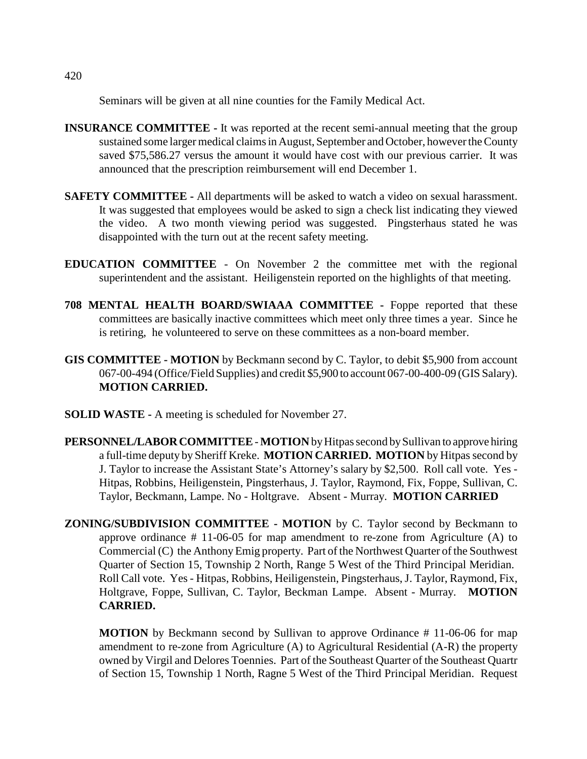Seminars will be given at all nine counties for the Family Medical Act.

- **INSURANCE COMMITTEE -** It was reported at the recent semi-annual meeting that the group sustained some larger medical claims in August, September and October, however the County saved \$75,586.27 versus the amount it would have cost with our previous carrier. It was announced that the prescription reimbursement will end December 1.
- **SAFETY COMMITTEE -** All departments will be asked to watch a video on sexual harassment. It was suggested that employees would be asked to sign a check list indicating they viewed the video. A two month viewing period was suggested. Pingsterhaus stated he was disappointed with the turn out at the recent safety meeting.
- **EDUCATION COMMITTEE**  On November 2 the committee met with the regional superintendent and the assistant. Heiligenstein reported on the highlights of that meeting.
- **708 MENTAL HEALTH BOARD/SWIAAA COMMITTEE -** Foppe reported that these committees are basically inactive committees which meet only three times a year. Since he is retiring, he volunteered to serve on these committees as a non-board member.
- **GIS COMMITTEE MOTION** by Beckmann second by C. Taylor, to debit \$5,900 from account 067-00-494 (Office/Field Supplies) and credit \$5,900 to account 067-00-400-09 (GIS Salary). **MOTION CARRIED.**
- **SOLID WASTE** A meeting is scheduled for November 27.

**PERSONNEL/LABOR COMMITTEE** - **MOTION** by Hitpas second by Sullivan to approve hiring a full-time deputy by Sheriff Kreke. **MOTION CARRIED. MOTION** by Hitpas second by J. Taylor to increase the Assistant State's Attorney's salary by \$2,500. Roll call vote. Yes - Hitpas, Robbins, Heiligenstein, Pingsterhaus, J. Taylor, Raymond, Fix, Foppe, Sullivan, C. Taylor, Beckmann, Lampe. No - Holtgrave. Absent - Murray. **MOTION CARRIED**

**ZONING/SUBDIVISION COMMITTEE - MOTION** by C. Taylor second by Beckmann to approve ordinance # 11-06-05 for map amendment to re-zone from Agriculture (A) to Commercial (C) the Anthony Emig property. Part of the Northwest Quarter of the Southwest Quarter of Section 15, Township 2 North, Range 5 West of the Third Principal Meridian. Roll Call vote. Yes - Hitpas, Robbins, Heiligenstein, Pingsterhaus, J. Taylor, Raymond, Fix, Holtgrave, Foppe, Sullivan, C. Taylor, Beckman Lampe. Absent - Murray. **MOTION CARRIED.** 

**MOTION** by Beckmann second by Sullivan to approve Ordinance # 11-06-06 for map amendment to re-zone from Agriculture (A) to Agricultural Residential (A-R) the property owned by Virgil and Delores Toennies. Part of the Southeast Quarter of the Southeast Quartr of Section 15, Township 1 North, Ragne 5 West of the Third Principal Meridian. Request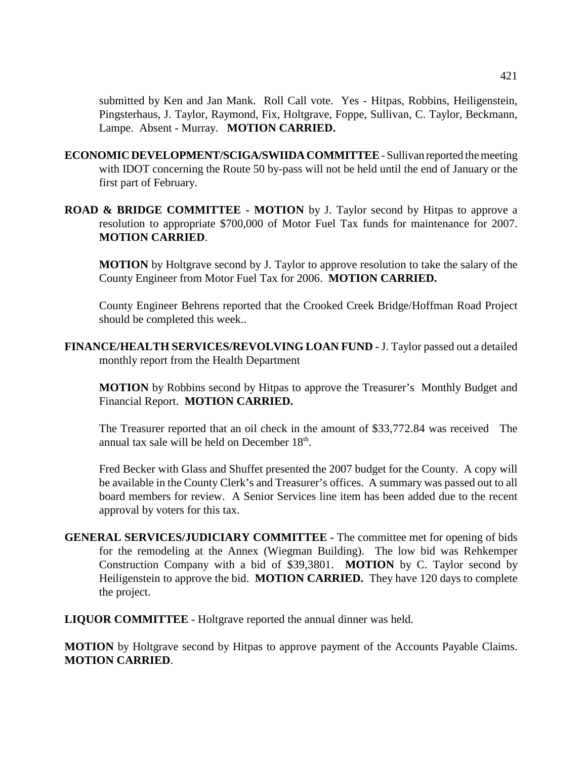submitted by Ken and Jan Mank. Roll Call vote. Yes - Hitpas, Robbins, Heiligenstein, Pingsterhaus, J. Taylor, Raymond, Fix, Holtgrave, Foppe, Sullivan, C. Taylor, Beckmann, Lampe. Absent - Murray. **MOTION CARRIED.**

- **ECONOMIC DEVELOPMENT/SCIGA/SWIIDA COMMITTEE**  Sullivan reported the meeting with IDOT concerning the Route 50 by-pass will not be held until the end of January or the first part of February.
- **ROAD & BRIDGE COMMITTEE MOTION** by J. Taylor second by Hitpas to approve a resolution to appropriate \$700,000 of Motor Fuel Tax funds for maintenance for 2007. **MOTION CARRIED**.

**MOTION** by Holtgrave second by J. Taylor to approve resolution to take the salary of the County Engineer from Motor Fuel Tax for 2006. **MOTION CARRIED.**

County Engineer Behrens reported that the Crooked Creek Bridge/Hoffman Road Project should be completed this week..

**FINANCE/HEALTH SERVICES/REVOLVING LOAN FUND -** J. Taylor passed out a detailed monthly report from the Health Department

**MOTION** by Robbins second by Hitpas to approve the Treasurer's Monthly Budget and Financial Report. **MOTION CARRIED.** 

The Treasurer reported that an oil check in the amount of \$33,772.84 was received The annual tax sale will be held on December 18<sup>th</sup>.

Fred Becker with Glass and Shuffet presented the 2007 budget for the County. A copy will be available in the County Clerk's and Treasurer's offices. A summary was passed out to all board members for review. A Senior Services line item has been added due to the recent approval by voters for this tax.

**GENERAL SERVICES/JUDICIARY COMMITTEE -** The committee met for opening of bids for the remodeling at the Annex (Wiegman Building). The low bid was Rehkemper Construction Company with a bid of \$39,3801. **MOTION** by C. Taylor second by Heiligenstein to approve the bid. **MOTION CARRIED.** They have 120 days to complete the project.

**LIQUOR COMMITTEE** - Holtgrave reported the annual dinner was held.

**MOTION** by Holtgrave second by Hitpas to approve payment of the Accounts Payable Claims. **MOTION CARRIED**.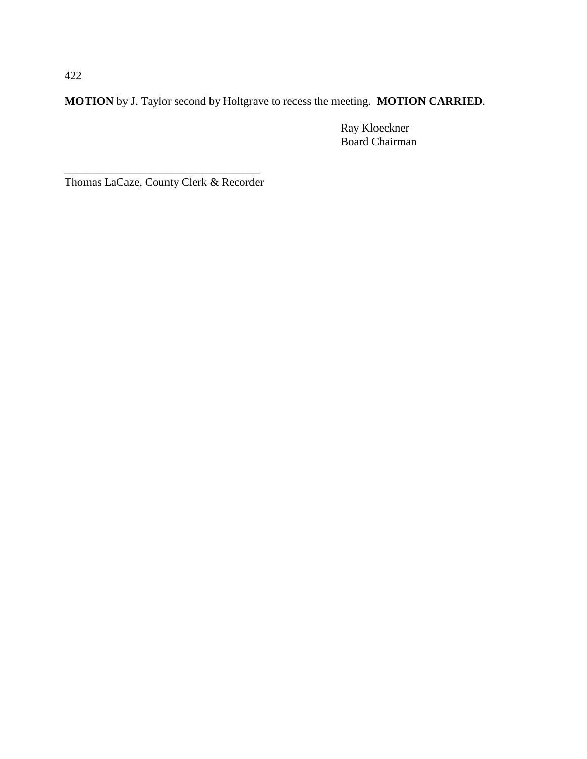**MOTION** by J. Taylor second by Holtgrave to recess the meeting. **MOTION CARRIED**.

Ray Kloeckner Board Chairman

\_\_\_\_\_\_\_\_\_\_\_\_\_\_\_\_\_\_\_\_\_\_\_\_\_\_\_\_\_\_\_\_\_\_ Thomas LaCaze, County Clerk & Recorder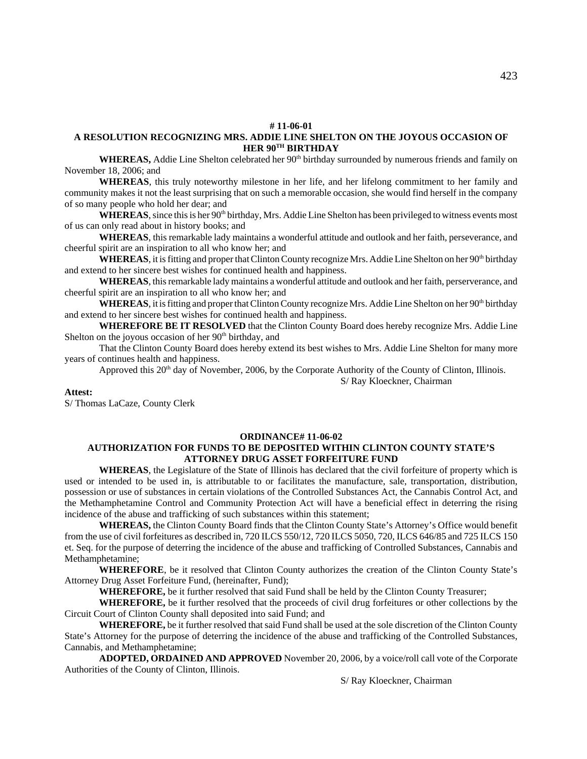#### **# 11-06-01**

#### **A RESOLUTION RECOGNIZING MRS. ADDIE LINE SHELTON ON THE JOYOUS OCCASION OF HER 90TH BIRTHDAY**

**WHEREAS,** Addie Line Shelton celebrated her 90<sup>th</sup> birthday surrounded by numerous friends and family on November 18, 2006; and

**WHEREAS**, this truly noteworthy milestone in her life, and her lifelong commitment to her family and community makes it not the least surprising that on such a memorable occasion, she would find herself in the company of so many people who hold her dear; and

**WHEREAS**, since this is her 90<sup>th</sup> birthday, Mrs. Addie Line Shelton has been privileged to witness events most of us can only read about in history books; and

**WHEREAS**, this remarkable lady maintains a wonderful attitude and outlook and her faith, perseverance, and cheerful spirit are an inspiration to all who know her; and

WHEREAS, it is fitting and proper that Clinton County recognize Mrs. Addie Line Shelton on her 90<sup>th</sup> birthday and extend to her sincere best wishes for continued health and happiness.

**WHEREAS**, this remarkable lady maintains a wonderful attitude and outlook and her faith, perserverance, and cheerful spirit are an inspiration to all who know her; and

WHEREAS, it is fitting and proper that Clinton County recognize Mrs. Addie Line Shelton on her 90<sup>th</sup> birthday and extend to her sincere best wishes for continued health and happiness.

**WHEREFORE BE IT RESOLVED** that the Clinton County Board does hereby recognize Mrs. Addie Line Shelton on the joyous occasion of her 90<sup>th</sup> birthday, and

That the Clinton County Board does hereby extend its best wishes to Mrs. Addie Line Shelton for many more years of continues health and happiness.

Approved this  $20<sup>th</sup>$  day of November, 2006, by the Corporate Authority of the County of Clinton, Illinois.

**Attest:**

S/ Thomas LaCaze, County Clerk

#### **ORDINANCE# 11-06-02**

#### **AUTHORIZATION FOR FUNDS TO BE DEPOSITED WITHIN CLINTON COUNTY STATE'S ATTORNEY DRUG ASSET FORFEITURE FUND**

**WHEREAS**, the Legislature of the State of Illinois has declared that the civil forfeiture of property which is used or intended to be used in, is attributable to or facilitates the manufacture, sale, transportation, distribution, possession or use of substances in certain violations of the Controlled Substances Act, the Cannabis Control Act, and the Methamphetamine Control and Community Protection Act will have a beneficial effect in deterring the rising incidence of the abuse and trafficking of such substances within this statement;

**WHEREAS,** the Clinton County Board finds that the Clinton County State's Attorney's Office would benefit from the use of civil forfeitures as described in, 720 ILCS 550/12, 720 ILCS 5050, 720, ILCS 646/85 and 725 ILCS 150 et. Seq. for the purpose of deterring the incidence of the abuse and trafficking of Controlled Substances, Cannabis and Methamphetamine;

**WHEREFORE**, be it resolved that Clinton County authorizes the creation of the Clinton County State's Attorney Drug Asset Forfeiture Fund, (hereinafter, Fund);

**WHEREFORE,** be it further resolved that said Fund shall be held by the Clinton County Treasurer;

**WHEREFORE,** be it further resolved that the proceeds of civil drug forfeitures or other collections by the Circuit Court of Clinton County shall deposited into said Fund; and

**WHEREFORE,** be it further resolved that said Fund shall be used at the sole discretion of the Clinton County State's Attorney for the purpose of deterring the incidence of the abuse and trafficking of the Controlled Substances, Cannabis, and Methamphetamine;

**ADOPTED, ORDAINED AND APPROVED** November 20, 2006, by a voice/roll call vote of the Corporate Authorities of the County of Clinton, Illinois.

S/ Ray Kloeckner, Chairman

S/ Ray Kloeckner, Chairman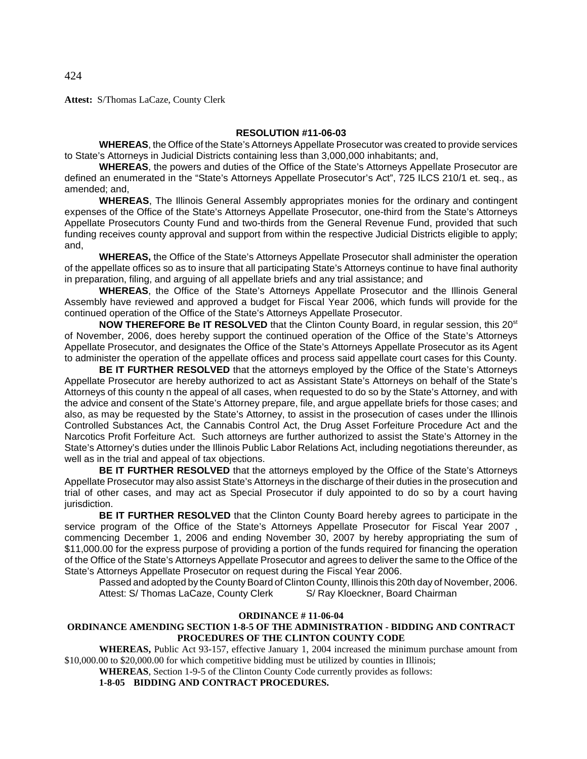**Attest:** S/Thomas LaCaze, County Clerk

#### **RESOLUTION #11-06-03**

**WHEREAS**, the Office of the State's Attorneys Appellate Prosecutor was created to provide services to State's Attorneys in Judicial Districts containing less than 3,000,000 inhabitants; and,

**WHEREAS**, the powers and duties of the Office of the State's Attorneys Appellate Prosecutor are defined an enumerated in the "State's Attorneys Appellate Prosecutor's Act", 725 ILCS 210/1 et. seq., as amended; and,

**WHEREAS**, The Illinois General Assembly appropriates monies for the ordinary and contingent expenses of the Office of the State's Attorneys Appellate Prosecutor, one-third from the State's Attorneys Appellate Prosecutors County Fund and two-thirds from the General Revenue Fund, provided that such funding receives county approval and support from within the respective Judicial Districts eligible to apply; and,

**WHEREAS,** the Office of the State's Attorneys Appellate Prosecutor shall administer the operation of the appellate offices so as to insure that all participating State's Attorneys continue to have final authority in preparation, filing, and arguing of all appellate briefs and any trial assistance; and

**WHEREAS**, the Office of the State's Attorneys Appellate Prosecutor and the Illinois General Assembly have reviewed and approved a budget for Fiscal Year 2006, which funds will provide for the continued operation of the Office of the State's Attorneys Appellate Prosecutor.

**NOW THEREFORE Be IT RESOLVED** that the Clinton County Board, in regular session, this 20<sup>st</sup> of November, 2006, does hereby support the continued operation of the Office of the State's Attorneys Appellate Prosecutor, and designates the Office of the State's Attorneys Appellate Prosecutor as its Agent to administer the operation of the appellate offices and process said appellate court cases for this County.

**BE IT FURTHER RESOLVED** that the attorneys employed by the Office of the State's Attorneys Appellate Prosecutor are hereby authorized to act as Assistant State's Attorneys on behalf of the State's Attorneys of this county n the appeal of all cases, when requested to do so by the State's Attorney, and with the advice and consent of the State's Attorney prepare, file, and argue appellate briefs for those cases; and also, as may be requested by the State's Attorney, to assist in the prosecution of cases under the Illinois Controlled Substances Act, the Cannabis Control Act, the Drug Asset Forfeiture Procedure Act and the Narcotics Profit Forfeiture Act. Such attorneys are further authorized to assist the State's Attorney in the State's Attorney's duties under the Illinois Public Labor Relations Act, including negotiations thereunder, as well as in the trial and appeal of tax objections.

**BE IT FURTHER RESOLVED** that the attorneys employed by the Office of the State's Attorneys Appellate Prosecutor may also assist State's Attorneys in the discharge of their duties in the prosecution and trial of other cases, and may act as Special Prosecutor if duly appointed to do so by a court having jurisdiction.

**BE IT FURTHER RESOLVED** that the Clinton County Board hereby agrees to participate in the service program of the Office of the State's Attorneys Appellate Prosecutor for Fiscal Year 2007 commencing December 1, 2006 and ending November 30, 2007 by hereby appropriating the sum of \$11,000.00 for the express purpose of providing a portion of the funds required for financing the operation of the Office of the State's Attorneys Appellate Prosecutor and agrees to deliver the same to the Office of the State's Attorneys Appellate Prosecutor on request during the Fiscal Year 2006.

Passed and adopted by the County Board of Clinton County, Illinois this 20th day of November, 2006. Attest: S/ Thomas LaCaze, County Clerk S/ Ray Kloeckner, Board Chairman

#### **ORDINANCE # 11-06-04**

### **ORDINANCE AMENDING SECTION 1-8-5 OF THE ADMINISTRATION - BIDDING AND CONTRACT PROCEDURES OF THE CLINTON COUNTY CODE**

**WHEREAS,** Public Act 93-157, effective January 1, 2004 increased the minimum purchase amount from \$10,000.00 to \$20,000.00 for which competitive bidding must be utilized by counties in Illinois;

**WHEREAS**, Section 1-9-5 of the Clinton County Code currently provides as follows:

**1-8-05 BIDDING AND CONTRACT PROCEDURES.**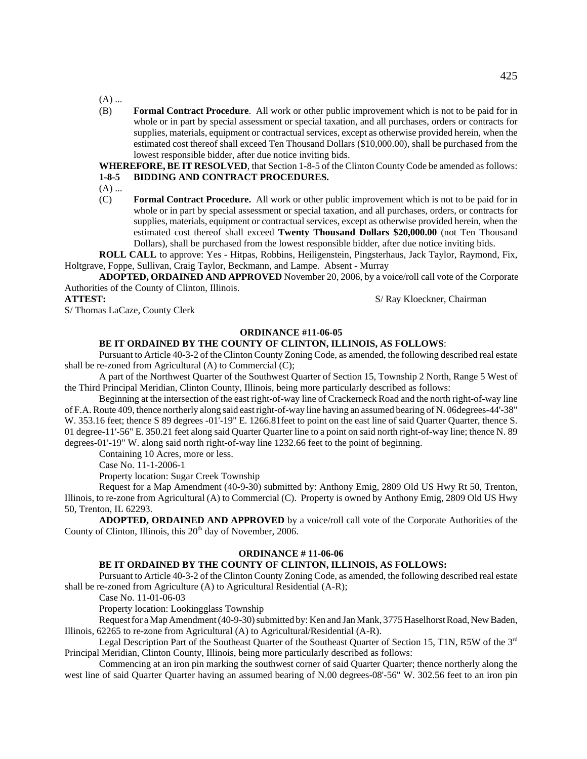$(A)$  ...

(B) **Formal Contract Procedure**. All work or other public improvement which is not to be paid for in whole or in part by special assessment or special taxation, and all purchases, orders or contracts for supplies, materials, equipment or contractual services, except as otherwise provided herein, when the estimated cost thereof shall exceed Ten Thousand Dollars (\$10,000.00), shall be purchased from the lowest responsible bidder, after due notice inviting bids.

**WHEREFORE, BE IT RESOLVED**, that Section 1-8-5 of the Clinton County Code be amended as follows: **1-8-5 BIDDING AND CONTRACT PROCEDURES.**

- 
- $(A)$  ...
- (C) **Formal Contract Procedure.** All work or other public improvement which is not to be paid for in whole or in part by special assessment or special taxation, and all purchases, orders, or contracts for supplies, materials, equipment or contractual services, except as otherwise provided herein, when the estimated cost thereof shall exceed **Twenty Thousand Dollars \$20,000.00** (not Ten Thousand Dollars), shall be purchased from the lowest responsible bidder, after due notice inviting bids.

**ROLL CALL** to approve: Yes - Hitpas, Robbins, Heiligenstein, Pingsterhaus, Jack Taylor, Raymond, Fix, Holtgrave, Foppe, Sullivan, Craig Taylor, Beckmann, and Lampe. Absent - Murray

 **ADOPTED, ORDAINED AND APPROVED** November 20, 2006, by a voice/roll call vote of the Corporate Authorities of the County of Clinton, Illinois.

**ATTEST:** S/ Ray Kloeckner, Chairman

S/ Thomas LaCaze, County Clerk

#### **ORDINANCE #11-06-05**

#### **BE IT ORDAINED BY THE COUNTY OF CLINTON, ILLINOIS, AS FOLLOWS**:

Pursuant to Article 40-3-2 of the Clinton County Zoning Code, as amended, the following described real estate shall be re-zoned from Agricultural (A) to Commercial (C);

A part of the Northwest Quarter of the Southwest Quarter of Section 15, Township 2 North, Range 5 West of the Third Principal Meridian, Clinton County, Illinois, being more particularly described as follows:

Beginning at the intersection of the east right-of-way line of Crackerneck Road and the north right-of-way line of F.A. Route 409, thence northerly along said east right-of-way line having an assumed bearing of N. 06degrees-44'-38" W. 353.16 feet; thence S 89 degrees -01'-19" E. 1266.81feet to point on the east line of said Quarter Quarter, thence S. 01 degree-11'-56" E. 350.21 feet along said Quarter Quarter line to a point on said north right-of-way line; thence N. 89 degrees-01'-19" W. along said north right-of-way line 1232.66 feet to the point of beginning.

Containing 10 Acres, more or less.

Case No. 11-1-2006-1

Property location: Sugar Creek Township

Request for a Map Amendment (40-9-30) submitted by: Anthony Emig, 2809 Old US Hwy Rt 50, Trenton, Illinois, to re-zone from Agricultural (A) to Commercial (C). Property is owned by Anthony Emig, 2809 Old US Hwy 50, Trenton, IL 62293.

**ADOPTED, ORDAINED AND APPROVED** by a voice/roll call vote of the Corporate Authorities of the County of Clinton, Illinois, this 20<sup>th</sup> day of November, 2006.

#### **ORDINANCE # 11-06-06**

### **BE IT ORDAINED BY THE COUNTY OF CLINTON, ILLINOIS, AS FOLLOWS:**

Pursuant to Article 40-3-2 of the Clinton County Zoning Code, as amended, the following described real estate shall be re-zoned from Agriculture (A) to Agricultural Residential (A-R);

Case No. 11-01-06-03

Property location: Lookingglass Township

Request for a Map Amendment (40-9-30) submitted by: Ken and Jan Mank, 3775 Haselhorst Road, New Baden, Illinois, 62265 to re-zone from Agricultural (A) to Agricultural/Residential (A-R).

Legal Description Part of the Southeast Quarter of the Southeast Quarter of Section 15, T1N, R5W of the 3rd Principal Meridian, Clinton County, Illinois, being more particularly described as follows:

Commencing at an iron pin marking the southwest corner of said Quarter Quarter; thence northerly along the west line of said Quarter Quarter having an assumed bearing of N.00 degrees-08'-56" W. 302.56 feet to an iron pin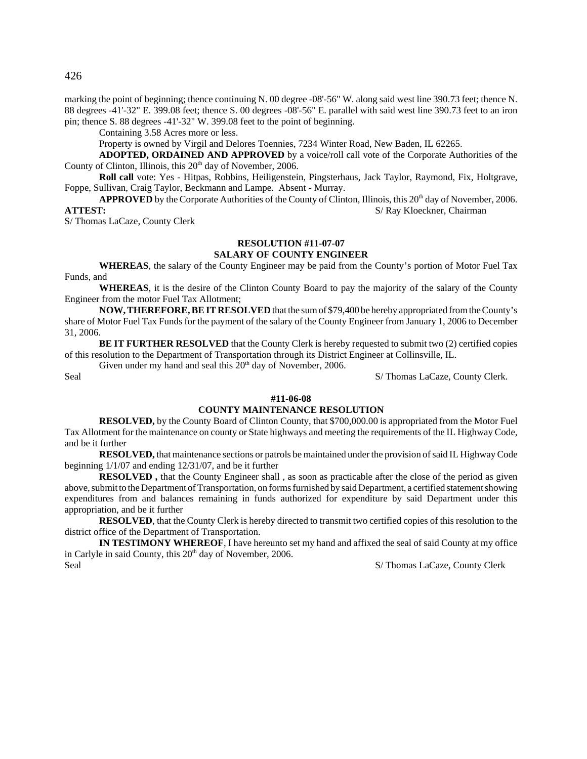426

marking the point of beginning; thence continuing N. 00 degree -08'-56" W. along said west line 390.73 feet; thence N. 88 degrees -41'-32" E. 399.08 feet; thence S. 00 degrees -08'-56" E. parallel with said west line 390.73 feet to an iron pin; thence S. 88 degrees -41'-32" W. 399.08 feet to the point of beginning.

Containing 3.58 Acres more or less.

Property is owned by Virgil and Delores Toennies, 7234 Winter Road, New Baden, IL 62265.

**ADOPTED, ORDAINED AND APPROVED** by a voice/roll call vote of the Corporate Authorities of the County of Clinton, Illinois, this 20<sup>th</sup> day of November, 2006.

**Roll call** vote: Yes - Hitpas, Robbins, Heiligenstein, Pingsterhaus, Jack Taylor, Raymond, Fix, Holtgrave, Foppe, Sullivan, Craig Taylor, Beckmann and Lampe. Absent - Murray.

APPROVED by the Corporate Authorities of the County of Clinton, Illinois, this 20<sup>th</sup> day of November, 2006. **ATTEST:** S/Ray Kloeckner, Chairman

S/ Thomas LaCaze, County Clerk

### **RESOLUTION #11-07-07**

#### **SALARY OF COUNTY ENGINEER**

**WHEREAS**, the salary of the County Engineer may be paid from the County's portion of Motor Fuel Tax Funds, and

**WHEREAS**, it is the desire of the Clinton County Board to pay the majority of the salary of the County Engineer from the motor Fuel Tax Allotment;

**NOW, THEREFORE, BE IT RESOLVED** that the sum of \$79,400 be hereby appropriated from the County's share of Motor Fuel Tax Funds for the payment of the salary of the County Engineer from January 1, 2006 to December 31, 2006.

**BE IT FURTHER RESOLVED** that the County Clerk is hereby requested to submit two (2) certified copies of this resolution to the Department of Transportation through its District Engineer at Collinsville, IL.

Given under my hand and seal this  $20<sup>th</sup>$  day of November, 2006.

Seal S/ Thomas LaCaze, County Clerk.

#### **#11-06-08**

#### **COUNTY MAINTENANCE RESOLUTION**

**RESOLVED,** by the County Board of Clinton County, that \$700,000.00 is appropriated from the Motor Fuel Tax Allotment for the maintenance on county or State highways and meeting the requirements of the IL Highway Code, and be it further

**RESOLVED,** that maintenance sections or patrols be maintained under the provision of said IL Highway Code beginning 1/1/07 and ending 12/31/07, and be it further

**RESOLVED**, that the County Engineer shall, as soon as practicable after the close of the period as given above, submit to the Department of Transportation, on forms furnished by said Department, a certified statement showing expenditures from and balances remaining in funds authorized for expenditure by said Department under this appropriation, and be it further

**RESOLVED**, that the County Clerk is hereby directed to transmit two certified copies of this resolution to the district office of the Department of Transportation.

**IN TESTIMONY WHEREOF**, I have hereunto set my hand and affixed the seal of said County at my office in Carlyle in said County, this  $20<sup>th</sup>$  day of November, 2006. Seal S/ Thomas LaCaze, County Clerk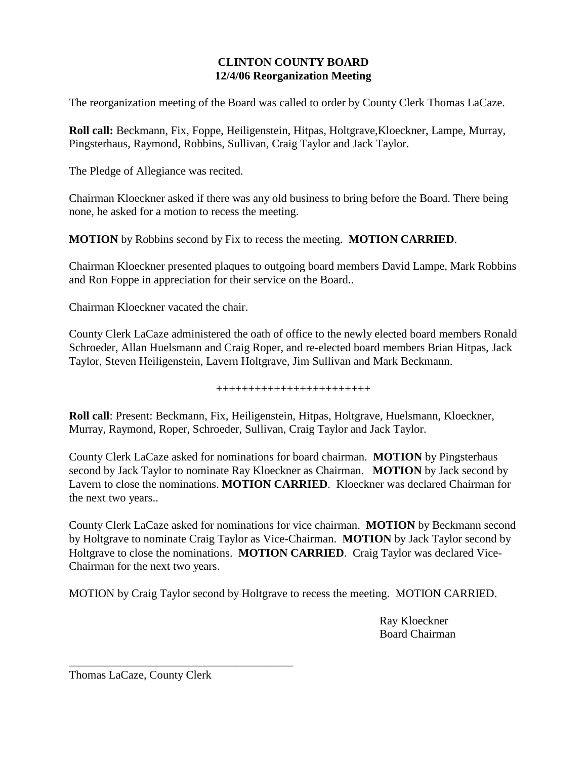# **CLINTON COUNTY BOARD 12/4/06 Reorganization Meeting**

The reorganization meeting of the Board was called to order by County Clerk Thomas LaCaze.

**Roll call:** Beckmann, Fix, Foppe, Heiligenstein, Hitpas, Holtgrave,Kloeckner, Lampe, Murray, Pingsterhaus, Raymond, Robbins, Sullivan, Craig Taylor and Jack Taylor.

The Pledge of Allegiance was recited.

Chairman Kloeckner asked if there was any old business to bring before the Board. There being none, he asked for a motion to recess the meeting.

**MOTION** by Robbins second by Fix to recess the meeting. **MOTION CARRIED**.

Chairman Kloeckner presented plaques to outgoing board members David Lampe, Mark Robbins and Ron Foppe in appreciation for their service on the Board..

Chairman Kloeckner vacated the chair.

County Clerk LaCaze administered the oath of office to the newly elected board members Ronald Schroeder, Allan Huelsmann and Craig Roper, and re-elected board members Brian Hitpas, Jack Taylor, Steven Heiligenstein, Lavern Holtgrave, Jim Sullivan and Mark Beckmann.

++++++++++++++++++++++++

**Roll call**: Present: Beckmann, Fix, Heiligenstein, Hitpas, Holtgrave, Huelsmann, Kloeckner, Murray, Raymond, Roper, Schroeder, Sullivan, Craig Taylor and Jack Taylor.

County Clerk LaCaze asked for nominations for board chairman. **MOTION** by Pingsterhaus second by Jack Taylor to nominate Ray Kloeckner as Chairman. **MOTION** by Jack second by Lavern to close the nominations. **MOTION CARRIED**. Kloeckner was declared Chairman for the next two years..

County Clerk LaCaze asked for nominations for vice chairman. **MOTION** by Beckmann second by Holtgrave to nominate Craig Taylor as Vice-Chairman. **MOTION** by Jack Taylor second by Holtgrave to close the nominations. **MOTION CARRIED**. Craig Taylor was declared Vice-Chairman for the next two years.

MOTION by Craig Taylor second by Holtgrave to recess the meeting. MOTION CARRIED.

Ray Kloeckner Board Chairman

Thomas LaCaze, County Clerk

\_\_\_\_\_\_\_\_\_\_\_\_\_\_\_\_\_\_\_\_\_\_\_\_\_\_\_\_\_\_\_\_\_\_\_\_\_\_\_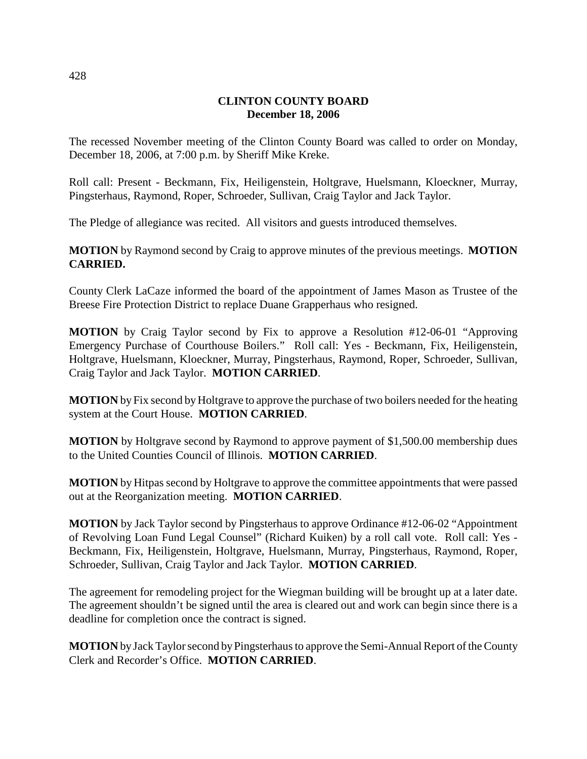# **CLINTON COUNTY BOARD December 18, 2006**

The recessed November meeting of the Clinton County Board was called to order on Monday, December 18, 2006, at 7:00 p.m. by Sheriff Mike Kreke.

Roll call: Present - Beckmann, Fix, Heiligenstein, Holtgrave, Huelsmann, Kloeckner, Murray, Pingsterhaus, Raymond, Roper, Schroeder, Sullivan, Craig Taylor and Jack Taylor.

The Pledge of allegiance was recited. All visitors and guests introduced themselves.

**MOTION** by Raymond second by Craig to approve minutes of the previous meetings. **MOTION CARRIED.**

County Clerk LaCaze informed the board of the appointment of James Mason as Trustee of the Breese Fire Protection District to replace Duane Grapperhaus who resigned.

**MOTION** by Craig Taylor second by Fix to approve a Resolution #12-06-01 "Approving Emergency Purchase of Courthouse Boilers." Roll call: Yes - Beckmann, Fix, Heiligenstein, Holtgrave, Huelsmann, Kloeckner, Murray, Pingsterhaus, Raymond, Roper, Schroeder, Sullivan, Craig Taylor and Jack Taylor. **MOTION CARRIED**.

**MOTION** by Fix second by Holtgrave to approve the purchase of two boilers needed for the heating system at the Court House. **MOTION CARRIED**.

**MOTION** by Holtgrave second by Raymond to approve payment of \$1,500.00 membership dues to the United Counties Council of Illinois. **MOTION CARRIED**.

**MOTION** by Hitpas second by Holtgrave to approve the committee appointments that were passed out at the Reorganization meeting. **MOTION CARRIED**.

**MOTION** by Jack Taylor second by Pingsterhaus to approve Ordinance #12-06-02 "Appointment of Revolving Loan Fund Legal Counsel" (Richard Kuiken) by a roll call vote. Roll call: Yes - Beckmann, Fix, Heiligenstein, Holtgrave, Huelsmann, Murray, Pingsterhaus, Raymond, Roper, Schroeder, Sullivan, Craig Taylor and Jack Taylor. **MOTION CARRIED**.

The agreement for remodeling project for the Wiegman building will be brought up at a later date. The agreement shouldn't be signed until the area is cleared out and work can begin since there is a deadline for completion once the contract is signed.

**MOTION** by Jack Taylor second by Pingsterhaus to approve the Semi-Annual Report of the County Clerk and Recorder's Office. **MOTION CARRIED**.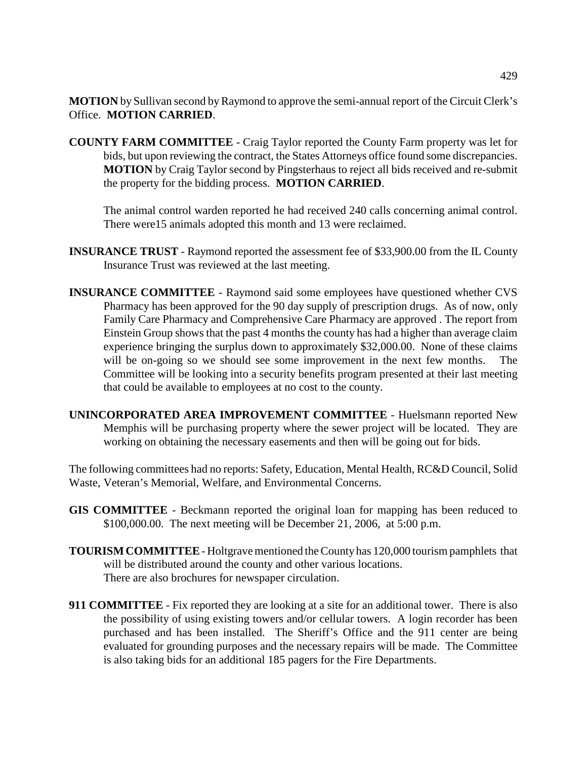**MOTION** by Sullivan second by Raymond to approve the semi-annual report of the Circuit Clerk's Office. **MOTION CARRIED**.

**COUNTY FARM COMMITTEE** - Craig Taylor reported the County Farm property was let for bids, but upon reviewing the contract, the States Attorneys office found some discrepancies. **MOTION** by Craig Taylor second by Pingsterhaus to reject all bids received and re-submit the property for the bidding process. **MOTION CARRIED**.

The animal control warden reported he had received 240 calls concerning animal control. There were15 animals adopted this month and 13 were reclaimed.

- **INSURANCE TRUST** Raymond reported the assessment fee of \$33,900.00 from the IL County Insurance Trust was reviewed at the last meeting.
- **INSURANCE COMMITTEE** Raymond said some employees have questioned whether CVS Pharmacy has been approved for the 90 day supply of prescription drugs. As of now, only Family Care Pharmacy and Comprehensive Care Pharmacy are approved . The report from Einstein Group shows that the past 4 months the county has had a higher than average claim experience bringing the surplus down to approximately \$32,000.00. None of these claims will be on-going so we should see some improvement in the next few months. The Committee will be looking into a security benefits program presented at their last meeting that could be available to employees at no cost to the county.
- **UNINCORPORATED AREA IMPROVEMENT COMMITTEE** Huelsmann reported New Memphis will be purchasing property where the sewer project will be located. They are working on obtaining the necessary easements and then will be going out for bids.

The following committees had no reports: Safety, Education, Mental Health, RC&D Council, Solid Waste, Veteran's Memorial, Welfare, and Environmental Concerns.

- **GIS COMMITTEE**  Beckmann reported the original loan for mapping has been reduced to \$100,000.00. The next meeting will be December 21, 2006, at 5:00 p.m.
- **TOURISM COMMITTEE** Holtgrave mentioned the County has 120,000 tourism pamphlets that will be distributed around the county and other various locations. There are also brochures for newspaper circulation.
- **911 COMMITTEE** Fix reported they are looking at a site for an additional tower. There is also the possibility of using existing towers and/or cellular towers. A login recorder has been purchased and has been installed. The Sheriff's Office and the 911 center are being evaluated for grounding purposes and the necessary repairs will be made. The Committee is also taking bids for an additional 185 pagers for the Fire Departments.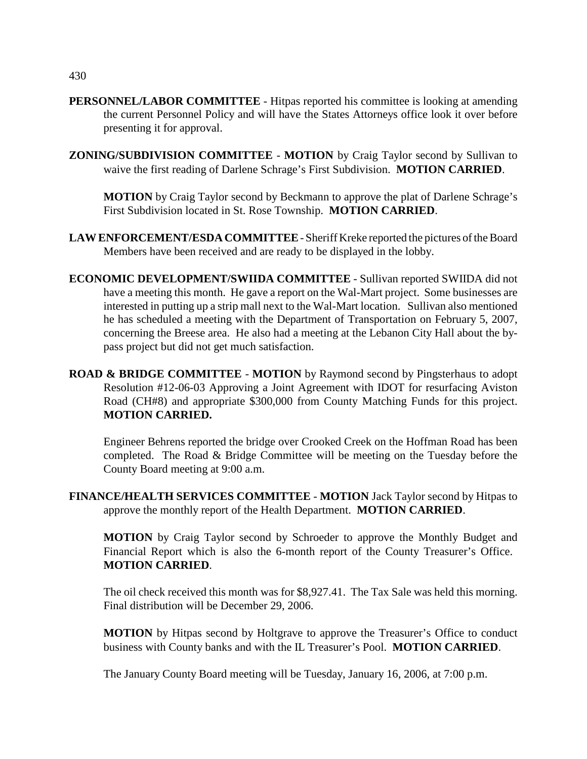- **PERSONNEL/LABOR COMMITTEE** Hitpas reported his committee is looking at amending the current Personnel Policy and will have the States Attorneys office look it over before presenting it for approval.
- **ZONING/SUBDIVISION COMMITTEE MOTION** by Craig Taylor second by Sullivan to waive the first reading of Darlene Schrage's First Subdivision. **MOTION CARRIED**.

**MOTION** by Craig Taylor second by Beckmann to approve the plat of Darlene Schrage's First Subdivision located in St. Rose Township. **MOTION CARRIED**.

- **LAW ENFORCEMENT/ESDA COMMITTEE**  Sheriff Kreke reported the pictures of the Board Members have been received and are ready to be displayed in the lobby.
- **ECONOMIC DEVELOPMENT/SWIIDA COMMITTEE**  Sullivan reported SWIIDA did not have a meeting this month. He gave a report on the Wal-Mart project. Some businesses are interested in putting up a strip mall next to the Wal-Mart location. Sullivan also mentioned he has scheduled a meeting with the Department of Transportation on February 5, 2007, concerning the Breese area. He also had a meeting at the Lebanon City Hall about the bypass project but did not get much satisfaction.
- **ROAD & BRIDGE COMMITTEE MOTION** by Raymond second by Pingsterhaus to adopt Resolution #12-06-03 Approving a Joint Agreement with IDOT for resurfacing Aviston Road (CH#8) and appropriate \$300,000 from County Matching Funds for this project. **MOTION CARRIED.**

Engineer Behrens reported the bridge over Crooked Creek on the Hoffman Road has been completed. The Road & Bridge Committee will be meeting on the Tuesday before the County Board meeting at 9:00 a.m.

**FINANCE/HEALTH SERVICES COMMITTEE** - **MOTION** Jack Taylor second by Hitpas to approve the monthly report of the Health Department. **MOTION CARRIED**.

**MOTION** by Craig Taylor second by Schroeder to approve the Monthly Budget and Financial Report which is also the 6-month report of the County Treasurer's Office. **MOTION CARRIED**.

The oil check received this month was for \$8,927.41. The Tax Sale was held this morning. Final distribution will be December 29, 2006.

**MOTION** by Hitpas second by Holtgrave to approve the Treasurer's Office to conduct business with County banks and with the IL Treasurer's Pool. **MOTION CARRIED**.

The January County Board meeting will be Tuesday, January 16, 2006, at 7:00 p.m.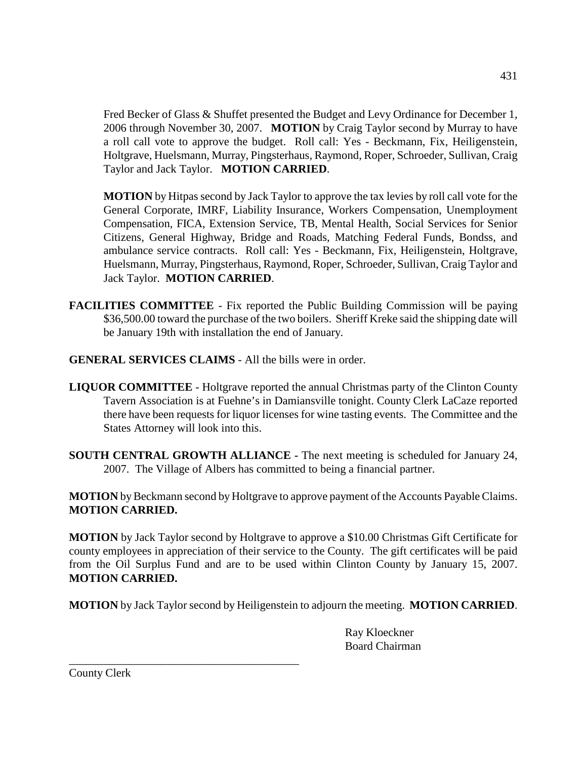Fred Becker of Glass & Shuffet presented the Budget and Levy Ordinance for December 1, 2006 through November 30, 2007. **MOTION** by Craig Taylor second by Murray to have a roll call vote to approve the budget. Roll call: Yes - Beckmann, Fix, Heiligenstein, Holtgrave, Huelsmann, Murray, Pingsterhaus, Raymond, Roper, Schroeder, Sullivan, Craig Taylor and Jack Taylor. **MOTION CARRIED**.

**MOTION** by Hitpas second by Jack Taylor to approve the tax levies by roll call vote for the General Corporate, IMRF, Liability Insurance, Workers Compensation, Unemployment Compensation, FICA, Extension Service, TB, Mental Health, Social Services for Senior Citizens, General Highway, Bridge and Roads, Matching Federal Funds, Bondss, and ambulance service contracts. Roll call: Yes - Beckmann, Fix, Heiligenstein, Holtgrave, Huelsmann, Murray, Pingsterhaus, Raymond, Roper, Schroeder, Sullivan, Craig Taylor and Jack Taylor. **MOTION CARRIED**.

- **FACILITIES COMMITTEE** Fix reported the Public Building Commission will be paying \$36,500.00 toward the purchase of the two boilers. Sheriff Kreke said the shipping date will be January 19th with installation the end of January.
- **GENERAL SERVICES CLAIMS**  All the bills were in order.
- **LIQUOR COMMITTEE** Holtgrave reported the annual Christmas party of the Clinton County Tavern Association is at Fuehne's in Damiansville tonight. County Clerk LaCaze reported there have been requests for liquor licenses for wine tasting events. The Committee and the States Attorney will look into this.
- **SOUTH CENTRAL GROWTH ALLIANCE -** The next meeting is scheduled for January 24, 2007. The Village of Albers has committed to being a financial partner.

**MOTION** by Beckmann second by Holtgrave to approve payment of the Accounts Payable Claims. **MOTION CARRIED.**

**MOTION** by Jack Taylor second by Holtgrave to approve a \$10.00 Christmas Gift Certificate for county employees in appreciation of their service to the County. The gift certificates will be paid from the Oil Surplus Fund and are to be used within Clinton County by January 15, 2007. **MOTION CARRIED.**

**MOTION** by Jack Taylor second by Heiligenstein to adjourn the meeting. **MOTION CARRIED**.

Ray Kloeckner Board Chairman

County Clerk

\_\_\_\_\_\_\_\_\_\_\_\_\_\_\_\_\_\_\_\_\_\_\_\_\_\_\_\_\_\_\_\_\_\_\_\_\_\_\_\_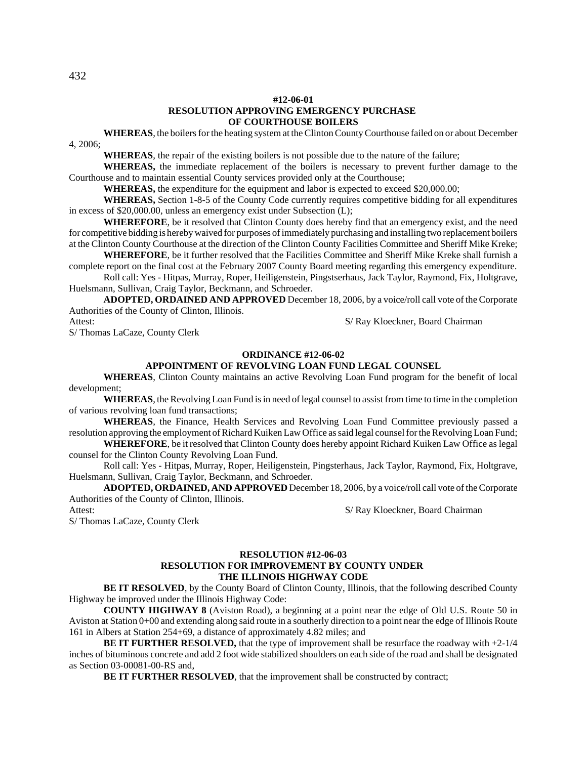#### **#12-06-01 RESOLUTION APPROVING EMERGENCY PURCHASE OF COURTHOUSE BOILERS**

**WHEREAS**, the boilers for the heating system at the Clinton County Courthouse failed on or about December 4, 2006;

**WHEREAS**, the repair of the existing boilers is not possible due to the nature of the failure;

**WHEREAS,** the immediate replacement of the boilers is necessary to prevent further damage to the Courthouse and to maintain essential County services provided only at the Courthouse;

**WHEREAS,** the expenditure for the equipment and labor is expected to exceed \$20,000.00;

**WHEREAS,** Section 1-8-5 of the County Code currently requires competitive bidding for all expenditures in excess of \$20,000.00, unless an emergency exist under Subsection (L);

**WHEREFORE**, be it resolved that Clinton County does hereby find that an emergency exist, and the need for competitive bidding is hereby waived for purposes of immediately purchasing and installing two replacement boilers at the Clinton County Courthouse at the direction of the Clinton County Facilities Committee and Sheriff Mike Kreke;

**WHEREFORE**, be it further resolved that the Facilities Committee and Sheriff Mike Kreke shall furnish a complete report on the final cost at the February 2007 County Board meeting regarding this emergency expenditure.

Roll call: Yes - Hitpas, Murray, Roper, Heiligenstein, Pingstserhaus, Jack Taylor, Raymond, Fix, Holtgrave, Huelsmann, Sullivan, Craig Taylor, Beckmann, and Schroeder.

**ADOPTED, ORDAINED AND APPROVED** December 18, 2006, by a voice/roll call vote of the Corporate Authorities of the County of Clinton, Illinois.

Attest: S/ Ray Kloeckner, Board Chairman

S/ Thomas LaCaze, County Clerk

# **ORDINANCE #12-06-02**

### **APPOINTMENT OF REVOLVING LOAN FUND LEGAL COUNSEL**

**WHEREAS**, Clinton County maintains an active Revolving Loan Fund program for the benefit of local development;

**WHEREAS**, the Revolving Loan Fund is in need of legal counsel to assist from time to time in the completion of various revolving loan fund transactions;

**WHEREAS**, the Finance, Health Services and Revolving Loan Fund Committee previously passed a resolution approving the employment of Richard Kuiken Law Office as said legal counsel for the Revolving Loan Fund;

**WHEREFORE**, be it resolved that Clinton County does hereby appoint Richard Kuiken Law Office as legal counsel for the Clinton County Revolving Loan Fund.

Roll call: Yes - Hitpas, Murray, Roper, Heiligenstein, Pingsterhaus, Jack Taylor, Raymond, Fix, Holtgrave, Huelsmann, Sullivan, Craig Taylor, Beckmann, and Schroeder.

**ADOPTED, ORDAINED, AND APPROVED** December 18, 2006, by a voice/roll call vote of the Corporate Authorities of the County of Clinton, Illinois.

Attest: S/ Ray Kloeckner, Board Chairman

S/ Thomas LaCaze, County Clerk

#### **RESOLUTION #12-06-03 RESOLUTION FOR IMPROVEMENT BY COUNTY UNDER THE ILLINOIS HIGHWAY CODE**

**BE IT RESOLVED**, by the County Board of Clinton County, Illinois, that the following described County Highway be improved under the Illinois Highway Code:

**COUNTY HIGHWAY 8** (Aviston Road), a beginning at a point near the edge of Old U.S. Route 50 in Aviston at Station 0+00 and extending along said route in a southerly direction to a point near the edge of Illinois Route 161 in Albers at Station 254+69, a distance of approximately 4.82 miles; and

**BE IT FURTHER RESOLVED,** that the type of improvement shall be resurface the roadway with +2-1/4 inches of bituminous concrete and add 2 foot wide stabilized shoulders on each side of the road and shall be designated as Section 03-00081-00-RS and,

**BE IT FURTHER RESOLVED**, that the improvement shall be constructed by contract;